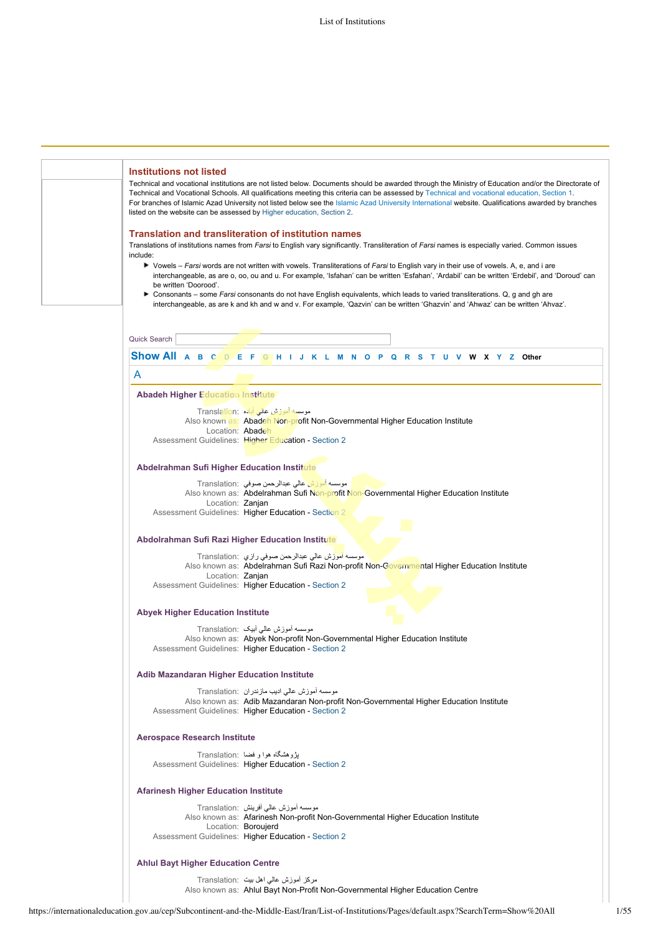| <b>Institutions not listed</b><br>Technical and vocational institutions are not listed below. Documents should be awarded through the Ministry of Education and/or the Directorate of<br>Technical and Vocational Schools. All qualifications meeting this criteria can be assessed by Technical and vocational education, Section 1.<br>For branches of Islamic Azad University not listed below see the Islamic Azad University International website. Qualifications awarded by branches<br>listed on the website can be assessed by Higher education, Section 2.                |
|-------------------------------------------------------------------------------------------------------------------------------------------------------------------------------------------------------------------------------------------------------------------------------------------------------------------------------------------------------------------------------------------------------------------------------------------------------------------------------------------------------------------------------------------------------------------------------------|
| <b>Translation and transliteration of institution names</b><br>Translations of institutions names from Farsi to English vary significantly. Transliteration of Farsi names is especially varied. Common issues<br>include:                                                                                                                                                                                                                                                                                                                                                          |
| ▶ Vowels – Farsi words are not written with vowels. Transliterations of Farsi to English vary in their use of vowels. A, e, and i are<br>interchangeable, as are o, oo, ou and u. For example, 'Isfahan' can be written 'Esfahan', 'Ardabil' can be written 'Erdebil', and 'Doroud' can<br>be written 'Doorood'.<br>Consonants – some Farsi consonants do not have English equivalents, which leads to varied transliterations. Q, g and gh are<br>interchangeable, as are k and kh and w and v. For example, 'Qazvin' can be written 'Ghazvin' and 'Ahwaz' can be written 'Ahvaz'. |
|                                                                                                                                                                                                                                                                                                                                                                                                                                                                                                                                                                                     |
| Quick Search                                                                                                                                                                                                                                                                                                                                                                                                                                                                                                                                                                        |
| Show All A B C D E F G H I J K L M N O P Q R S T U V W X Y Z Other                                                                                                                                                                                                                                                                                                                                                                                                                                                                                                                  |
| A                                                                                                                                                                                                                                                                                                                                                                                                                                                                                                                                                                                   |
| <b>Abadeh Higher Education Institute</b>                                                                                                                                                                                                                                                                                                                                                                                                                                                                                                                                            |
| موسسه آموزش عالی آباده :Translation<br>Also known as: Abadeh Non-profit Non-Governmental Higher Education Institute<br>Location: Abadeh<br>Assessment Guidelines: Higher Education - Section 2                                                                                                                                                                                                                                                                                                                                                                                      |
| Abdelrahman Sufi Higher Education Institute                                                                                                                                                                                                                                                                                                                                                                                                                                                                                                                                         |
| موسسه اموزش عالی عبدالرحمن صوفی  :Translation<br>Also known as: Abdelrahman Sufi Non-profit Non-Governmental Higher Education Institute<br>Location: Zanjan                                                                                                                                                                                                                                                                                                                                                                                                                         |
| Assessment Guidelines: Higher Education - Section 2                                                                                                                                                                                                                                                                                                                                                                                                                                                                                                                                 |
| Abdolrahman Sufi Razi Higher Education Institute                                                                                                                                                                                                                                                                                                                                                                                                                                                                                                                                    |
| موسسه اموزش عالي عبدالرحمن صوفي رازي  :Translation<br>Also known as: Abdelrahman Sufi Razi Non-profit Non-Governmental Higher Education Institute<br>Location: Zanjan<br>Assessment Guidelines: Higher Education - Section 2                                                                                                                                                                                                                                                                                                                                                        |
| <b>Abyek Higher Education Institute</b>                                                                                                                                                                                                                                                                                                                                                                                                                                                                                                                                             |
| موسسه أموزش عالى أبيك :Translation<br>Also known as: Abyek Non-profit Non-Governmental Higher Education Institute<br>Assessment Guidelines: Higher Education - Section 2                                                                                                                                                                                                                                                                                                                                                                                                            |
| <b>Adib Mazandaran Higher Education Institute</b>                                                                                                                                                                                                                                                                                                                                                                                                                                                                                                                                   |
| موسسه آموزش عالی ادیب مازندران Translation:<br>Also known as: Adib Mazandaran Non-profit Non-Governmental Higher Education Institute<br>Assessment Guidelines: Higher Education - Section 2                                                                                                                                                                                                                                                                                                                                                                                         |
| <b>Aerospace Research Institute</b>                                                                                                                                                                                                                                                                                                                                                                                                                                                                                                                                                 |
| بڑوهشگاه هوا و فضا  :Translation<br>Assessment Guidelines: Higher Education - Section 2                                                                                                                                                                                                                                                                                                                                                                                                                                                                                             |
| <b>Afarinesh Higher Education Institute</b>                                                                                                                                                                                                                                                                                                                                                                                                                                                                                                                                         |
| موسسه أموزش عالي أفرينش :Translation<br>Also known as: Afarinesh Non-profit Non-Governmental Higher Education Institute<br>Location: Boroujerd<br>Assessment Guidelines: Higher Education - Section 2                                                                                                                                                                                                                                                                                                                                                                               |
| <b>Ahlul Bayt Higher Education Centre</b>                                                                                                                                                                                                                                                                                                                                                                                                                                                                                                                                           |
| مركز أموزش عالى اهل بيت  :Translation<br>Also known as: Ahlul Bayt Non-Profit Non-Governmental Higher Education Centre                                                                                                                                                                                                                                                                                                                                                                                                                                                              |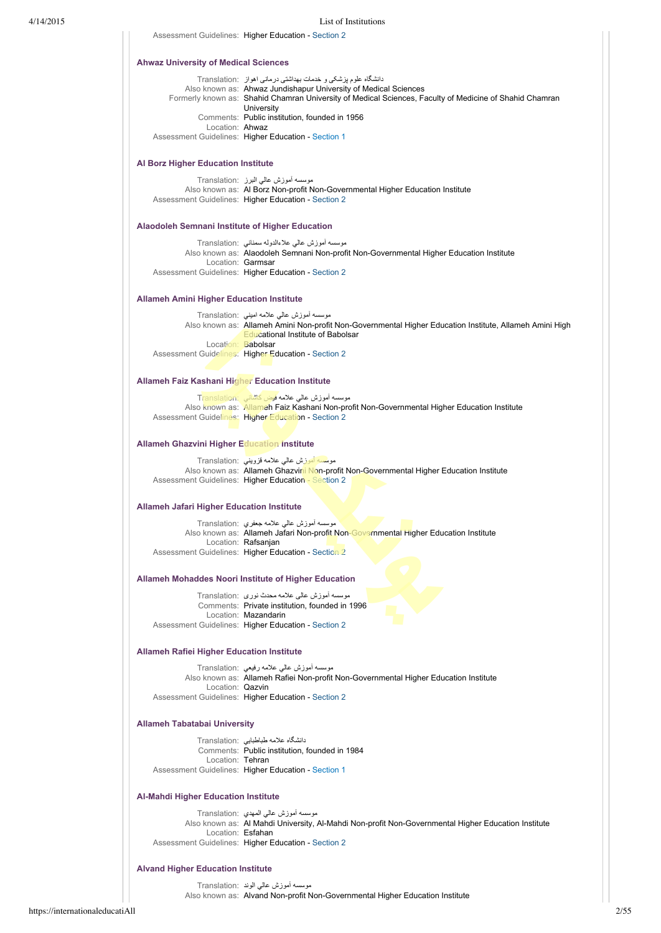Assessment Guidelines: Higher Education - [Section 2](https://internationaleducation.gov.au/cep/Subcontinent-and-the-Middle-East/Iran/Assessment-Guidelines/Pages/HigherEd-S2-Default.aspx) دانشگاه علوم پزشکی و خدمات بهداشتی درمانی اهواز :Translation Also known as: Ahwaz Jundishapur University of Medical Sciences Formerly known as: Shahid Chamran University of Medical Sciences, Faculty of Medicine of Shahid Chamran University Comments: Public institution, founded in 1956 Location: Ahwaz Assessment Guidelines: Higher Education - [Section 1](https://internationaleducation.gov.au/cep/Subcontinent-and-the-Middle-East/Iran/Assessment-Guidelines/Pages/HigherEd-S1-Default.aspx) موسسه آموزش عالي البرز :Translation Also known as: Al Borz Non-profit Non-Governmental Higher Education Institute Assessment Guidelines: Higher Education - [Section 2](https://internationaleducation.gov.au/cep/Subcontinent-and-the-Middle-East/Iran/Assessment-Guidelines/Pages/HigherEd-S2-Default.aspx) موسسه آموزش عالي علاءالدوله سمناني :Translation Also known as: Alaodoleh Semnani Non-profit Non-Governmental Higher Education Institute Location: Garmsar Assessment Guidelines: Higher Education - [Section 2](https://internationaleducation.gov.au/cep/Subcontinent-and-the-Middle-East/Iran/Assessment-Guidelines/Pages/HigherEd-S2-Default.aspx) موسسه آموزش عالي علامه اميني :Translation Also known as: Allameh Amini Non-profit Non-Governmental Higher Education Institute, Allameh Amini High Educational Institute of Babolsar Location: Babolsar Assessment Guidelines: Higher Education - [Section 2](https://internationaleducation.gov.au/cep/Subcontinent-and-the-Middle-East/Iran/Assessment-Guidelines/Pages/HigherEd-S2-Default.aspx) <mark>tion: موسسه آموزش عالي علامه فيض كاشان</mark>ي Also known as: Allameh Faiz Kashani Non-profit Non-Governmental Higher Education Institute Assessment Guidelines: Higher Education - [Section 2](https://internationaleducation.gov.au/cep/Subcontinent-and-the-Middle-East/Iran/Assessment-Guidelines/Pages/HigherEd-S2-Default.aspx) موسسه آموزش عالي علامه قزويني :Translation Also known as: Allameh Ghazvini Non-profit Non-Governmental Higher Education Institute Assessment Guidelines: Higher Education - [Section 2](https://internationaleducation.gov.au/cep/Subcontinent-and-the-Middle-East/Iran/Assessment-Guidelines/Pages/HigherEd-S2-Default.aspx) موسسه آموزش عالي علامه جعفري :Translation Also known as: Allameh Jafari Non-profit Non-Governmental Higher Education Institute Location: Rafsanjan Assessment Guidelines: Higher Education - [Section 2](https://internationaleducation.gov.au/cep/Subcontinent-and-the-Middle-East/Iran/Assessment-Guidelines/Pages/HigherEd-S2-Default.aspx) موسسه آموزش عالی علامه محدث نوری :Translation Comments: Private institution, founded in 1996 Location: Mazandarin Assessment Guidelines: Higher Education - [Section 2](https://internationaleducation.gov.au/cep/Subcontinent-and-the-Middle-East/Iran/Assessment-Guidelines/Pages/HigherEd-S2-Default.aspx) موسسه آموزش عالي علامه رفيعي :Translation Also known as: Allameh Rafiei Non-profit Non-Governmental Higher Education Institute Location: Qazvin Assessment Guidelines: Higher Education - [Section 2](https://internationaleducation.gov.au/cep/Subcontinent-and-the-Middle-East/Iran/Assessment-Guidelines/Pages/HigherEd-S2-Default.aspx) دانشگاه علامه طباطبايي :Translation Comments: Public institution, founded in 1984 Location: Tehran Assessment Guidelines: Higher Education - [Section 1](https://internationaleducation.gov.au/cep/Subcontinent-and-the-Middle-East/Iran/Assessment-Guidelines/Pages/HigherEd-S1-Default.aspx) موسسه آموزش عالي المهدي :Translation Also known as: Al Mahdi University, Al-Mahdi Non-profit Non-Governmental Higher Education Institute Location: Esfahan Assessment Guidelines: Higher Education - [Section 2](https://internationaleducation.gov.au/cep/Subcontinent-and-the-Middle-East/Iran/Assessment-Guidelines/Pages/HigherEd-S2-Default.aspx) موسسه آموزش عالي الوند :Translation **Ahwaz University of Medical Sciences Al Borz Higher Education Institute Alaodoleh Semnani Institute of Higher Education Allameh Amini Higher Education Institute Allameh Faiz Kashani Higher Education Institute Allameh Ghazvini Higher Education Institute Allameh Jafari Higher Education Institute Allameh Mohaddes Noori Institute of Higher Education Allameh Rafiei Higher Education Institute Allameh Tabatabai University Al-Mahdi Higher Education Institute Alvand Higher Education Institute**

Also known as: Alvand Non-profit Non-Governmental Higher Education Institute

https://internationaleducatiAll 2/55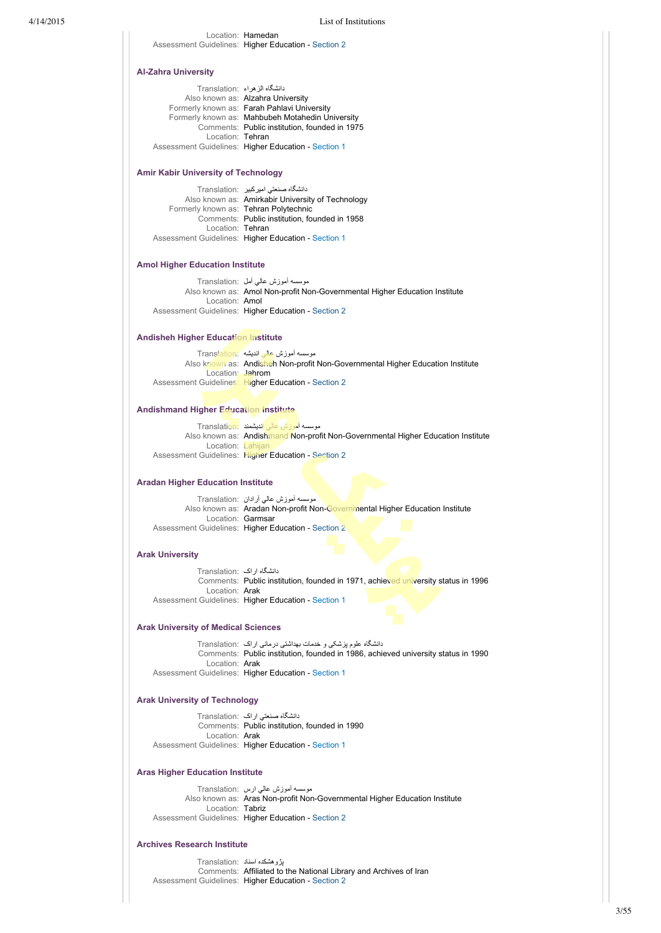# **AlZahra University**

| دانشگاه الزهراء :Translation |                                                     |
|------------------------------|-----------------------------------------------------|
|                              | Also known as: Alzahra University                   |
|                              | Formerly known as: Farah Pahlavi University         |
|                              | Formerly known as: Mahbubeh Motahedin University    |
|                              | Comments: Public institution, founded in 1975       |
| Location: Tehran             |                                                     |
|                              | Assessment Guidelines: Higher Education - Section 1 |

Location: Hamedan Assessment Guidelines: Higher Education - [Section 2](https://internationaleducation.gov.au/cep/Subcontinent-and-the-Middle-East/Iran/Assessment-Guidelines/Pages/HigherEd-S2-Default.aspx)

### **Amir Kabir University of Technology**

|                                       | دانشگاه صنعتی امیر کبیر Translation:                       |
|---------------------------------------|------------------------------------------------------------|
|                                       | Also known as: Amirkabir University of Technology          |
| Formerly known as: Tehran Polytechnic |                                                            |
|                                       | Comments: Public institution, founded in 1958              |
| Location: Tehran                      |                                                            |
|                                       | <b>Assessment Guidelines: Higher Education - Section 1</b> |

### **Amol Higher Education Institute**

موسسه آموزش عالي آمل :Translation Also known as: Amol Non-profit Non-Governmental Higher Education Institute Location: Amol Assessment Guidelines: Higher Education - [Section 2](https://internationaleducation.gov.au/cep/Subcontinent-and-the-Middle-East/Iran/Assessment-Guidelines/Pages/HigherEd-S2-Default.aspx)

# **Andisheh Higher Education Institute**

موسسه آموزش عالي انديشه :Translation Also known as: Andisheh Non-profit Non-Governmental Higher Education Institute Location: Jahrom Assessment Guidelines: Higher Education - [Section 2](https://internationaleducation.gov.au/cep/Subcontinent-and-the-Middle-East/Iran/Assessment-Guidelines/Pages/HigherEd-S2-Default.aspx)

### **Andishmand Higher Education Institute**

|                   | موسسه أموزش عالى انديشمند :Translation                                           |
|-------------------|----------------------------------------------------------------------------------|
|                   | Also known as: Andishmand Non-profit Non-Governmental Higher Education Institute |
| Location: Lahijan |                                                                                  |
|                   | Assessment Guidelines: Higher Education - Section 2                              |

### **Aradan Higher Education Institute**

موسسه آموزش عالي آرادان :Translation Also known as: Aradan Non-profit Non-Governmental Higher Education Institute Location: Garmsar Assessment Guidelines: Higher Education - [Section 2](https://internationaleducation.gov.au/cep/Subcontinent-and-the-Middle-East/Iran/Assessment-Guidelines/Pages/HigherEd-S2-Default.aspx)

### **Arak University**

دانشگاه اراک :Translation Comments: Public institution, founded in 1971, achieved university status in 1996 Location: Arak Assessment Guidelines: Higher Education - [Section 1](https://internationaleducation.gov.au/cep/Subcontinent-and-the-Middle-East/Iran/Assessment-Guidelines/Pages/HigherEd-S1-Default.aspx)

### **Arak University of Medical Sciences**

دانشگاه علوم پزشکی و خدمات بهداشتی درمانی اراک :Translation Comments: Public institution, founded in 1986, achieved university status in 1990 Location: Arak Assessment Guidelines: Higher Education - [Section 1](https://internationaleducation.gov.au/cep/Subcontinent-and-the-Middle-East/Iran/Assessment-Guidelines/Pages/HigherEd-S1-Default.aspx)

# **Arak University of Technology**

دانشگاه صنعتي اراک :Translation Comments: Public institution, founded in 1990 Location: Arak Assessment Guidelines: Higher Education - [Section 1](https://internationaleducation.gov.au/cep/Subcontinent-and-the-Middle-East/Iran/Assessment-Guidelines/Pages/HigherEd-S1-Default.aspx)

# **Aras Higher Education Institute**

موسسه آموزش عالي ارس :Translation Also known as: Aras Non-profit Non-Governmental Higher Education Institute Location: Tabriz Assessment Guidelines: Higher Education - [Section 2](https://internationaleducation.gov.au/cep/Subcontinent-and-the-Middle-East/Iran/Assessment-Guidelines/Pages/HigherEd-S2-Default.aspx)

# **Archives Research Institute**

پژوهشكده اسناد :Translation Comments: Affiliated to the National Library and Archives of Iran Assessment Guidelines: Higher Education - [Section 2](https://internationaleducation.gov.au/cep/Subcontinent-and-the-Middle-East/Iran/Assessment-Guidelines/Pages/HigherEd-S2-Default.aspx)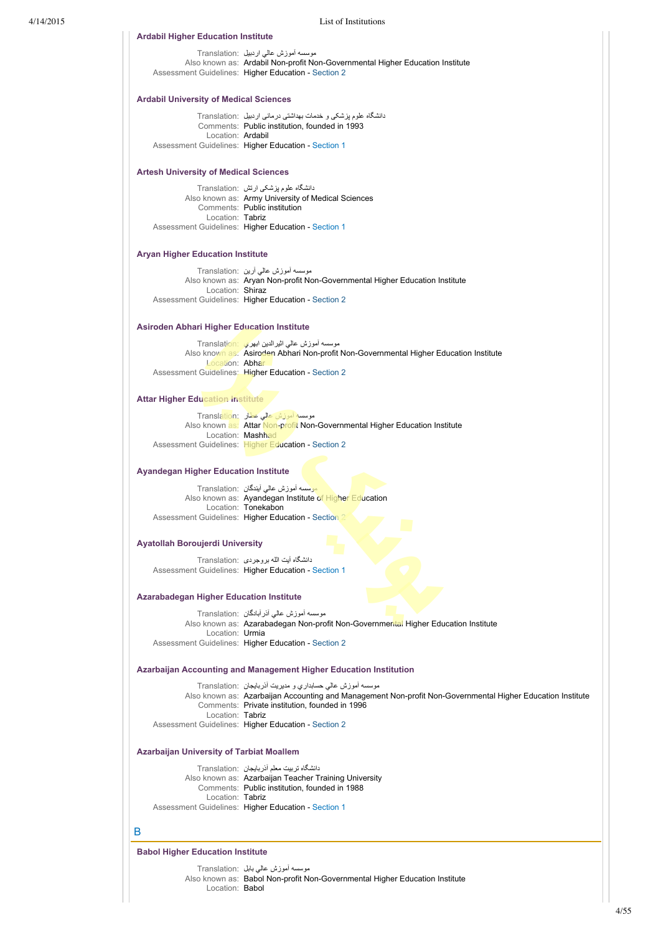4/14/2015 List of Institutions

| <b>Ardabil Higher Education Institute</b>         |                                                                                                                                                                   |  |
|---------------------------------------------------|-------------------------------------------------------------------------------------------------------------------------------------------------------------------|--|
|                                                   | موسسه اموزش عالی اردبیل  :Translation                                                                                                                             |  |
|                                                   | Also known as: Ardabil Non-profit Non-Governmental Higher Education Institute<br>Assessment Guidelines: Higher Education - Section 2                              |  |
|                                                   |                                                                                                                                                                   |  |
| <b>Ardabil University of Medical Sciences</b>     |                                                                                                                                                                   |  |
|                                                   | دانشگاه علوم پزشکی و خدمات بهداشتی درمانی اردبیل  :Translation<br>Comments: Public institution, founded in 1993                                                   |  |
|                                                   | Location: Ardabil<br>Assessment Guidelines: Higher Education - Section 1                                                                                          |  |
|                                                   |                                                                                                                                                                   |  |
| <b>Artesh University of Medical Sciences</b>      |                                                                                                                                                                   |  |
|                                                   | دانشگاه علوم پزشکی ارتش   :Translation<br>Also known as: Army University of Medical Sciences                                                                      |  |
| Comments: Public institution<br>Location: Tabriz  |                                                                                                                                                                   |  |
|                                                   | Assessment Guidelines: Higher Education - Section 1                                                                                                               |  |
| <b>Aryan Higher Education Institute</b>           |                                                                                                                                                                   |  |
|                                                   | موسسه أموزش عالمي أرين :Translation                                                                                                                               |  |
|                                                   | Also known as: Aryan Non-profit Non-Governmental Higher Education Institute                                                                                       |  |
| Location: Shiraz                                  | Assessment Guidelines: Higher Education - Section 2                                                                                                               |  |
|                                                   |                                                                                                                                                                   |  |
| <b>Asiroden Abhari Higher Education Institute</b> |                                                                                                                                                                   |  |
|                                                   | موسسه أموزش عالمي اثير الدين ابهري Translation:<br>Also known as: Asiroden Abhari Non-profit Non-Governmental Higher Education Institute                          |  |
| Location: Abhar                                   | Assessment Guidelines: Higher Education - Section 2                                                                                                               |  |
|                                                   |                                                                                                                                                                   |  |
| <b>Attar Higher Education Institute</b>           |                                                                                                                                                                   |  |
|                                                   | موسسه آموزش عالی عطار :Translation<br>Also known as: Attar Non-profit Non-Governmental Higher Education Institute                                                 |  |
|                                                   | Location: Mashhad                                                                                                                                                 |  |
|                                                   | Assessment Guidelines: Higher Education - Section 2                                                                                                               |  |
| <b>Ayandegan Higher Education Institute</b>       |                                                                                                                                                                   |  |
|                                                   | موسسه أموزش عالي أيندگان :Translation                                                                                                                             |  |
|                                                   | Also known as: Ayandegan Institute of Higher Education<br>Location: Tonekabon                                                                                     |  |
|                                                   | Assessment Guidelines: Higher Education - Section 2                                                                                                               |  |
| Ayatollah Boroujerdi University                   |                                                                                                                                                                   |  |
|                                                   | دانشگاه آیت الله بروجردی Translation:                                                                                                                             |  |
|                                                   | Assessment Guidelines: Higher Education - Section 1                                                                                                               |  |
| <b>Azarabadegan Higher Education Institute</b>    |                                                                                                                                                                   |  |
|                                                   |                                                                                                                                                                   |  |
|                                                   | موسسه أموزش عالى أذر أبادگان :Translation                                                                                                                         |  |
| Location: Urmia                                   | Also known as: Azarabadegan Non-profit Non-Governmental Higher Education Institute                                                                                |  |
|                                                   | Assessment Guidelines: Higher Education - Section 2                                                                                                               |  |
|                                                   | Azarbaijan Accounting and Management Higher Education Institution                                                                                                 |  |
|                                                   | موسسه أموزش عالى حسابداري و مديريت أذربايجان  :Translation                                                                                                        |  |
|                                                   |                                                                                                                                                                   |  |
| Location: Tabriz                                  | Comments: Private institution, founded in 1996                                                                                                                    |  |
|                                                   | Also known as: Azarbaijan Accounting and Management Non-profit Non-Governmental Higher Education Institute<br>Assessment Guidelines: Higher Education - Section 2 |  |
|                                                   |                                                                                                                                                                   |  |
|                                                   | دانشگاه تربیت معلم آذربایجان  :Translation                                                                                                                        |  |
| <b>Azarbaijan University of Tarbiat Moallem</b>   | Also known as: Azarbaijan Teacher Training University<br>Comments: Public institution, founded in 1988                                                            |  |
| Location: Tabriz                                  |                                                                                                                                                                   |  |
|                                                   | Assessment Guidelines: Higher Education - Section 1                                                                                                               |  |
| B                                                 |                                                                                                                                                                   |  |
| <b>Babol Higher Education Institute</b>           |                                                                                                                                                                   |  |
|                                                   | موسسه أموزش عالمي بابل  :Translation<br>Also known as: Babol Non-profit Non-Governmental Higher Education Institute                                               |  |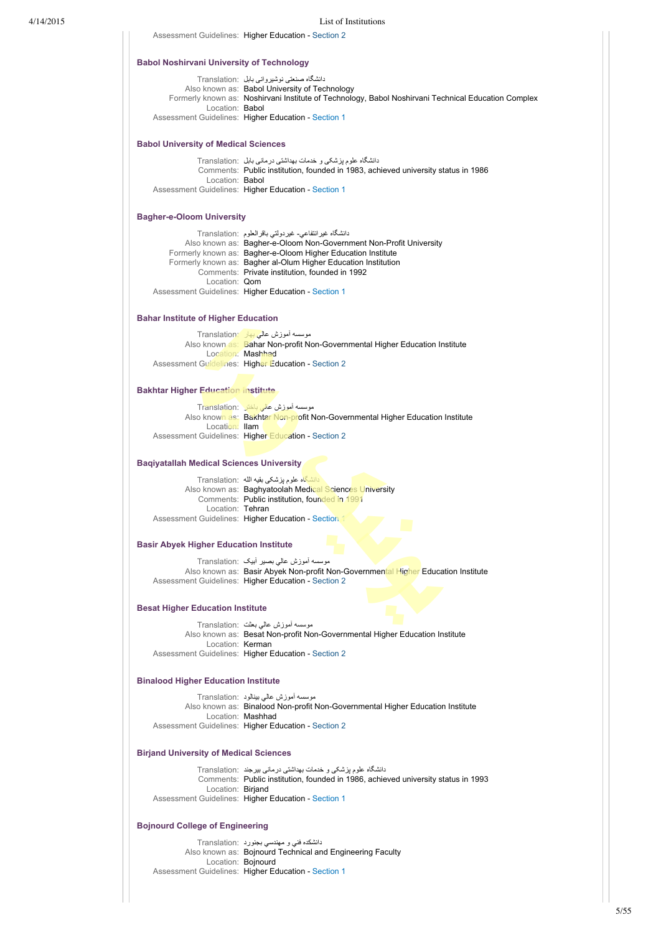|                                                  | Assessment Guidelines: Higher Education - Section 2                                                                                      |
|--------------------------------------------------|------------------------------------------------------------------------------------------------------------------------------------------|
| <b>Babol Noshirvani University of Technology</b> |                                                                                                                                          |
|                                                  | دانشگاه صنعتی نوشیروانی بابل ۲ranslation:                                                                                                |
|                                                  | Also known as: Babol University of Technology                                                                                            |
|                                                  | Formerly known as: Noshirvani Institute of Technology, Babol Noshirvani Technical Education Complex                                      |
| Location: Babol                                  |                                                                                                                                          |
|                                                  | Assessment Guidelines: Higher Education - Section 1                                                                                      |
| <b>Babol University of Medical Sciences</b>      |                                                                                                                                          |
|                                                  | دانشگاه علوم پزشکی و خدمات بهداشتی درمانی بابل  :Translation                                                                             |
|                                                  | Comments: Public institution, founded in 1983, achieved university status in 1986                                                        |
| Location: <b>Babol</b>                           | Assessment Guidelines: Higher Education - Section 1                                                                                      |
| <b>Bagher-e-Oloom University</b>                 |                                                                                                                                          |
|                                                  | دانشگاه غیر انتفاعی- غیر دولتی باقر العلوم :Translation                                                                                  |
|                                                  | Also known as: Bagher-e-Oloom Non-Government Non-Profit University                                                                       |
|                                                  | Formerly known as: Bagher-e-Oloom Higher Education Institute                                                                             |
|                                                  | Formerly known as: Bagher al-Olum Higher Education Institution                                                                           |
|                                                  | Comments: Private institution, founded in 1992                                                                                           |
| Location: Qom                                    |                                                                                                                                          |
|                                                  | Assessment Guidelines: Higher Education - Section 1                                                                                      |
| <b>Bahar Institute of Higher Education</b>       |                                                                                                                                          |
|                                                  | موسسه أموزش عالى بهار Translation:                                                                                                       |
|                                                  | Also known as: Bahar Non-profit Non-Governmental Higher Education Institute                                                              |
|                                                  | Location: Mashhad                                                                                                                        |
|                                                  | Assessment Guidelines: Higher Education - Section 2                                                                                      |
| <b>Bakhtar Higher Education Institute</b>        |                                                                                                                                          |
|                                                  | موسسه آموزش عالى باختر Translation:                                                                                                      |
|                                                  | Also known as: Bakhtar Non-profit Non-Governmental Higher Education Institute                                                            |
| Location: Ilam                                   |                                                                                                                                          |
|                                                  | Assessment Guidelines: Higher Education - Section 2                                                                                      |
| <b>Baqiyatallah Medical Sciences University</b>  |                                                                                                                                          |
|                                                  | دانشگاه علوم پزشکی بقیه الله Translation:                                                                                                |
|                                                  | Also known as: Baghyatoolah Medical Sciences University                                                                                  |
| Location: Tehran                                 | Comments: Public institution, founded in 1991                                                                                            |
|                                                  | Assessment Guidelines: Higher Education - Section 1                                                                                      |
| <b>Basir Abyek Higher Education Institute</b>    |                                                                                                                                          |
|                                                  | موسسه أموزش عالى بصير أبيك Translation:                                                                                                  |
|                                                  | Also known as: Basir Abyek Non-profit Non-Governmental Higher Education Institute<br>Assessment Guidelines: Higher Education - Section 2 |
|                                                  |                                                                                                                                          |
| <b>Besat Higher Education Institute</b>          |                                                                                                                                          |
|                                                  | موسسه أموزش عالي بعثت :Translation                                                                                                       |
|                                                  | Also known as: Besat Non-profit Non-Governmental Higher Education Institute                                                              |
|                                                  |                                                                                                                                          |
| Location: Kerman                                 | Assessment Guidelines: Higher Education - Section 2                                                                                      |
|                                                  |                                                                                                                                          |
| <b>Binalood Higher Education Institute</b>       |                                                                                                                                          |
|                                                  | موسسه اموزش عالی بینالود :Translation                                                                                                    |
|                                                  | Also known as: Binalood Non-profit Non-Governmental Higher Education Institute                                                           |
|                                                  | Location: Mashhad<br>Assessment Guidelines: Higher Education - Section 2                                                                 |
| <b>Birjand University of Medical Sciences</b>    |                                                                                                                                          |
|                                                  |                                                                                                                                          |
|                                                  | دانشگاه علوم پزشکی و خدمات بهداشتی درمانی بیرجند :Translation                                                                            |
|                                                  | Comments: Public institution, founded in 1986, achieved university status in 1993                                                        |
| Location: Birjand                                | Assessment Guidelines: Higher Education - Section 1                                                                                      |
| <b>Bojnourd College of Engineering</b>           |                                                                                                                                          |
|                                                  |                                                                                                                                          |
|                                                  | دانشکده فنی و مهندسی بجنورد ۲ranslation:<br>Also known as: Bojnourd Technical and Engineering Faculty                                    |
|                                                  | Location: Bojnourd<br>Assessment Guidelines: Higher Education - Section 1                                                                |

5/55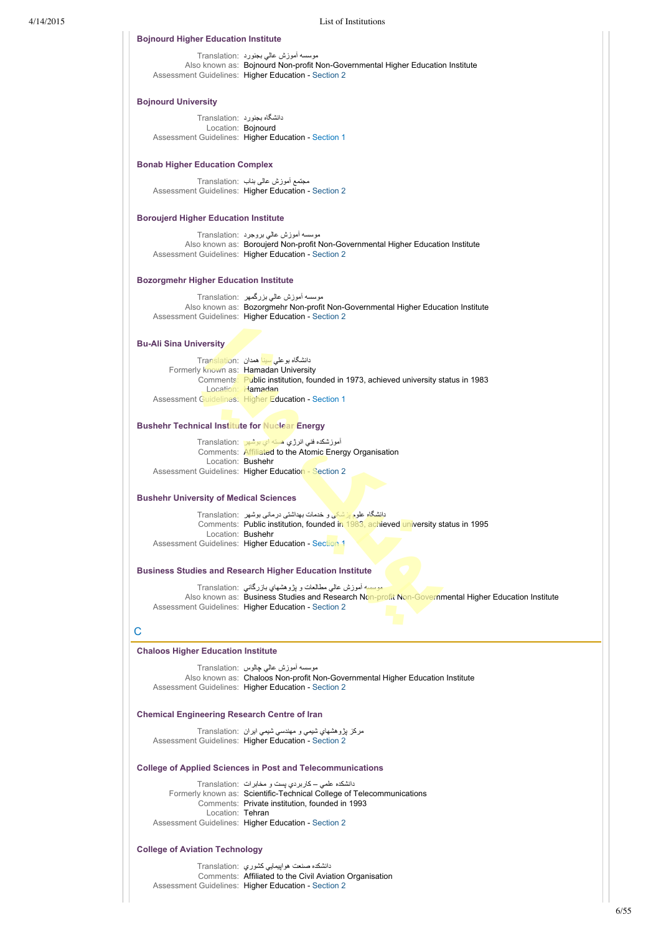4/14/2015 List of Institutions موسسه آموزش عالي بجنورد :Translation Also known as: Bojnourd Non-profit Non-Governmental Higher Education Institute Assessment Guidelines: Higher Education - [Section 2](https://internationaleducation.gov.au/cep/Subcontinent-and-the-Middle-East/Iran/Assessment-Guidelines/Pages/HigherEd-S2-Default.aspx) دانشگاه بجنورد :Translation Location: Boinourd Assessment Guidelines: Higher Education - [Section 1](https://internationaleducation.gov.au/cep/Subcontinent-and-the-Middle-East/Iran/Assessment-Guidelines/Pages/HigherEd-S1-Default.aspx) مجتمع آموزش عالی بناب :Translation Assessment Guidelines: Higher Education - [Section 2](https://internationaleducation.gov.au/cep/Subcontinent-and-the-Middle-East/Iran/Assessment-Guidelines/Pages/HigherEd-S2-Default.aspx) موسسه آموزش عالي بروجرد :Translation Also known as: Boroujerd Non-profit Non-Governmental Higher Education Institute Assessment Guidelines: Higher Education - [Section 2](https://internationaleducation.gov.au/cep/Subcontinent-and-the-Middle-East/Iran/Assessment-Guidelines/Pages/HigherEd-S2-Default.aspx) موسسه آموزش عالي بزرگمهر :Translation Also known as: Bozorgmehr Non-profit Non-Governmental Higher Education Institute Assessment Guidelines: Higher Education - [Section 2](https://internationaleducation.gov.au/cep/Subcontinent-and-the-Middle-East/Iran/Assessment-Guidelines/Pages/HigherEd-S2-Default.aspx) **Bojnourd Higher Education Institute Bojnourd University Bonab Higher Education Complex Boroujerd Higher Education Institute Bozorgmehr Higher Education Institute**

### **Bu-Ali Sina University**

| دانشگاه بو علی <mark>سینا همدان  :Translatio</mark> n                             |
|-----------------------------------------------------------------------------------|
| Formerly known as: Hamadan University                                             |
| Comments: Public institution, founded in 1973, achieved university status in 1983 |
| Location: <b>Hamadan</b>                                                          |
| Assessment Guidelines: Higher Education - Section 1                               |

# **Bushehr Technical Institute for Nuclear Energy**

|                   | آموزشکده فنی انرژی هسته ای بوشهر : Translation         |
|-------------------|--------------------------------------------------------|
|                   | Comments: Affiliated to the Atomic Energy Organisation |
| Location: Bushehr |                                                        |
|                   | Assessment Guidelines: Higher Education - Section 2    |

# **Bushehr University of Medical Sciences**

د<mark>انشگاه علوم پزشکی</mark> و خدمات بهداشتی درمانی بوشهر :Translation Comments: Public institution, founded in 1983, achieved university status in 1995 Location: Bushehr Assessment Guidelines: Higher Education - [Section 1](https://internationaleducation.gov.au/cep/Subcontinent-and-the-Middle-East/Iran/Assessment-Guidelines/Pages/HigherEd-S1-Default.aspx)

## **Business Studies and Research Higher Education Institute**

موسسه آموزش عالي مطالعات و پژوهشهاي بازرگاني :Translation Also known as: Business Studies and Research Non-profit Non-Governmental Higher Education Institute Assessment Guidelines: Higher Education - [Section 2](https://internationaleducation.gov.au/cep/Subcontinent-and-the-Middle-East/Iran/Assessment-Guidelines/Pages/HigherEd-S2-Default.aspx)

# C

### **Chaloos Higher Education Institute**

موسسه آموزش عالي چالوس :Translation Also known as: Chaloos Non-profit Non-Governmental Higher Education Institute Assessment Guidelines: Higher Education - [Section 2](https://internationaleducation.gov.au/cep/Subcontinent-and-the-Middle-East/Iran/Assessment-Guidelines/Pages/HigherEd-S2-Default.aspx)

### **Chemical Engineering Research Centre of Iran**

مركز پژوهشهاي شيمي و مهندسي شيمي ايران :Translation Assessment Guidelines: Higher Education - [Section 2](https://internationaleducation.gov.au/cep/Subcontinent-and-the-Middle-East/Iran/Assessment-Guidelines/Pages/HigherEd-S2-Default.aspx)

### **College of Applied Sciences in Post and Telecommunications**

دانشكده علمي – كاربردي پست و مخابرات :Translation Formerly known as: Scientific-Technical College of Telecommunications Comments: Private institution, founded in 1993 Location: Tehran Assessment Guidelines: Higher Education - [Section 2](https://internationaleducation.gov.au/cep/Subcontinent-and-the-Middle-East/Iran/Assessment-Guidelines/Pages/HigherEd-S2-Default.aspx)

# **College of Aviation Technology**

دانشكده صنعت هواپيمايي كشوري :Translation Comments: Affiliated to the Civil Aviation Organisation Assessment Guidelines: Higher Education - [Section 2](https://internationaleducation.gov.au/cep/Subcontinent-and-the-Middle-East/Iran/Assessment-Guidelines/Pages/HigherEd-S2-Default.aspx)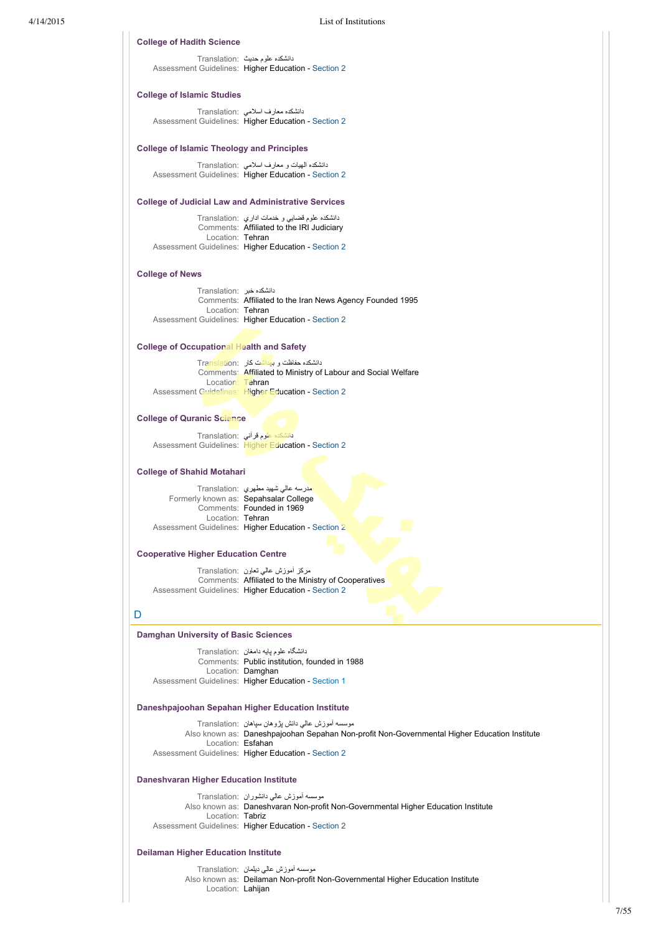# **College of Hadith Science**

دانشكده علوم حديث :Translation Assessment Guidelines: Higher Education - [Section 2](https://internationaleducation.gov.au/cep/Subcontinent-and-the-Middle-East/Iran/Assessment-Guidelines/Pages/HigherEd-S2-Default.aspx)

### **College of Islamic Studies**

دانشكده معارف اسلامي :Translation Assessment Guidelines: Higher Education - [Section 2](https://internationaleducation.gov.au/cep/Subcontinent-and-the-Middle-East/Iran/Assessment-Guidelines/Pages/HigherEd-S2-Default.aspx)

### **College of Islamic Theology and Principles**

دانشكده الهيات و معارف اسلامي :Translation Assessment Guidelines: Higher Education - [Section 2](https://internationaleducation.gov.au/cep/Subcontinent-and-the-Middle-East/Iran/Assessment-Guidelines/Pages/HigherEd-S2-Default.aspx)

### **College of Judicial Law and Administrative Services**

|                  | دانشکده علوم قضایی و خدمات اداری ۲ranslation:       |
|------------------|-----------------------------------------------------|
|                  | Comments: Affiliated to the IRI Judiciary           |
| Location: Tehran |                                                     |
|                  | Assessment Guidelines: Higher Education - Section 2 |

### **College of News**

دانشكده خبر :Translation Comments: Affiliated to the Iran News Agency Founded 1995 Location: Tehran Assessment Guidelines: Higher Education - [Section 2](https://internationaleducation.gov.au/cep/Subcontinent-and-the-Middle-East/Iran/Assessment-Guidelines/Pages/HigherEd-S2-Default.aspx)

# **College of Occupational Health and Safety**

دانشكده حفاظت و بهداشت كار :Translation Comments: Affiliated to Ministry of Labour and Social Welfare Location: Tehran Assessment Guidelines: Higher Education - [Section 2](https://internationaleducation.gov.au/cep/Subcontinent-and-the-Middle-East/Iran/Assessment-Guidelines/Pages/HigherEd-S2-Default.aspx)

### **College of Quranic Science**

دانشكده علوم قرآني :Translation Assessment Guidelines: Higher Education - [Section 2](https://internationaleducation.gov.au/cep/Subcontinent-and-the-Middle-East/Iran/Assessment-Guidelines/Pages/HigherEd-S2-Default.aspx)

### **College of Shahid Motahari**

مدرسه عالي شهيد مطهري :Translation Formerly known as: Sepahsalar College Comments: Founded in 1969 Location: Tehran Assessment Guidelines: Higher Education - [Section 2](https://internationaleducation.gov.au/cep/Subcontinent-and-the-Middle-East/Iran/Assessment-Guidelines/Pages/HigherEd-S2-Default.aspx)

### **Cooperative Higher Education Centre**

مركز آموزش عالي تعاون :Translation Comments: Affiliated to the Ministry of Cooperatives Assessment Guidelines: Higher Education - [Section 2](https://internationaleducation.gov.au/cep/Subcontinent-and-the-Middle-East/Iran/Assessment-Guidelines/Pages/HigherEd-S2-Default.aspx)

# D

### **Damghan University of Basic Sciences**

دانشگاه علوم پايه دامغان :Translation Comments: Public institution, founded in 1988 Location: Damghan Assessment Guidelines: Higher Education - [Section 1](https://internationaleducation.gov.au/cep/Subcontinent-and-the-Middle-East/Iran/Assessment-Guidelines/Pages/HigherEd-S1-Default.aspx)

### **Daneshpajoohan Sepahan Higher Education Institute**

|                   | موسسه آموزش عالی دانش بژوهان سیاهان   :Translation                                           |
|-------------------|----------------------------------------------------------------------------------------------|
|                   | Also known as: Daneshpajoohan Sepahan Non-profit Non-Governmental Higher Education Institute |
| Location: Esfahan |                                                                                              |
|                   | Assessment Guidelines: Higher Education - Section 2                                          |

### **Daneshvaran Higher Education Institute**

موسسه آموزش عالي دانشوران :Translation Also known as: Daneshvaran Non-profit Non-Governmental Higher Education Institute Location: Tabriz Assessment Guidelines: Higher Education - [Section 2](https://internationaleducation.gov.au/cep/Subcontinent-and-the-Middle-East/Iran/Assessment-Guidelines/Pages/HigherEd-S2-Default.aspx)

### **Deilaman Higher Education Institute**

موسسه آموزش عالي ديلمان :Translation Also known as: Deilaman Non-profit Non-Governmental Higher Education Institute Location: Lahijan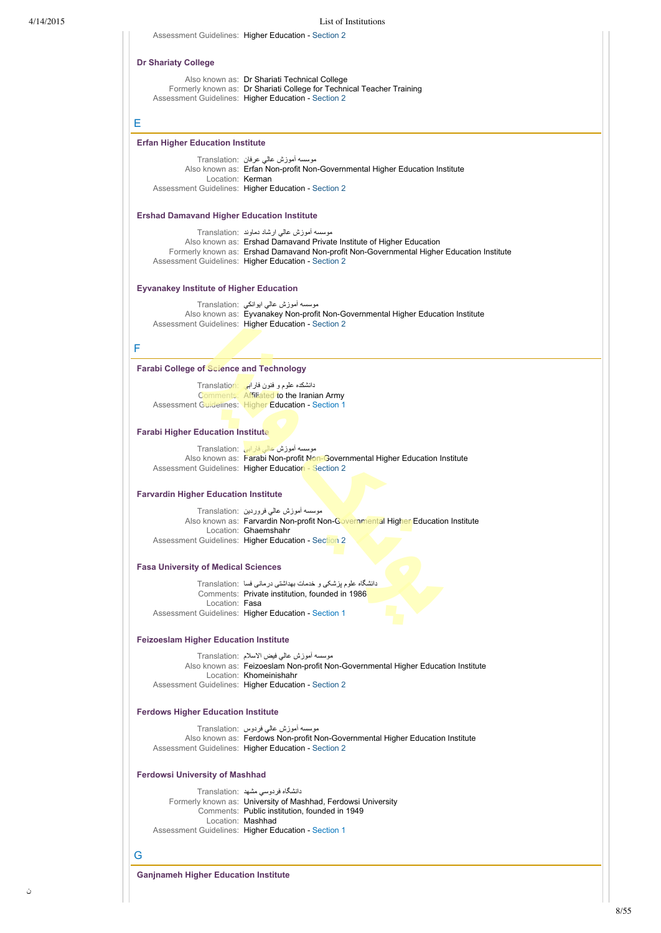| <b>Dr Shariaty College</b>                        | Also known as: Dr Shariati Technical College                                                                                                                                                                                                                           |
|---------------------------------------------------|------------------------------------------------------------------------------------------------------------------------------------------------------------------------------------------------------------------------------------------------------------------------|
|                                                   | Formerly known as: Dr Shariati College for Technical Teacher Training<br>Assessment Guidelines: Higher Education - Section 2                                                                                                                                           |
| Е                                                 |                                                                                                                                                                                                                                                                        |
| <b>Erfan Higher Education Institute</b>           |                                                                                                                                                                                                                                                                        |
| Location: Kerman                                  | موسسه أموزش عالمي عرفان  :Translation<br>Also known as: Erfan Non-profit Non-Governmental Higher Education Institute                                                                                                                                                   |
|                                                   | Assessment Guidelines: Higher Education - Section 2                                                                                                                                                                                                                    |
| <b>Ershad Damavand Higher Education Institute</b> |                                                                                                                                                                                                                                                                        |
|                                                   | موسسه اموزش عالی ارشاد دماوند :Translation<br>Also known as: Ershad Damavand Private Institute of Higher Education<br>Formerly known as: Ershad Damavand Non-profit Non-Governmental Higher Education Institute<br>Assessment Guidelines: Higher Education - Section 2 |
| <b>Eyvanakey Institute of Higher Education</b>    |                                                                                                                                                                                                                                                                        |
|                                                   | موسسه أموزش عالمي ايوانكي :Translation<br>Also known as: Eyvanakey Non-profit Non-Governmental Higher Education Institute<br>Assessment Guidelines: Higher Education - Section 2                                                                                       |
| F                                                 |                                                                                                                                                                                                                                                                        |
| <b>Farabi College of Science and Technology</b>   |                                                                                                                                                                                                                                                                        |
|                                                   | دانشکده علوم و فنون فارابی Translation                                                                                                                                                                                                                                 |
|                                                   | Comments: Affiliated to the Iranian Army<br><b>Assessment Guidelines: Higher Education - Section 1</b>                                                                                                                                                                 |
| <b>Farabi Higher Education Institute</b>          |                                                                                                                                                                                                                                                                        |
|                                                   | موسسه أموزش عالى فارابى Translation:<br>Also known as: Farabi Non-profit Non-Governmental Higher Education Institute<br>Assessment Guidelines: Higher Education - Section 2                                                                                            |
| <b>Farvardin Higher Education Institute</b>       |                                                                                                                                                                                                                                                                        |
|                                                   | موسسه أموزش عالى فروردين  :Translation                                                                                                                                                                                                                                 |
|                                                   | Also known as: Farvardin Non-profit Non-Governmental Higher Education Institute<br>Location: Ghaemshahr<br>Assessment Guidelines: Higher Education - Section 2                                                                                                         |
| <b>Fasa University of Medical Sciences</b>        |                                                                                                                                                                                                                                                                        |
|                                                   | دانشگاه علوم پزشکی و خدمات بهداشتی درمانی فسا  :Translation                                                                                                                                                                                                            |
| Location: Fasa                                    | Comments: Private institution, founded in 1986<br>Assessment Guidelines: Higher Education - Section 1                                                                                                                                                                  |
| <b>Feizoeslam Higher Education Institute</b>      |                                                                                                                                                                                                                                                                        |
|                                                   | موسسه أموزش عالمي فيض الاسلام :Translation                                                                                                                                                                                                                             |
|                                                   | Also known as: Feizoeslam Non-profit Non-Governmental Higher Education Institute<br>Location: Khomeinishahr<br>Assessment Guidelines: Higher Education - Section 2                                                                                                     |
| <b>Ferdows Higher Education Institute</b>         |                                                                                                                                                                                                                                                                        |
|                                                   | موسسه أموزش عالى فردوس :Translation                                                                                                                                                                                                                                    |
|                                                   | Also known as: Ferdows Non-profit Non-Governmental Higher Education Institute<br>Assessment Guidelines: Higher Education - Section 2                                                                                                                                   |
| <b>Ferdowsi University of Mashhad</b>             |                                                                                                                                                                                                                                                                        |
|                                                   | دانشگاه فردوسی مشهد :Translation                                                                                                                                                                                                                                       |
|                                                   | Formerly known as: University of Mashhad, Ferdowsi University<br>Comments: Public institution, founded in 1949<br>Location: Mashhad                                                                                                                                    |
|                                                   | Assessment Guidelines: Higher Education - Section 1                                                                                                                                                                                                                    |
| G                                                 |                                                                                                                                                                                                                                                                        |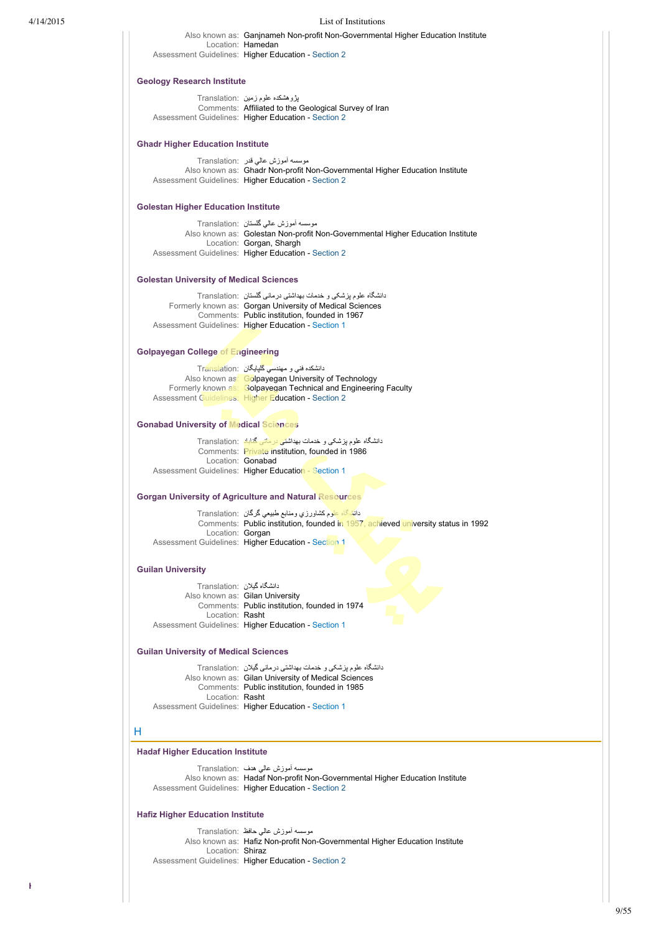| 4/14/2015 |                                                | List of Institutions                                                                                                                                                         |  |  |
|-----------|------------------------------------------------|------------------------------------------------------------------------------------------------------------------------------------------------------------------------------|--|--|
|           |                                                | Also known as: Ganjnameh Non-profit Non-Governmental Higher Education Institute<br>Location: Hamedan<br>Assessment Guidelines: Higher Education - Section 2                  |  |  |
|           |                                                |                                                                                                                                                                              |  |  |
|           | <b>Geology Research Institute</b>              |                                                                                                                                                                              |  |  |
|           |                                                | پڑوہشکدہ علوم زمین :Translation<br>Comments: Affiliated to the Geological Survey of Iran<br>Assessment Guidelines: Higher Education - Section 2                              |  |  |
|           | <b>Ghadr Higher Education Institute</b>        |                                                                                                                                                                              |  |  |
|           |                                                | موسسه اموزش عالی قدر :Translation                                                                                                                                            |  |  |
|           |                                                | Also known as: Ghadr Non-profit Non-Governmental Higher Education Institute<br>Assessment Guidelines: Higher Education - Section 2                                           |  |  |
|           | <b>Golestan Higher Education Institute</b>     |                                                                                                                                                                              |  |  |
|           |                                                | موسسه أموزش عالمي كلستان  :Translation<br>Also known as: Golestan Non-profit Non-Governmental Higher Education Institute                                                     |  |  |
|           |                                                | Location: Gorgan, Shargh<br>Assessment Guidelines: Higher Education - Section 2                                                                                              |  |  |
|           | <b>Golestan University of Medical Sciences</b> |                                                                                                                                                                              |  |  |
|           |                                                | دانشگاه علوم پزشکی و خدمات بهداشتی درمانی گلستان   :Translation                                                                                                              |  |  |
|           |                                                | Formerly known as: Gorgan University of Medical Sciences                                                                                                                     |  |  |
|           |                                                | Comments: Public institution, founded in 1967<br>Assessment Guidelines: Higher Education - Section 1                                                                         |  |  |
|           | <b>Golpayegan College of Engineering</b>       |                                                                                                                                                                              |  |  |
|           |                                                | دانشکده فنی و مهندسی گلپایگان :Translation                                                                                                                                   |  |  |
|           |                                                | Also known as: Golpayegan University of Technology<br>Formerly known as: Golpayegan Technical and Engineering Faculty<br>Assessment Guidelines: Higher Education - Section 2 |  |  |
|           | <b>Gonabad University of Medical Sciences</b>  |                                                                                                                                                                              |  |  |
|           |                                                | دانشگاه علوم پزشکی و خدمات بهداش <mark>تی درمانی گناباد</mark> :Translation<br>Comments: Private institution, founded in 1986                                                |  |  |
|           |                                                | Location: Gonabad                                                                                                                                                            |  |  |
|           |                                                | Assessment Guidelines: Higher Education - Section 1                                                                                                                          |  |  |
|           |                                                | <b>Gorgan University of Agriculture and Natural Resources</b>                                                                                                                |  |  |
|           | Location: Gorgan                               | دانشگاه علوم کشاورزي ومنابع طبيعي گرگان  :Translation<br>Comments: Public institution, founded in 1957, achieved university status in 1992                                   |  |  |
|           |                                                | Assessment Guidelines: Higher Education - Section 1                                                                                                                          |  |  |
|           | <b>Guilan University</b>                       |                                                                                                                                                                              |  |  |
|           | دانشگاه گیلان :Translation                     | Also known as: Gilan University                                                                                                                                              |  |  |
|           |                                                | Comments: Public institution, founded in 1974                                                                                                                                |  |  |
|           | Location: Rasht                                | Assessment Guidelines: Higher Education - Section 1                                                                                                                          |  |  |
|           |                                                | <b>Guilan University of Medical Sciences</b>                                                                                                                                 |  |  |
|           |                                                | دانشگاه علوم بزشکی و خدمات بهداشتی درمانی گیلان   :Translation<br>Also known as: Gilan University of Medical Sciences                                                        |  |  |
|           |                                                | Comments: Public institution, founded in 1985                                                                                                                                |  |  |
|           | Location: Rasht                                | Assessment Guidelines: Higher Education - Section 1                                                                                                                          |  |  |
|           | н                                              |                                                                                                                                                                              |  |  |
|           | <b>Hadaf Higher Education Institute</b>        |                                                                                                                                                                              |  |  |
|           |                                                | موسسه اموزش عالمی هدف :Translation                                                                                                                                           |  |  |
|           |                                                | Also known as: Hadaf Non-profit Non-Governmental Higher Education Institute<br>Assessment Guidelines: Higher Education - Section 2                                           |  |  |
|           | <b>Hafiz Higher Education Institute</b>        |                                                                                                                                                                              |  |  |
|           |                                                | موسسه أموزش عالمي حافظ :Translation<br>Also known as: Hafiz Non-profit Non-Governmental Higher Education Institute                                                           |  |  |
|           | Location: Shiraz                               |                                                                                                                                                                              |  |  |
|           |                                                | Assessment Guidelines: Higher Education - Section 2                                                                                                                          |  |  |

**Hakim Jorjani Higher Education Institute**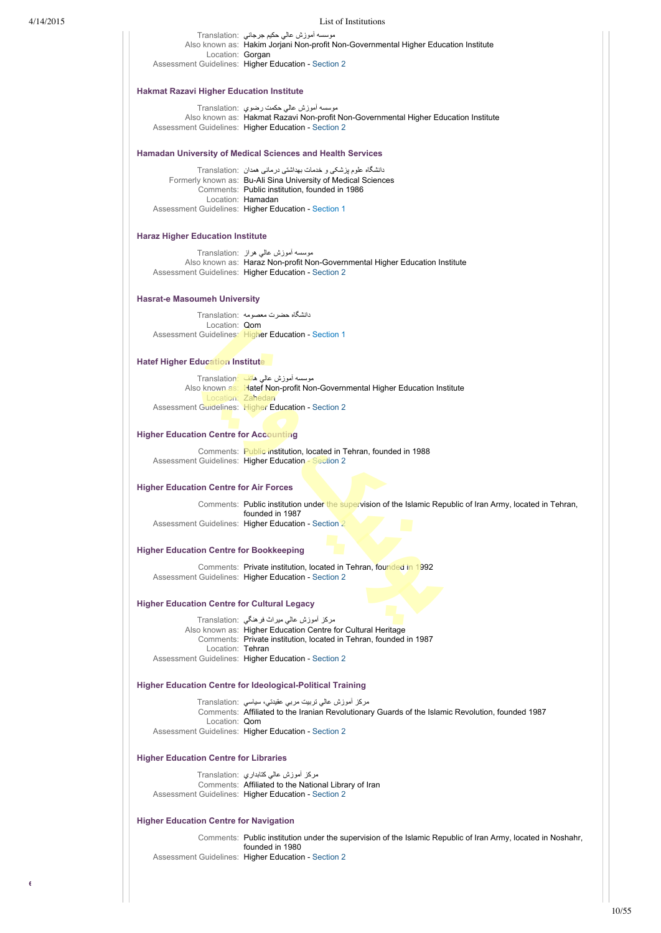# 4/14/2015 List of Institutions

|                                                    | موسسه اموزش عالی حکیم جرجانی  :Translation                                                                                     |
|----------------------------------------------------|--------------------------------------------------------------------------------------------------------------------------------|
|                                                    | Also known as: Hakim Jorjani Non-profit Non-Governmental Higher Education Institute                                            |
| Location: Gorgan                                   | Assessment Guidelines: Higher Education - Section 2                                                                            |
|                                                    |                                                                                                                                |
| <b>Hakmat Razavi Higher Education Institute</b>    |                                                                                                                                |
|                                                    | موسسه اموزش عالی حکمت رضوي  :Translation                                                                                       |
|                                                    | Also known as: Hakmat Razavi Non-profit Non-Governmental Higher Education Institute                                            |
|                                                    | Assessment Guidelines: Higher Education - Section 2                                                                            |
|                                                    |                                                                                                                                |
|                                                    | <b>Hamadan University of Medical Sciences and Health Services</b>                                                              |
|                                                    | دانشگاه علوم پزشکی و خدمات بهداشتی درمانی همدان  :Translation<br>Formerly known as: Bu-Ali Sina University of Medical Sciences |
|                                                    | Comments: Public institution, founded in 1986                                                                                  |
|                                                    | Location: Hamadan                                                                                                              |
|                                                    | Assessment Guidelines: Higher Education - Section 1                                                                            |
| <b>Haraz Higher Education Institute</b>            |                                                                                                                                |
|                                                    |                                                                                                                                |
|                                                    | موسسه أموزش عالمي هراز  :Translation<br>Also known as: Haraz Non-profit Non-Governmental Higher Education Institute            |
|                                                    | Assessment Guidelines: Higher Education - Section 2                                                                            |
|                                                    |                                                                                                                                |
| <b>Hasrat-e Masoumeh University</b>                |                                                                                                                                |
| Location: Qom                                      | دانشگاه حضرت معصومه :Translation                                                                                               |
|                                                    | Assessment Guidelines: Higher Education - Section 1                                                                            |
|                                                    |                                                                                                                                |
| <b>Hatef Higher Education Institute</b>            |                                                                                                                                |
|                                                    | موسسه أموزش عالمي هاتف :Translation                                                                                            |
|                                                    | Also known as: Hatef Non-profit Non-Governmental Higher Education Institute                                                    |
|                                                    | Location: Zahedan<br>Assessment Guidelines: Higher Education - Section 2                                                       |
|                                                    |                                                                                                                                |
| <b>Higher Education Centre for Accounting</b>      |                                                                                                                                |
|                                                    | Comments: Public institution, located in Tehran, founded in 1988                                                               |
|                                                    | Assessment Guidelines: Higher Education - Section 2                                                                            |
|                                                    |                                                                                                                                |
| <b>Higher Education Centre for Air Forces</b>      |                                                                                                                                |
|                                                    | Comments: Public institution under the supervision of the Islamic Republic of Iran Army, located in Tehran,                    |
|                                                    | founded in 1987<br>Assessment Guidelines: Higher Education - Section 2                                                         |
|                                                    |                                                                                                                                |
| <b>Higher Education Centre for Bookkeeping</b>     |                                                                                                                                |
|                                                    | Comments: Private institution, located in Tehran, founded in 1992                                                              |
|                                                    | Assessment Guidelines: Higher Education - Section 2                                                                            |
|                                                    |                                                                                                                                |
| <b>Higher Education Centre for Cultural Legacy</b> |                                                                                                                                |
|                                                    | مركز أموزش عالي ميراث فرهنگي  :Translation<br>Also known as: Higher Education Centre for Cultural Heritage                     |
|                                                    | Comments: Private institution, located in Tehran, founded in 1987                                                              |
| Location: Tehran                                   | Assessment Guidelines: Higher Education - Section 2                                                                            |
|                                                    |                                                                                                                                |
|                                                    | <b>Higher Education Centre for Ideological-Political Training</b>                                                              |
|                                                    | مرکز اموزش عالی نربیت مربی عقیدتی، سیاسی Translation:                                                                          |
|                                                    | Comments: Affiliated to the Iranian Revolutionary Guards of the Islamic Revolution, founded 1987                               |
| Location: Qom                                      | Assessment Guidelines: Higher Education - Section 2                                                                            |
|                                                    |                                                                                                                                |
| <b>Higher Education Centre for Libraries</b>       |                                                                                                                                |
|                                                    | مركز اموزش عالمي كتابداري  :Translation                                                                                        |
|                                                    | Comments: Affiliated to the National Library of Iran                                                                           |
|                                                    | Assessment Guidelines: Higher Education - Section 2                                                                            |
| <b>Higher Education Centre for Navigation</b>      |                                                                                                                                |
|                                                    | Comments: Public institution under the supervision of the Islamic Republic of Iran Army, located in Noshahr,                   |
|                                                    | founded in 1980                                                                                                                |
|                                                    | Assessment Guidelines: Higher Education - Section 2                                                                            |
|                                                    |                                                                                                                                |
|                                                    |                                                                                                                                |
|                                                    |                                                                                                                                |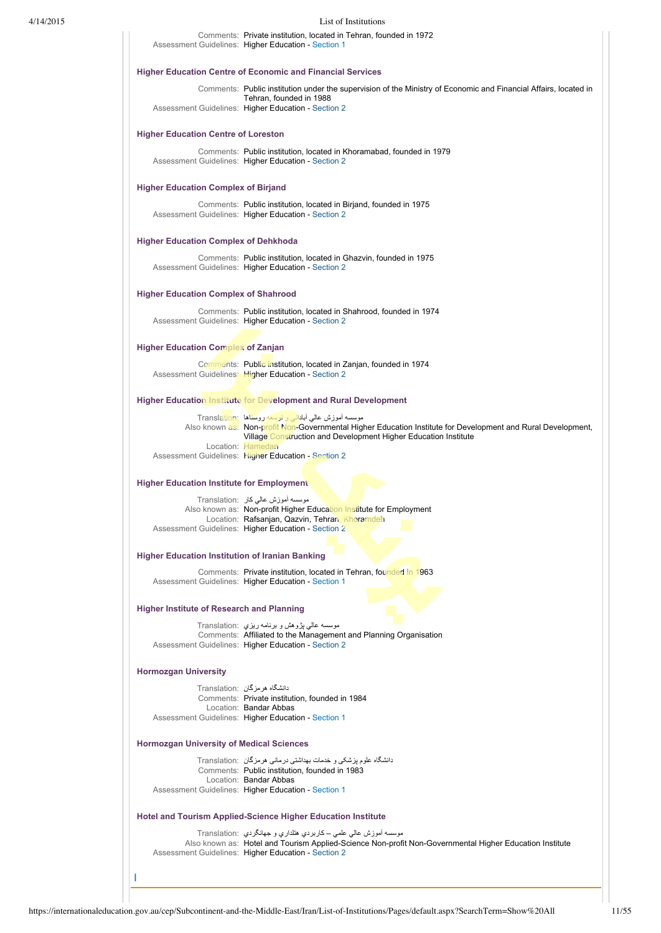### 4/14/2015 List of Institutions

Comments: Private institution, located in Tehran, founded in 1972 Assessment Guidelines: Higher Education - [Section 1](https://internationaleducation.gov.au/cep/Subcontinent-and-the-Middle-East/Iran/Assessment-Guidelines/Pages/HigherEd-S1-Default.aspx)

### **Higher Education Centre of Economic and Financial Services**

Comments: Public institution under the supervision of the Ministry of Economic and Financial Affairs, located in Tehran, founded in 1988 Assessment Guidelines: Higher Education - [Section 2](https://internationaleducation.gov.au/cep/Subcontinent-and-the-Middle-East/Iran/Assessment-Guidelines/Pages/HigherEd-S2-Default.aspx)

### **Higher Education Centre of Loreston**

Comments: Public institution, located in Khoramabad, founded in 1979 Assessment Guidelines: Higher Education - [Section 2](https://internationaleducation.gov.au/cep/Subcontinent-and-the-Middle-East/Iran/Assessment-Guidelines/Pages/HigherEd-S2-Default.aspx)

# **Higher Education Complex of Birjand**

Comments: Public institution, located in Birjand, founded in 1975 Assessment Guidelines: Higher Education - [Section 2](https://internationaleducation.gov.au/cep/Subcontinent-and-the-Middle-East/Iran/Assessment-Guidelines/Pages/HigherEd-S2-Default.aspx)

### **Higher Education Complex of Dehkhoda**

Comments: Public institution, located in Ghazvin, founded in 1975 Assessment Guidelines: Higher Education - [Section 2](https://internationaleducation.gov.au/cep/Subcontinent-and-the-Middle-East/Iran/Assessment-Guidelines/Pages/HigherEd-S2-Default.aspx)

### **Higher Education Complex of Shahrood**

Comments: Public institution, located in Shahrood, founded in 1974 Assessment Guidelines: Higher Education - [Section 2](https://internationaleducation.gov.au/cep/Subcontinent-and-the-Middle-East/Iran/Assessment-Guidelines/Pages/HigherEd-S2-Default.aspx)

# **Higher Education Complex of Zanjan**

Comments: Public institution, located in Zanjan, founded in 1974 Assessment Guidelines: Higher Education - [Section 2](https://internationaleducation.gov.au/cep/Subcontinent-and-the-Middle-East/Iran/Assessment-Guidelines/Pages/HigherEd-S2-Default.aspx)

### **Higher Education Institute for Development and Rural Development**

| موسسه أموزش عالي أباداني و توسعه روستاها :Translation                                                        |
|--------------------------------------------------------------------------------------------------------------|
| Also known as: Non-profit Non-Governmental Higher Education Institute for Development and Rural Development, |
| Village Construction and Development Higher Education Institute                                              |
| Location: Hamedan                                                                                            |
| Assessment Guidelines: Higher Education - Section 2                                                          |

### **Higher Education Institute for Employment**

موسسه آموزش عالي كار :Translation Also known as: Non-profit Higher Education Institute for Employment Location: Rafsanjan, Qazvin, Tehran, Khoramdeh Assessment Guidelines: Higher Education - [Section 2](https://internationaleducation.gov.au/cep/Subcontinent-and-the-Middle-East/Iran/Assessment-Guidelines/Pages/HigherEd-S2-Default.aspx)

### **Higher Education Institution of Iranian Banking**

Comments: Private institution, located in Tehran, founded in 1963 Assessment Guidelines: Higher Education - [Section 1](https://internationaleducation.gov.au/cep/Subcontinent-and-the-Middle-East/Iran/Assessment-Guidelines/Pages/HigherEd-S1-Default.aspx)

### **Higher Institute of Research and Planning**

موسسه عالي پژوهش و برنامه ريزي :Translation Comments: Affiliated to the Management and Planning Organisation Assessment Guidelines: Higher Education - [Section 2](https://internationaleducation.gov.au/cep/Subcontinent-and-the-Middle-East/Iran/Assessment-Guidelines/Pages/HigherEd-S2-Default.aspx)

### **Hormozgan University**

I

| دانشگاه هر مز گان :Translation                      |
|-----------------------------------------------------|
| Comments: Private institution, founded in 1984      |
| Location: Bandar Abbas                              |
| Assessment Guidelines: Higher Education - Section 1 |

### **Hormozgan University of Medical Sciences**

دانشگاه علوم پزشکی و خدمات بهداشتی درمانی هرمزگان :Translation Comments: Public institution, founded in 1983 Location: Bandar Abbas Assessment Guidelines: Higher Education - [Section 1](https://internationaleducation.gov.au/cep/Subcontinent-and-the-Middle-East/Iran/Assessment-Guidelines/Pages/HigherEd-S1-Default.aspx)

### **Hotel and Tourism Applied-Science Higher Education Institute**

موسسه آموزش عالي علمي – كاربردي هتلداري و جهانگردي :Translation Also known as: Hotel and Tourism Applied-Science Non-profit Non-Governmental Higher Education Institute Assessment Guidelines: Higher Education - [Section 2](https://internationaleducation.gov.au/cep/Subcontinent-and-the-Middle-East/Iran/Assessment-Guidelines/Pages/HigherEd-S2-Default.aspx)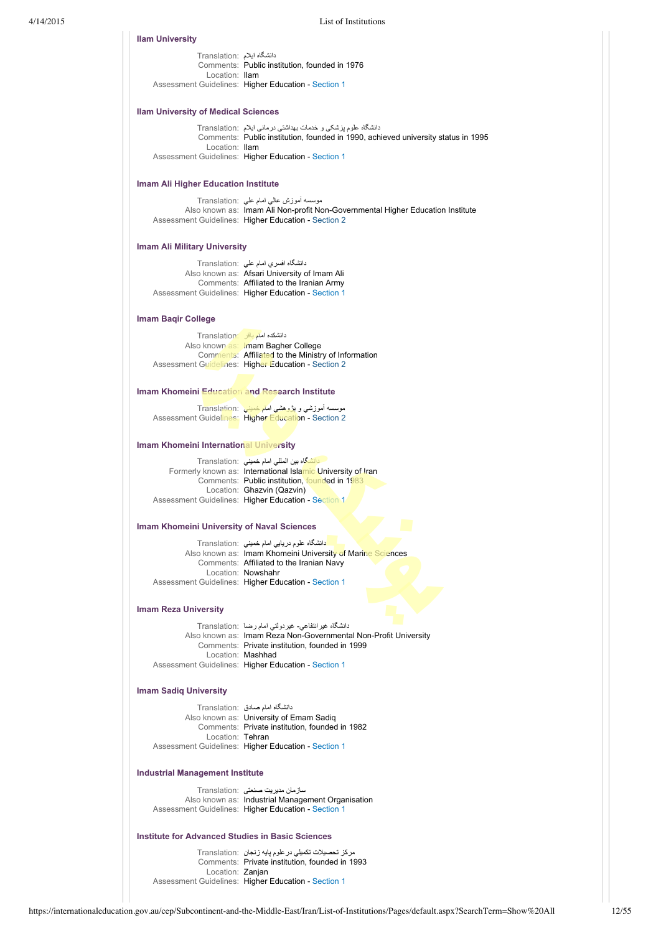#### **Ilam University**

دانشگاه ايلام :Translation Comments: Public institution, founded in 1976 Location: Ilam Assessment Guidelines: Higher Education - [Section 1](https://internationaleducation.gov.au/cep/Subcontinent-and-the-Middle-East/Iran/Assessment-Guidelines/Pages/HigherEd-S1-Default.aspx)

### **Ilam University of Medical Sciences**

دانشگاه علوم پزشکی و خدمات بهداشتی درمانی ايلام :Translation Comments: Public institution, founded in 1990, achieved university status in 1995 Location: Ilam Assessment Guidelines: Higher Education - [Section 1](https://internationaleducation.gov.au/cep/Subcontinent-and-the-Middle-East/Iran/Assessment-Guidelines/Pages/HigherEd-S1-Default.aspx)

# **Imam Ali Higher Education Institute**

موسسه آموزش عالي امام علي :Translation Also known as: Imam Ali Non-profit Non-Governmental Higher Education Institute Assessment Guidelines: Higher Education - [Section 2](https://internationaleducation.gov.au/cep/Subcontinent-and-the-Middle-East/Iran/Assessment-Guidelines/Pages/HigherEd-S2-Default.aspx)

# **Imam Ali Military University**

| دانشگاه افسری امام علی :Translation                 |
|-----------------------------------------------------|
| Also known as: Afsari University of Imam Ali        |
| Comments: Affiliated to the Iranian Army            |
| Assessment Guidelines: Higher Education - Section 1 |

### **Imam Baqir College**

دانشكده امام باقر :Translation Also known as: Imam Bagher College Comments: Affiliated to the Ministry of Information Assessment Guidelines: Higher Education - [Section 2](https://internationaleducation.gov.au/cep/Subcontinent-and-the-Middle-East/Iran/Assessment-Guidelines/Pages/HigherEd-S2-Default.aspx)

# **Imam Khomeini Education and Research Institute**

موسسه آموزشي و پژوهشي امام خميني :Translation Assessment Guidelines: Higher Education - [Section 2](https://internationaleducation.gov.au/cep/Subcontinent-and-the-Middle-East/Iran/Assessment-Guidelines/Pages/HigherEd-S2-Default.aspx)

### **Imam Khomeini International University**

دانشگاه بين المللي امام خميني :Translation Formerly known as: International Islamic University of Iran Comments: Public institution, founded in 1983 Location: Ghazvin (Qazvin) Assessment Guidelines: Higher Education - [Section 1](https://internationaleducation.gov.au/cep/Subcontinent-and-the-Middle-East/Iran/Assessment-Guidelines/Pages/HigherEd-S1-Default.aspx)

### **Imam Khomeini University of Naval Sciences**

دانشگاه علوم دريايي امام خميني :Translation Also known as: Imam Khomeini University of Marine Sciences Comments: Affiliated to the Iranian Navy Location: Nowshahr Assessment Guidelines: Higher Education - [Section 1](https://internationaleducation.gov.au/cep/Subcontinent-and-the-Middle-East/Iran/Assessment-Guidelines/Pages/HigherEd-S1-Default.aspx)

### **Imam Reza University**

دانشگاه غيرانتفاعي غيردولتي امام رضا :Translation Also known as: Imam Reza Non-Governmental Non-Profit University Comments: Private institution, founded in 1999 Location: Mashhad Assessment Guidelines: Higher Education - [Section 1](https://internationaleducation.gov.au/cep/Subcontinent-and-the-Middle-East/Iran/Assessment-Guidelines/Pages/HigherEd-S1-Default.aspx)

# **Imam Sadiq University**

دانشگاه امام صادق :Translation Also known as: University of Emam Sadiq Comments: Private institution, founded in 1982 Location: Tehran Assessment Guidelines: Higher Education - [Section 1](https://internationaleducation.gov.au/cep/Subcontinent-and-the-Middle-East/Iran/Assessment-Guidelines/Pages/HigherEd-S1-Default.aspx)

### **Industrial Management Institute**

سازمان مديريت صنعتی :Translation Also known as: Industrial Management Organisation Assessment Guidelines: Higher Education - [Section 1](https://internationaleducation.gov.au/cep/Subcontinent-and-the-Middle-East/Iran/Assessment-Guidelines/Pages/HigherEd-S1-Default.aspx)

### **Institute for Advanced Studies in Basic Sciences**

مركز تحصيلات تكميلي درعلوم پايه زنجان :Translation Comments: Private institution, founded in 1993 Location: Zanjan Assessment Guidelines: Higher Education - [Section 1](https://internationaleducation.gov.au/cep/Subcontinent-and-the-Middle-East/Iran/Assessment-Guidelines/Pages/HigherEd-S1-Default.aspx)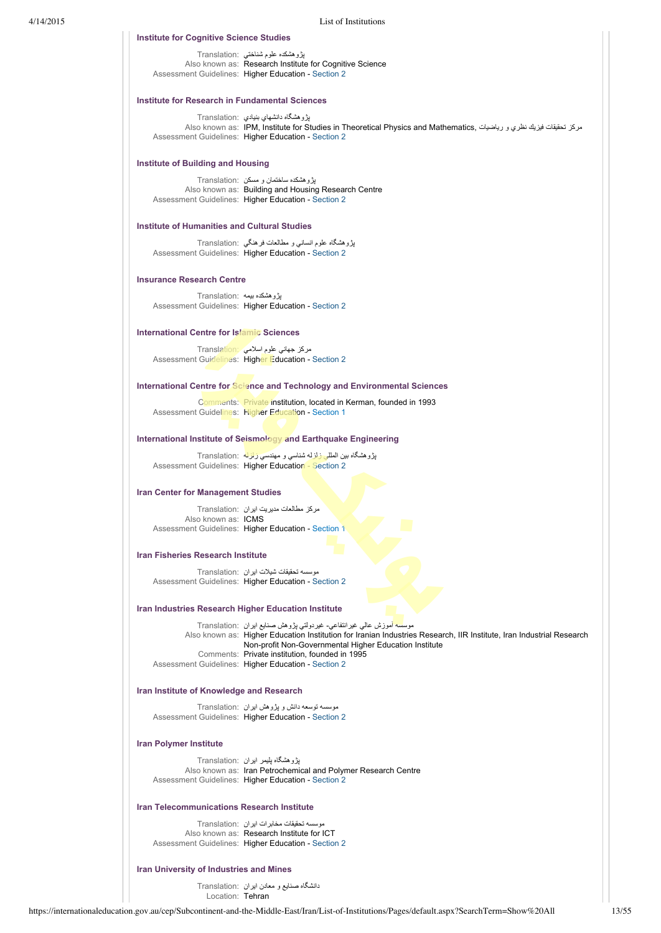| بڑو ہشکدہ علوم شناختی :Translation                      |
|---------------------------------------------------------|
| Also known as: Research Institute for Cognitive Science |
|                                                         |

Assessment Guidelines: Higher Education - [Section 2](https://internationaleducation.gov.au/cep/Subcontinent-and-the-Middle-East/Iran/Assessment-Guidelines/Pages/HigherEd-S2-Default.aspx)

### **Institute for Research in Fundamental Sciences**

**Institute for Cognitive Science Studies**

پژوهشگاه دانشهاي بنيادي :Translation Also known as: IPM, Institute for Studies in Theoretical Physics and Mathematics, رياضيات و نظري فيزيك تحقيقات مركز Assessment Guidelines: Higher Education - [Section 2](https://internationaleducation.gov.au/cep/Subcontinent-and-the-Middle-East/Iran/Assessment-Guidelines/Pages/HigherEd-S2-Default.aspx)

### **Institute of Building and Housing**

پژوهشكده ساختمان و مسكن :Translation Also known as: Building and Housing Research Centre Assessment Guidelines: Higher Education - [Section 2](https://internationaleducation.gov.au/cep/Subcontinent-and-the-Middle-East/Iran/Assessment-Guidelines/Pages/HigherEd-S2-Default.aspx)

### **Institute of Humanities and Cultural Studies**

پژوهشگاه علوم انساني و مطالعات فرهنگي :Translation Assessment Guidelines: Higher Education - [Section 2](https://internationaleducation.gov.au/cep/Subcontinent-and-the-Middle-East/Iran/Assessment-Guidelines/Pages/HigherEd-S2-Default.aspx)

# **Insurance Research Centre**

پژوهشكده بيمه :Translation Assessment Guidelines: Higher Education - [Section 2](https://internationaleducation.gov.au/cep/Subcontinent-and-the-Middle-East/Iran/Assessment-Guidelines/Pages/HigherEd-S2-Default.aspx)

### **International Centre for Islamic Sciences**

مركز جهاني علوم اسلامي :Translation Assessment Guidelines: Higher Education - [Section 2](https://internationaleducation.gov.au/cep/Subcontinent-and-the-Middle-East/Iran/Assessment-Guidelines/Pages/HigherEd-S2-Default.aspx)

# **International Centre for Science and Technology and Environmental Sciences**

Comments: Private institution, located in Kerman, founded in 1993 Assessment Guidelines: Higher Education - [Section 1](https://internationaleducation.gov.au/cep/Subcontinent-and-the-Middle-East/Iran/Assessment-Guidelines/Pages/HigherEd-S1-Default.aspx)

### **International Institute of Seismology and Earthquake Engineering**

پژوهشگاه بين المللي زلزله شناسي و مهندسي زلزله :Translation Assessment Guidelines: Higher Education - [Section 2](https://internationaleducation.gov.au/cep/Subcontinent-and-the-Middle-East/Iran/Assessment-Guidelines/Pages/HigherEd-S2-Default.aspx)

# **Iran Center for Management Studies**

مرکز مطالعات مديريت ايران :Translation Also known as: ICMS Assessment Guidelines: Higher Education - [Section 1](https://internationaleducation.gov.au/cep/Subcontinent-and-the-Middle-East/Iran/Assessment-Guidelines/Pages/HigherEd-S1-Default.aspx)

### **Iran Fisheries Research Institute**

موسسه تحقيقات شيلات ايران :Translation Assessment Guidelines: Higher Education - [Section 2](https://internationaleducation.gov.au/cep/Subcontinent-and-the-Middle-East/Iran/Assessment-Guidelines/Pages/HigherEd-S2-Default.aspx)

### **Iran Industries Research Higher Education Institute**

موسسه آموزش عالي غيرانتفاعي غيردولتي پژوهش صنايع ايران :Translation Also known as: Higher Education Institution for Iranian Industries Research, IIR Institute, Iran Industrial Research Non-profit Non-Governmental Higher Education Institute Comments: Private institution, founded in 1995 Assessment Guidelines: Higher Education - [Section 2](https://internationaleducation.gov.au/cep/Subcontinent-and-the-Middle-East/Iran/Assessment-Guidelines/Pages/HigherEd-S2-Default.aspx)

# **Iran Institute of Knowledge and Research**

موسسه توسعه دانش و پژوهش ايران :Translation Assessment Guidelines: Higher Education - [Section 2](https://internationaleducation.gov.au/cep/Subcontinent-and-the-Middle-East/Iran/Assessment-Guidelines/Pages/HigherEd-S2-Default.aspx)

# **Iran Polymer Institute**

پژوهشگاه پليمر ايران :Translation Also known as: Iran Petrochemical and Polymer Research Centre Assessment Guidelines: Higher Education - [Section 2](https://internationaleducation.gov.au/cep/Subcontinent-and-the-Middle-East/Iran/Assessment-Guidelines/Pages/HigherEd-S2-Default.aspx)

# **Iran Telecommunications Research Institute**

موسسه تحقيقات مخابرات ايران :Translation Also known as: Research Institute for ICT Assessment Guidelines: Higher Education - [Section 2](https://internationaleducation.gov.au/cep/Subcontinent-and-the-Middle-East/Iran/Assessment-Guidelines/Pages/HigherEd-S2-Default.aspx)

### **Iran University of Industries and Mines**

دانشگاه صنايع و معادن ايران :Translation Location: Tehran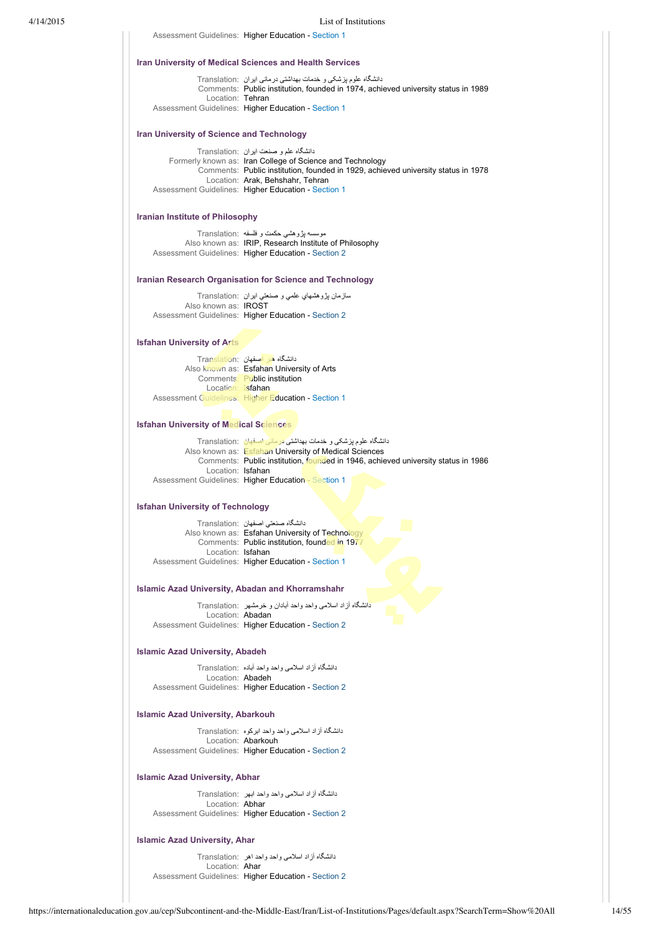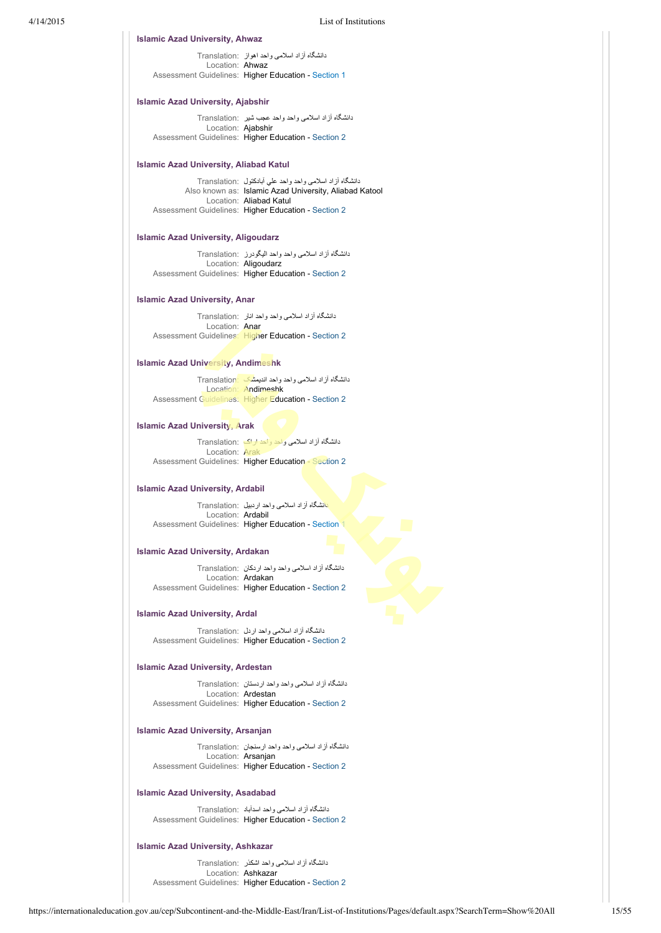### **Islamic Azad University, Ahwaz**

دانشگاه آزاد اسلامی واحد اهواز :Translation Location: Ahwaz Assessment Guidelines: Higher Education - [Section 1](https://internationaleducation.gov.au/cep/Subcontinent-and-the-Middle-East/Iran/Assessment-Guidelines/Pages/HigherEd-S1-Default.aspx)

# **Islamic Azad University, Ajabshir**

دانشگاه آزاد اسلامی واحد واحد عجب شير :Translation Location: Ajabshir Assessment Guidelines: Higher Education - [Section 2](https://internationaleducation.gov.au/cep/Subcontinent-and-the-Middle-East/Iran/Assessment-Guidelines/Pages/HigherEd-S2-Default.aspx)

### **Islamic Azad University, Aliabad Katul**

دانشگاه آزاد اسلامی واحد واحد علي آبادكتول :Translation Also known as: Islamic Azad University, Aliabad Katool Location: Aliabad Katul Assessment Guidelines: Higher Education - [Section 2](https://internationaleducation.gov.au/cep/Subcontinent-and-the-Middle-East/Iran/Assessment-Guidelines/Pages/HigherEd-S2-Default.aspx)

# **Islamic Azad University, Aligoudarz**

دانشگاه آزاد اسلامی واحد واحد اليگودرز :Translation Location: Aligoudarz Assessment Guidelines: Higher Education - [Section 2](https://internationaleducation.gov.au/cep/Subcontinent-and-the-Middle-East/Iran/Assessment-Guidelines/Pages/HigherEd-S2-Default.aspx)

### **Islamic Azad University, Anar**

دانشگاه آزاد اسلامی واحد واحد انار :Translation Location: Anar Assessment Guidelines: Higher Education - [Section 2](https://internationaleducation.gov.au/cep/Subcontinent-and-the-Middle-East/Iran/Assessment-Guidelines/Pages/HigherEd-S2-Default.aspx)

### **Islamic Azad University, Andimeshk**

دانشگاه آزاد اسلامی واحد واحد انديمشک :Translation Location: Andimeshk Assessment Guidelines: Higher Education - [Section 2](https://internationaleducation.gov.au/cep/Subcontinent-and-the-Middle-East/Iran/Assessment-Guidelines/Pages/HigherEd-S2-Default.aspx)

# **Islamic Azad University, Arak**

دانشگاه آزاد اسلامی واحد واحد اراک :Translation Location: Arak Assessment Guidelines: Higher Education - [Section 2](https://internationaleducation.gov.au/cep/Subcontinent-and-the-Middle-East/Iran/Assessment-Guidelines/Pages/HigherEd-S2-Default.aspx)

# **Islamic Azad University, Ardabil**

دانشگاه آزاد اسلامی واحد اردبيل :Translation Location: Ardabil Assessment Guidelines: Higher Education - [Section 1](https://internationaleducation.gov.au/cep/Subcontinent-and-the-Middle-East/Iran/Assessment-Guidelines/Pages/HigherEd-S1-Default.aspx)

### **Islamic Azad University, Ardakan**

دانشگاه آزاد اسلامی واحد واحد اردکان :Translation Location: Ardakan Assessment Guidelines: Higher Education - [Section 2](https://internationaleducation.gov.au/cep/Subcontinent-and-the-Middle-East/Iran/Assessment-Guidelines/Pages/HigherEd-S2-Default.aspx)

# **Islamic Azad University, Ardal**

دانشگاه آزاد اسلامی واحد اردل :Translation Assessment Guidelines: Higher Education - [Section 2](https://internationaleducation.gov.au/cep/Subcontinent-and-the-Middle-East/Iran/Assessment-Guidelines/Pages/HigherEd-S2-Default.aspx)

# **Islamic Azad University, Ardestan**

دانشگاه آزاد اسلامی واحد واحد اردستان :Translation Location: Ardestan Assessment Guidelines: Higher Education - [Section 2](https://internationaleducation.gov.au/cep/Subcontinent-and-the-Middle-East/Iran/Assessment-Guidelines/Pages/HigherEd-S2-Default.aspx)

# **Islamic Azad University, Arsanjan**

دانشگاه آزاد اسلامی واحد واحد ارسنجان :Translation Location: Arsanjan Assessment Guidelines: Higher Education - [Section 2](https://internationaleducation.gov.au/cep/Subcontinent-and-the-Middle-East/Iran/Assessment-Guidelines/Pages/HigherEd-S2-Default.aspx)

### **Islamic Azad University, Asadabad**

دانشگاه آزاد اسلامی واحد اسدآباد :Translation Assessment Guidelines: Higher Education - [Section 2](https://internationaleducation.gov.au/cep/Subcontinent-and-the-Middle-East/Iran/Assessment-Guidelines/Pages/HigherEd-S2-Default.aspx)

# **Islamic Azad University, Ashkazar**

دانشگاه آزاد اسلامی واحد اشكذر :Translation Location: Ashkazar Assessment Guidelines: Higher Education - [Section 2](https://internationaleducation.gov.au/cep/Subcontinent-and-the-Middle-East/Iran/Assessment-Guidelines/Pages/HigherEd-S2-Default.aspx)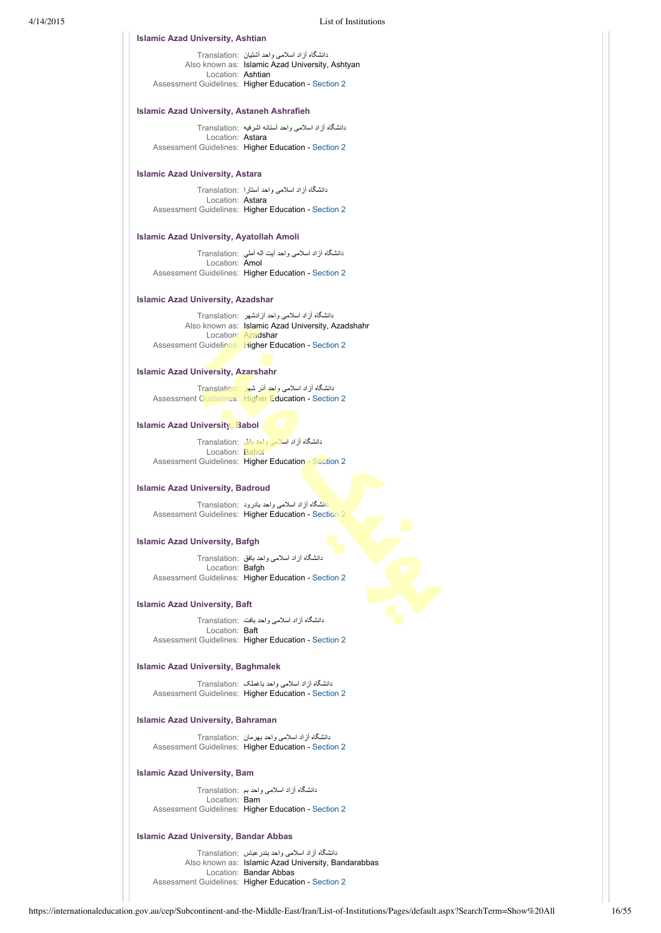### **Islamic Azad University, Ashtian**

دانشگاه آزاد اسلامی واحد آشتيان :Translation Also known as: Islamic Azad University, Ashtyan Location: Ashtian Assessment Guidelines: Higher Education - [Section 2](https://internationaleducation.gov.au/cep/Subcontinent-and-the-Middle-East/Iran/Assessment-Guidelines/Pages/HigherEd-S2-Default.aspx)

### **Islamic Azad University, Astaneh Ashrafieh**

دانشگاه آزاد اسلامی واحد آستانه اشرفيه :Translation Location: Astara Assessment Guidelines: Higher Education - [Section 2](https://internationaleducation.gov.au/cep/Subcontinent-and-the-Middle-East/Iran/Assessment-Guidelines/Pages/HigherEd-S2-Default.aspx)

# **Islamic Azad University, Astara**

دانشگاه آزاد اسلامی واحد آستارا :Translation Location: Astara Assessment Guidelines: Higher Education - [Section 2](https://internationaleducation.gov.au/cep/Subcontinent-and-the-Middle-East/Iran/Assessment-Guidelines/Pages/HigherEd-S2-Default.aspx)

# **Islamic Azad University, Ayatollah Amoli**

دانشگاه آزاد اسلامی واحد آيت اله آملي :Translation Location: Amol Assessment Guidelines: Higher Education - [Section 2](https://internationaleducation.gov.au/cep/Subcontinent-and-the-Middle-East/Iran/Assessment-Guidelines/Pages/HigherEd-S2-Default.aspx)

### **Islamic Azad University, Azadshar**

دانشگاه آزاد اسلامی واحد آزادشهر :Translation Also known as: Islamic Azad University, Azadshahr Location: Azadshar Assessment Guidelines: Higher Education - [Section 2](https://internationaleducation.gov.au/cep/Subcontinent-and-the-Middle-East/Iran/Assessment-Guidelines/Pages/HigherEd-S2-Default.aspx)

### **Islamic Azad University, Azarshahr**

دانشگاه آزاد اسلامی واحد آذر شهر :Translation Assessment Guidelines: Higher Education - [Section 2](https://internationaleducation.gov.au/cep/Subcontinent-and-the-Middle-East/Iran/Assessment-Guidelines/Pages/HigherEd-S2-Default.aspx)

### **Islamic Azad University, Babol**

دانشگاه آزاد اسلامی واحد بابل :Translation Location: Babol Assessment Guidelines: Higher Education - [Section 2](https://internationaleducation.gov.au/cep/Subcontinent-and-the-Middle-East/Iran/Assessment-Guidelines/Pages/HigherEd-S2-Default.aspx)

### **Islamic Azad University, Badroud**

دانشگاه آزاد اسلامی واحد بادرود :Translation Assessment Guidelines: Higher Education - [Section 2](https://internationaleducation.gov.au/cep/Subcontinent-and-the-Middle-East/Iran/Assessment-Guidelines/Pages/HigherEd-S2-Default.aspx)

# **Islamic Azad University, Bafgh**

دانشگاه آزاد اسلامی واحد بافق :Translation Location: Bafgh Assessment Guidelines: Higher Education - [Section 2](https://internationaleducation.gov.au/cep/Subcontinent-and-the-Middle-East/Iran/Assessment-Guidelines/Pages/HigherEd-S2-Default.aspx)

# **Islamic Azad University, Baft**

دانشگاه آزاد اسلامی واحد بافت :Translation Location: Baft Assessment Guidelines: Higher Education - [Section 2](https://internationaleducation.gov.au/cep/Subcontinent-and-the-Middle-East/Iran/Assessment-Guidelines/Pages/HigherEd-S2-Default.aspx)

# **Islamic Azad University, Baghmalek**

دانشگاه آزاد اسلامی واحد باغملک :Translation Assessment Guidelines: Higher Education - [Section 2](https://internationaleducation.gov.au/cep/Subcontinent-and-the-Middle-East/Iran/Assessment-Guidelines/Pages/HigherEd-S2-Default.aspx)

### **Islamic Azad University, Bahraman**

دانشگاه آزاد اسلامی واحد بهرمان :Translation Assessment Guidelines: Higher Education - [Section 2](https://internationaleducation.gov.au/cep/Subcontinent-and-the-Middle-East/Iran/Assessment-Guidelines/Pages/HigherEd-S2-Default.aspx)

### **Islamic Azad University, Bam**

دانشگاه آزاد اسلامی واحد بم :Translation Location: **Bam** Assessment Guidelines: Higher Education - [Section 2](https://internationaleducation.gov.au/cep/Subcontinent-and-the-Middle-East/Iran/Assessment-Guidelines/Pages/HigherEd-S2-Default.aspx)

### **Islamic Azad University, Bandar Abbas**

دانشگاه آزاد اسلامی واحد بندرعباس :Translation Also known as: Islamic Azad University, Bandarabbas Location: Bandar Abbas Assessment Guidelines: Higher Education - [Section 2](https://internationaleducation.gov.au/cep/Subcontinent-and-the-Middle-East/Iran/Assessment-Guidelines/Pages/HigherEd-S2-Default.aspx)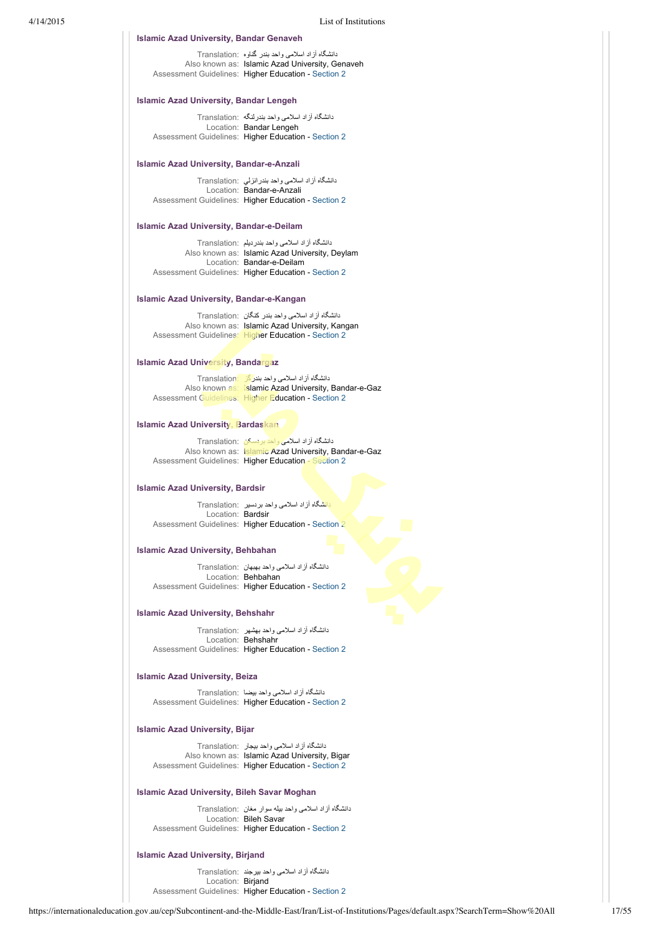# **Islamic Azad University, Bandar Genaveh**

دانشگاه آزاد اسلامی واحد بندر گناوه :Translation Also known as: Islamic Azad University, Genaveh Assessment Guidelines: Higher Education - [Section 2](https://internationaleducation.gov.au/cep/Subcontinent-and-the-Middle-East/Iran/Assessment-Guidelines/Pages/HigherEd-S2-Default.aspx)

# **Islamic Azad University, Bandar Lengeh**

دانشگاه آزاد اسلامی واحد بندرلنگه :Translation Location: Bandar Lengeh Assessment Guidelines: Higher Education - [Section 2](https://internationaleducation.gov.au/cep/Subcontinent-and-the-Middle-East/Iran/Assessment-Guidelines/Pages/HigherEd-S2-Default.aspx)

### **Islamic Azad University, Bandar-e-Anzali**

دانشگاه آزاد اسلامی واحد بندرانزلي :Translation Location: Bandar-e-Anzali Assessment Guidelines: Higher Education - [Section 2](https://internationaleducation.gov.au/cep/Subcontinent-and-the-Middle-East/Iran/Assessment-Guidelines/Pages/HigherEd-S2-Default.aspx)

### **Islamic Azad University, Bandar-e-Deilam**

| دانشگاه آزاد اسلامی واحد بندردیلم Translation:      |
|-----------------------------------------------------|
| Also known as: Islamic Azad University, Deylam      |
| Location: Bandar-e-Deilam                           |
| Assessment Guidelines: Higher Education - Section 2 |

### **Islamic Azad University, Bandar-e-Kangan**

دانشگاه آزاد اسلامی واحد بندر کنگان :Translation Also known as: Islamic Azad University, Kangan Assessment Guidelines: Higher Education - [Section 2](https://internationaleducation.gov.au/cep/Subcontinent-and-the-Middle-East/Iran/Assessment-Guidelines/Pages/HigherEd-S2-Default.aspx)

### **Islamic Azad University, Bandargaz**

دانشگاه آزاد اسلامی واحد بند<mark>رگز :Translation</mark> Also known as: Islamic Azad University, Bandar-e-Gaz Assessment Guidelines: Higher Education - [Section 2](https://internationaleducation.gov.au/cep/Subcontinent-and-the-Middle-East/Iran/Assessment-Guidelines/Pages/HigherEd-S2-Default.aspx)

# **Islamic Azad University, Bardaskan**

دانشگاه آزاد اسلامی واحد بردسکن :Translation Also known as: Islamic Azad University, Bandar-e-Gaz Assessment Guidelines: Higher Education - [Section 2](https://internationaleducation.gov.au/cep/Subcontinent-and-the-Middle-East/Iran/Assessment-Guidelines/Pages/HigherEd-S2-Default.aspx)

### **Islamic Azad University, Bardsir**

دانشگاه آزاد اسلامی واحد بردسير :Translation Location: Bardsir Assessment Guidelines: Higher Education - [Section 2](https://internationaleducation.gov.au/cep/Subcontinent-and-the-Middle-East/Iran/Assessment-Guidelines/Pages/HigherEd-S2-Default.aspx)

### **Islamic Azad University, Behbahan**

دانشگاه آزاد اسلامی واحد بهبهان :Translation Location: Behbahan Assessment Guidelines: Higher Education - [Section 2](https://internationaleducation.gov.au/cep/Subcontinent-and-the-Middle-East/Iran/Assessment-Guidelines/Pages/HigherEd-S2-Default.aspx)

### **Islamic Azad University, Behshahr**

دانشگاه آزاد اسلامی واحد بهشهر :Translation Location: Behshahr Assessment Guidelines: Higher Education - [Section 2](https://internationaleducation.gov.au/cep/Subcontinent-and-the-Middle-East/Iran/Assessment-Guidelines/Pages/HigherEd-S2-Default.aspx)

### **Islamic Azad University, Beiza**

دانشگاه آزاد اسلامی واحد بيضا :Translation Assessment Guidelines: Higher Education - [Section 2](https://internationaleducation.gov.au/cep/Subcontinent-and-the-Middle-East/Iran/Assessment-Guidelines/Pages/HigherEd-S2-Default.aspx)

### **Islamic Azad University, Bijar**

دانشگاه آزاد اسلامی واحد بيجار :Translation Also known as: Islamic Azad University, Bigar Assessment Guidelines: Higher Education - [Section 2](https://internationaleducation.gov.au/cep/Subcontinent-and-the-Middle-East/Iran/Assessment-Guidelines/Pages/HigherEd-S2-Default.aspx)

### **Islamic Azad University, Bileh Savar Moghan**

دانشگاه آزاد اسلامی واحد بيله سوار مغان :Translation Location: Bileh Savar Assessment Guidelines: Higher Education - [Section 2](https://internationaleducation.gov.au/cep/Subcontinent-and-the-Middle-East/Iran/Assessment-Guidelines/Pages/HigherEd-S2-Default.aspx)

# **Islamic Azad University, Birjand**

دانشگاه آزاد اسلامی واحد بيرجند :Translation Location: Birjand Assessment Guidelines: Higher Education - [Section 2](https://internationaleducation.gov.au/cep/Subcontinent-and-the-Middle-East/Iran/Assessment-Guidelines/Pages/HigherEd-S2-Default.aspx)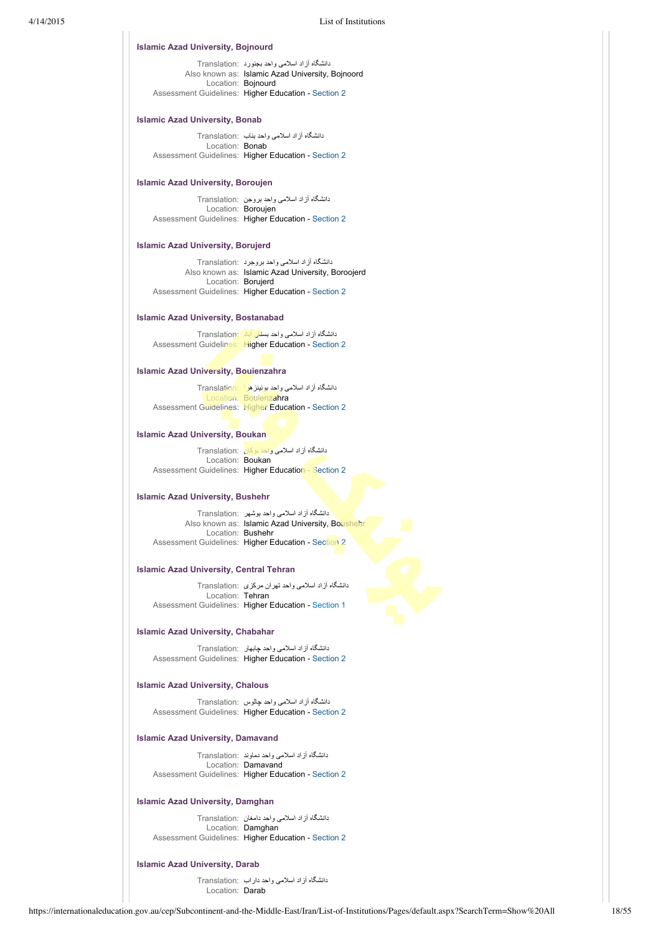| Islamic Azad University, Bojnourd          |                                                                                                                                                          |  |  |
|--------------------------------------------|----------------------------------------------------------------------------------------------------------------------------------------------------------|--|--|
| Location: Bojnourd                         | دانشگاه آزاد اسلامی واحد بجنورد Translation:<br>Also known as: Islamic Azad University, Bojnoord<br>Assessment Guidelines: Higher Education - Section 2  |  |  |
|                                            |                                                                                                                                                          |  |  |
| Islamic Azad University, Bonab             |                                                                                                                                                          |  |  |
| Location: Bonab                            | دانشگاه از اد اسلامی واحد بناب :Translation<br>Assessment Guidelines: Higher Education - Section 2                                                       |  |  |
| Islamic Azad University, Boroujen          |                                                                                                                                                          |  |  |
| Location: Boroujen                         | دانشگاه از اد اسلامی واحد بروجن   :Translation<br>Assessment Guidelines: Higher Education - Section 2                                                    |  |  |
| Islamic Azad University, Borujerd          |                                                                                                                                                          |  |  |
| Location: Borujerd                         | دانشگاه آزاد اسلامی واحد بروجرد ۲ranslation:<br>Also known as: Islamic Azad University, Boroojerd<br>Assessment Guidelines: Higher Education - Section 2 |  |  |
| <b>Islamic Azad University, Bostanabad</b> |                                                                                                                                                          |  |  |
|                                            |                                                                                                                                                          |  |  |
|                                            | دانشگاه آز اد اسلامی واحد بستان آباد Translation<br>Assessment Guidelines: Higher Education - Section 2                                                  |  |  |
| Islamic Azad University, Bouienzahra       |                                                                                                                                                          |  |  |
|                                            | دانشگاه آزاد اسلامی واحد بونینز هرا Translation:                                                                                                         |  |  |
|                                            | Location: Boujenzahra<br>Assessment Guidelines: Higher Education - Section 2                                                                             |  |  |
| <b>Islamic Azad University, Boukan</b>     |                                                                                                                                                          |  |  |
| Location: Boukan                           | دانشگاه آزاد اسلامی واحد بوکان Translation:<br>Assessment Guidelines: Higher Education - Section 2                                                       |  |  |
| Islamic Azad University, Bushehr           |                                                                                                                                                          |  |  |
| Location: Bushehr                          | دانشگاه آزاد اسلامی واحد بوشهر  :Translation<br>Also known as: Islamic Azad University, Boushehr                                                         |  |  |
|                                            | Assessment Guidelines: Higher Education - Section 2                                                                                                      |  |  |
| Islamic Azad University, Central Tehran    |                                                                                                                                                          |  |  |
|                                            | دانشگاه آزاد اسلامی واحد تهران مرکزی Translation:                                                                                                        |  |  |
| Location: Tehran                           | Assessment Guidelines: Higher Education - Section 1                                                                                                      |  |  |
| <b>Islamic Azad University, Chabahar</b>   |                                                                                                                                                          |  |  |
|                                            | دانشگاه آزاد اسلامی واحد چابهار :Translation<br>Assessment Guidelines: Higher Education - Section 2                                                      |  |  |
| Islamic Azad University, Chalous           |                                                                                                                                                          |  |  |
|                                            | دانشگاه ازاد اسلامی واحد چالوس   :Translation<br>Assessment Guidelines: Higher Education - Section 2                                                     |  |  |
| Islamic Azad University, Damavand          |                                                                                                                                                          |  |  |
|                                            | دانشگاه از اد اسلامی واحد دماوند ۲ranslation:                                                                                                            |  |  |
|                                            | Location: Damavand<br>Assessment Guidelines: Higher Education - Section 2                                                                                |  |  |

**Islamic Azad University, Damghan**

دانشگاه آزاد اسلامی واحد دامغان :Translation Location: Damghan Assessment Guidelines: Higher Education - [Section 2](https://internationaleducation.gov.au/cep/Subcontinent-and-the-Middle-East/Iran/Assessment-Guidelines/Pages/HigherEd-S2-Default.aspx)

# **Islamic Azad University, Darab**

دانشگاه آزاد اسلامی واحد داراب :Translation Location: Darab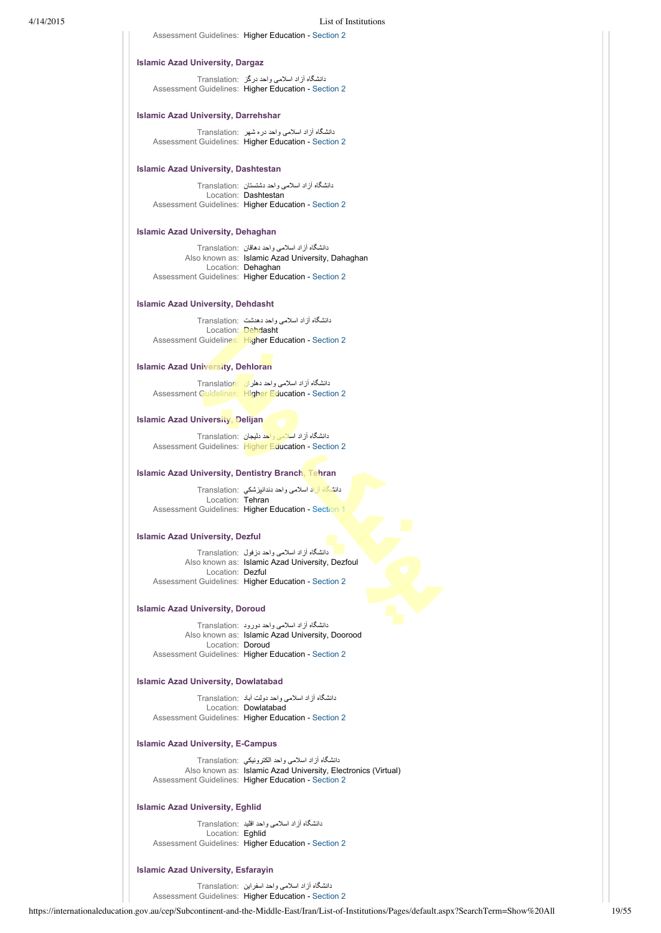Assessment Guidelines: Higher Education - [Section 2](https://internationaleducation.gov.au/cep/Subcontinent-and-the-Middle-East/Iran/Assessment-Guidelines/Pages/HigherEd-S2-Default.aspx)

### **Islamic Azad University, Dargaz**

دانشگاه آزاد اسلامی واحد درگز :Translation Assessment Guidelines: Higher Education - [Section 2](https://internationaleducation.gov.au/cep/Subcontinent-and-the-Middle-East/Iran/Assessment-Guidelines/Pages/HigherEd-S2-Default.aspx)

# **Islamic Azad University, Darrehshar**

دانشگاه آزاد اسلامی واحد دره شهر :Translation Assessment Guidelines: Higher Education - [Section 2](https://internationaleducation.gov.au/cep/Subcontinent-and-the-Middle-East/Iran/Assessment-Guidelines/Pages/HigherEd-S2-Default.aspx)

### **Islamic Azad University, Dashtestan**

دانشگاه آزاد اسلامی واحد دشتستان :Translation Location: Dashtestan Assessment Guidelines: Higher Education - [Section 2](https://internationaleducation.gov.au/cep/Subcontinent-and-the-Middle-East/Iran/Assessment-Guidelines/Pages/HigherEd-S2-Default.aspx)

### **Islamic Azad University, Dehaghan**

دانشگاه آزاد اسلامی واحد دهاقان :Translation Also known as: Islamic Azad University, Dahaghan Location: Dehaghan Assessment Guidelines: Higher Education - [Section 2](https://internationaleducation.gov.au/cep/Subcontinent-and-the-Middle-East/Iran/Assessment-Guidelines/Pages/HigherEd-S2-Default.aspx)

### **Islamic Azad University, Dehdasht**

دانشگاه آزاد اسلامی واحد دهدشت :Translation Location: Dehdasht Assessment Guidelines: Higher Education - [Section 2](https://internationaleducation.gov.au/cep/Subcontinent-and-the-Middle-East/Iran/Assessment-Guidelines/Pages/HigherEd-S2-Default.aspx)

## **Islamic Azad University, Dehloran**

دانشگاه آزاد اسلامی واحد دهلران :Translation Assessment Guidelines: Higher Education - [Section 2](https://internationaleducation.gov.au/cep/Subcontinent-and-the-Middle-East/Iran/Assessment-Guidelines/Pages/HigherEd-S2-Default.aspx)

### **Islamic Azad University, Delijan**

دانشگاه آزاد اسلامی واحد دليجان :Translation Assessment Guidelines: Higher Education - [Section 2](https://internationaleducation.gov.au/cep/Subcontinent-and-the-Middle-East/Iran/Assessment-Guidelines/Pages/HigherEd-S2-Default.aspx)

# **Islamic Azad University, Dentistry Branch, Tehran**

دانشگاه آزاد اسلامی واحد دندانپزشكي :Translation Location: Tehran Assessment Guidelines: Higher Education - [Section 1](https://internationaleducation.gov.au/cep/Subcontinent-and-the-Middle-East/Iran/Assessment-Guidelines/Pages/HigherEd-S1-Default.aspx)

### **Islamic Azad University, Dezful**

دانشگاه آزاد اسلامی واحد دزفول :Translation Also known as: Islamic Azad University, Dezfoul Location: Dezful Assessment Guidelines: Higher Education - [Section 2](https://internationaleducation.gov.au/cep/Subcontinent-and-the-Middle-East/Iran/Assessment-Guidelines/Pages/HigherEd-S2-Default.aspx)

### **Islamic Azad University, Doroud**

دانشگاه آزاد اسلامی واحد دورود :Translation Also known as: Islamic Azad University, Doorood Location: Doroud Assessment Guidelines: Higher Education - [Section 2](https://internationaleducation.gov.au/cep/Subcontinent-and-the-Middle-East/Iran/Assessment-Guidelines/Pages/HigherEd-S2-Default.aspx)

### **Islamic Azad University, Dowlatabad**

دانشگاه آزاد اسلامی واحد دولت آباد :Translation Location: Dowlatabad Assessment Guidelines: Higher Education - [Section 2](https://internationaleducation.gov.au/cep/Subcontinent-and-the-Middle-East/Iran/Assessment-Guidelines/Pages/HigherEd-S2-Default.aspx)

### **Islamic Azad University, E-Campus**

دانشگاه آزاد اسلامی واحد الكترونيكي :Translation Also known as: Islamic Azad University, Electronics (Virtual) Assessment Guidelines: Higher Education - [Section 2](https://internationaleducation.gov.au/cep/Subcontinent-and-the-Middle-East/Iran/Assessment-Guidelines/Pages/HigherEd-S2-Default.aspx)

# **Islamic Azad University, Eghlid**

دانشگاه آزاد اسلامی واحد اقليد :Translation Location: Eghlid Assessment Guidelines: Higher Education - [Section 2](https://internationaleducation.gov.au/cep/Subcontinent-and-the-Middle-East/Iran/Assessment-Guidelines/Pages/HigherEd-S2-Default.aspx)

### **Islamic Azad University, Esfarayin**

دانشگاه آزاد اسلامی واحد اسفراين :Translation Assessment Guidelines: Higher Education - [Section 2](https://internationaleducation.gov.au/cep/Subcontinent-and-the-Middle-East/Iran/Assessment-Guidelines/Pages/HigherEd-S2-Default.aspx)

https://internationaleducation.gov.au/cep/Subcontinent-and-the-Middle-East/Iran/List-of-Institutions/Pages/default.aspx?SearchTerm=Show%20All 19/55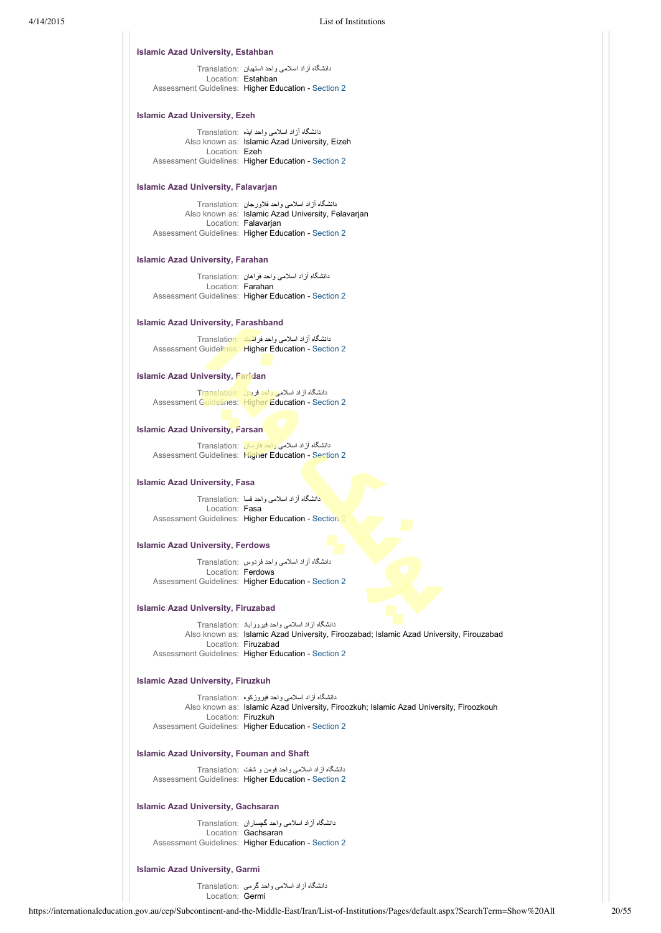### **Islamic Azad University, Estahban**

دانشگاه آزاد اسلامی واحد استهبان :Translation Location: Estahban Assessment Guidelines: Higher Education - [Section 2](https://internationaleducation.gov.au/cep/Subcontinent-and-the-Middle-East/Iran/Assessment-Guidelines/Pages/HigherEd-S2-Default.aspx)

# **Islamic Azad University, Ezeh**

دانشگاه آزاد اسلامی واحد ايذه :Translation Also known as: Islamic Azad University, Eizeh Location: Ezeh Assessment Guidelines: Higher Education - [Section 2](https://internationaleducation.gov.au/cep/Subcontinent-and-the-Middle-East/Iran/Assessment-Guidelines/Pages/HigherEd-S2-Default.aspx)

# **Islamic Azad University, Falavarjan**

دانشگاه آزاد اسلامی واحد فلاورجان :Translation Also known as: Islamic Azad University, Felavarjan Location: Falavarjan Assessment Guidelines: Higher Education - [Section 2](https://internationaleducation.gov.au/cep/Subcontinent-and-the-Middle-East/Iran/Assessment-Guidelines/Pages/HigherEd-S2-Default.aspx)

### **Islamic Azad University, Farahan**

دانشگاه آزاد اسلامی واحد فراهان :Translation Location: Farahan Assessment Guidelines: Higher Education - [Section 2](https://internationaleducation.gov.au/cep/Subcontinent-and-the-Middle-East/Iran/Assessment-Guidelines/Pages/HigherEd-S2-Default.aspx)

### **Islamic Azad University, Farashband**

دانشگاه آزاد اسلامی واحد فراشبند :Translation Assessment Guidelines: Higher Education - [Section 2](https://internationaleducation.gov.au/cep/Subcontinent-and-the-Middle-East/Iran/Assessment-Guidelines/Pages/HigherEd-S2-Default.aspx)

# **Islamic Azad University, Faridan**

دانشگاه آزاد اسلامی واحد فريدن :Translation Assessment Guidelines: Higher Education - [Section 2](https://internationaleducation.gov.au/cep/Subcontinent-and-the-Middle-East/Iran/Assessment-Guidelines/Pages/HigherEd-S2-Default.aspx)

# **Islamic Azad University, Farsan**

دانشگاه آزاد اسلامی واحد فارسان :Translation Assessment Guidelines: Higher Education - [Section 2](https://internationaleducation.gov.au/cep/Subcontinent-and-the-Middle-East/Iran/Assessment-Guidelines/Pages/HigherEd-S2-Default.aspx)

### **Islamic Azad University, Fasa**

دانشگاه آزاد اسلامی واحد فسا :Translation Location: Fasa Assessment Guidelines: Higher Education - Section

### **Islamic Azad University, Ferdows**

دانشگاه آزاد اسلامی واحد فردوس :Translation Location: Ferdows Assessment Guidelines: Higher Education - [Section 2](https://internationaleducation.gov.au/cep/Subcontinent-and-the-Middle-East/Iran/Assessment-Guidelines/Pages/HigherEd-S2-Default.aspx)

### **Islamic Azad University, Firuzabad**

دانشگاه آزاد اسلامی واحد فيروزآباد :Translation Also known as: Islamic Azad University, Firoozabad; Islamic Azad University, Firouzabad Location: Firuzabad Assessment Guidelines: Higher Education - [Section 2](https://internationaleducation.gov.au/cep/Subcontinent-and-the-Middle-East/Iran/Assessment-Guidelines/Pages/HigherEd-S2-Default.aspx)

### **Islamic Azad University, Firuzkuh**

دانشگاه آزاد اسلامی واحد فيروزكوه :Translation Also known as: Islamic Azad University, Firoozkuh; Islamic Azad University, Firoozkouh Location: Firuzkuh Assessment Guidelines: Higher Education - [Section 2](https://internationaleducation.gov.au/cep/Subcontinent-and-the-Middle-East/Iran/Assessment-Guidelines/Pages/HigherEd-S2-Default.aspx)

# **Islamic Azad University, Fouman and Shaft**

دانشگاه آزاد اسلامی واحد فومن و شفت :Translation Assessment Guidelines: Higher Education - [Section 2](https://internationaleducation.gov.au/cep/Subcontinent-and-the-Middle-East/Iran/Assessment-Guidelines/Pages/HigherEd-S2-Default.aspx)

# **Islamic Azad University, Gachsaran**

دانشگاه آزاد اسلامی واحد گچساران :Translation Location: Gachsaran Assessment Guidelines: Higher Education - [Section 2](https://internationaleducation.gov.au/cep/Subcontinent-and-the-Middle-East/Iran/Assessment-Guidelines/Pages/HigherEd-S2-Default.aspx)

### **Islamic Azad University, Garmi**

دانشگاه آزاد اسلامی واحد گرمی :Translation Location: Germi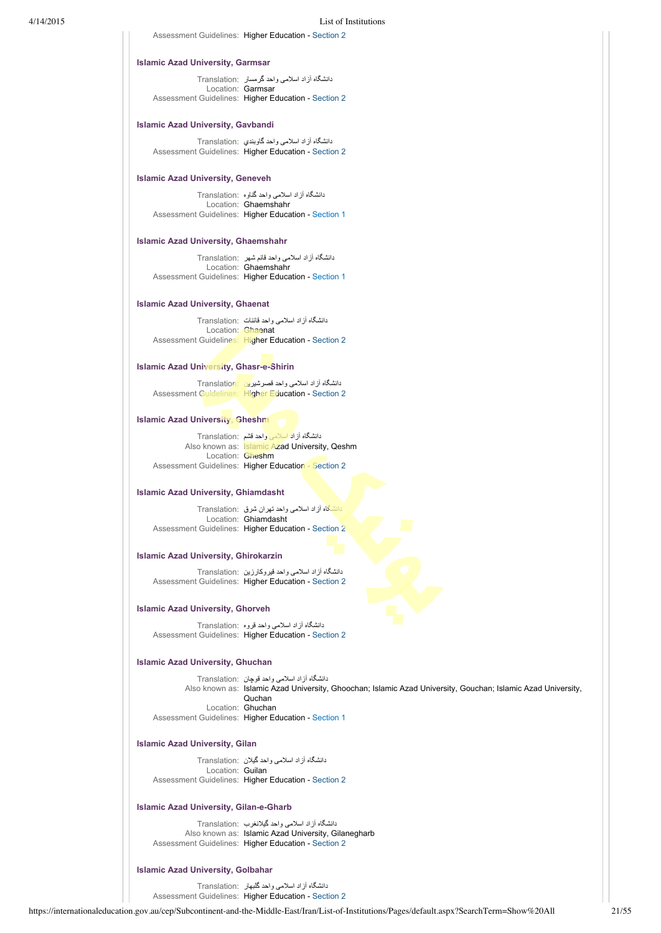Assessment Guidelines: Higher Education - [Section 2](https://internationaleducation.gov.au/cep/Subcontinent-and-the-Middle-East/Iran/Assessment-Guidelines/Pages/HigherEd-S2-Default.aspx)

### **Islamic Azad University, Garmsar**

دانشگاه آزاد اسلامی واحد گرمسار :Translation Location: Garmsar Assessment Guidelines: Higher Education - [Section 2](https://internationaleducation.gov.au/cep/Subcontinent-and-the-Middle-East/Iran/Assessment-Guidelines/Pages/HigherEd-S2-Default.aspx)

# **Islamic Azad University, Gavbandi**

دانشگاه آزاد اسلامی واحد گاوبندي :Translation Assessment Guidelines: Higher Education - [Section 2](https://internationaleducation.gov.au/cep/Subcontinent-and-the-Middle-East/Iran/Assessment-Guidelines/Pages/HigherEd-S2-Default.aspx)

### **Islamic Azad University, Geneveh**

دانشگاه آزاد اسلامی واحد گناوه :Translation Location: Ghaemshahr Assessment Guidelines: Higher Education - [Section 1](https://internationaleducation.gov.au/cep/Subcontinent-and-the-Middle-East/Iran/Assessment-Guidelines/Pages/HigherEd-S1-Default.aspx)

### **Islamic Azad University, Ghaemshahr**

دانشگاه آزاد اسلامی واحد قائم شهر :Translation Location: Ghaemshahr Assessment Guidelines: Higher Education - [Section 1](https://internationaleducation.gov.au/cep/Subcontinent-and-the-Middle-East/Iran/Assessment-Guidelines/Pages/HigherEd-S1-Default.aspx)

### **Islamic Azad University, Ghaenat**

دانشگاه آزاد اسلامی واحد قائنات :Translation Location: **Ghaenat** Assessment Guidelines: Higher Education - [Section 2](https://internationaleducation.gov.au/cep/Subcontinent-and-the-Middle-East/Iran/Assessment-Guidelines/Pages/HigherEd-S2-Default.aspx)

# **Islamic Azad University, Ghasr-e-Shirin**

دانشگاه آزاد اسلامی واحد قصرشيرين :Translation Assessment Guidelines: Higher Education - [Section 2](https://internationaleducation.gov.au/cep/Subcontinent-and-the-Middle-East/Iran/Assessment-Guidelines/Pages/HigherEd-S2-Default.aspx)

### **Islamic Azad University, Gheshm**

دانشگاه آزاد اسلامی واحد قشم :Translation Also known as: Islamic Azad University, Qeshm Location: Gheshm Assessment Guidelines: Higher Education - [Section 2](https://internationaleducation.gov.au/cep/Subcontinent-and-the-Middle-East/Iran/Assessment-Guidelines/Pages/HigherEd-S2-Default.aspx)

### **Islamic Azad University, Ghiamdasht**

دانشگاه آزاد اسلامی واحد تهران شرق :Translation Location: Ghiamdasht Assessment Guidelines: Higher Education - [Section 2](https://internationaleducation.gov.au/cep/Subcontinent-and-the-Middle-East/Iran/Assessment-Guidelines/Pages/HigherEd-S2-Default.aspx)

# **Islamic Azad University, Ghirokarzin**

دانشگاه آزاد اسلامی واحد قيروکارزين :Translation Assessment Guidelines: Higher Education - [Section 2](https://internationaleducation.gov.au/cep/Subcontinent-and-the-Middle-East/Iran/Assessment-Guidelines/Pages/HigherEd-S2-Default.aspx)

### **Islamic Azad University, Ghorveh**

دانشگاه آزاد اسلامی واحد قروه :Translation Assessment Guidelines: Higher Education - [Section 2](https://internationaleducation.gov.au/cep/Subcontinent-and-the-Middle-East/Iran/Assessment-Guidelines/Pages/HigherEd-S2-Default.aspx)

# **Islamic Azad University, Ghuchan**

دانشگاه آزاد اسلامی واحد قوچان :Translation Also known as: Islamic Azad University, Ghoochan; Islamic Azad University, Gouchan; Islamic Azad University, Quchan Location: Ghuchan Assessment Guidelines: Higher Education - [Section 1](https://internationaleducation.gov.au/cep/Subcontinent-and-the-Middle-East/Iran/Assessment-Guidelines/Pages/HigherEd-S1-Default.aspx)

# **Islamic Azad University, Gilan**

دانشگاه آزاد اسلامی واحد گيلان :Translation Location: Guilan Assessment Guidelines: Higher Education - [Section 2](https://internationaleducation.gov.au/cep/Subcontinent-and-the-Middle-East/Iran/Assessment-Guidelines/Pages/HigherEd-S2-Default.aspx)

# **Islamic Azad University, Gilan-e-Gharb**

دانشگاه آزاد اسلامی واحد گيلانغرب :Translation Also known as: Islamic Azad University, Gilanegharb Assessment Guidelines: Higher Education - [Section 2](https://internationaleducation.gov.au/cep/Subcontinent-and-the-Middle-East/Iran/Assessment-Guidelines/Pages/HigherEd-S2-Default.aspx)

### **Islamic Azad University, Golbahar**

دانشگاه آزاد اسلامی واحد گلبهار :Translation

Assessment Guidelines: Higher Education - [Section 2](https://internationaleducation.gov.au/cep/Subcontinent-and-the-Middle-East/Iran/Assessment-Guidelines/Pages/HigherEd-S2-Default.aspx)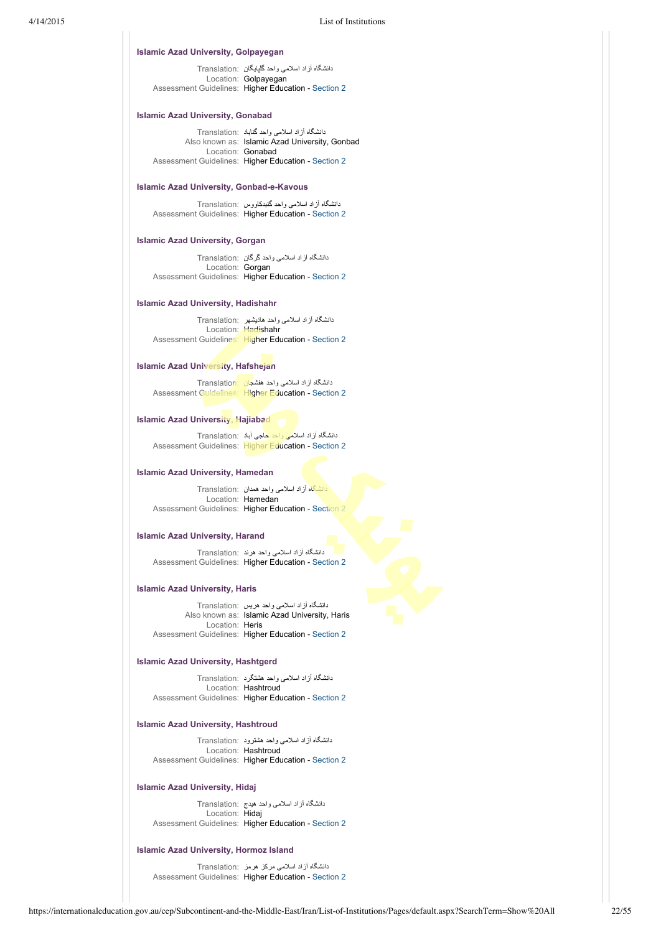### **Islamic Azad University, Golpayegan**

دانشگاه آزاد اسلامی واحد گلپايگان :Translation Location: Golpayegan Assessment Guidelines: Higher Education - [Section 2](https://internationaleducation.gov.au/cep/Subcontinent-and-the-Middle-East/Iran/Assessment-Guidelines/Pages/HigherEd-S2-Default.aspx)

# **Islamic Azad University, Gonabad**

دانشگاه آزاد اسلامی واحد گناباد :Translation Also known as: Islamic Azad University, Gonbad Location: Gonabad Assessment Guidelines: Higher Education - [Section 2](https://internationaleducation.gov.au/cep/Subcontinent-and-the-Middle-East/Iran/Assessment-Guidelines/Pages/HigherEd-S2-Default.aspx)

# **Islamic Azad University, Gonbad-e-Kavous**

دانشگاه آزاد اسلامی واحد گنبدکاووس :Translation Assessment Guidelines: Higher Education - [Section 2](https://internationaleducation.gov.au/cep/Subcontinent-and-the-Middle-East/Iran/Assessment-Guidelines/Pages/HigherEd-S2-Default.aspx)

# **Islamic Azad University, Gorgan**

دانشگاه آزاد اسلامی واحد گرگان :Translation Location: Gorgan Assessment Guidelines: Higher Education - [Section 2](https://internationaleducation.gov.au/cep/Subcontinent-and-the-Middle-East/Iran/Assessment-Guidelines/Pages/HigherEd-S2-Default.aspx)

### **Islamic Azad University, Hadishahr**

دانشگاه آزاد اسلامی واحد هاديشهر :Translation Location: Hadishahr Assessment Guidelines: Higher Education - [Section 2](https://internationaleducation.gov.au/cep/Subcontinent-and-the-Middle-East/Iran/Assessment-Guidelines/Pages/HigherEd-S2-Default.aspx)

### **Islamic Azad University, Hafshejan**

دانشگاه آزاد اسلامی واحد هفشجان :Translation Assessment Guidelines: Higher Education - [Section 2](https://internationaleducation.gov.au/cep/Subcontinent-and-the-Middle-East/Iran/Assessment-Guidelines/Pages/HigherEd-S2-Default.aspx)

### **Islamic Azad University, Hajiabad**

دانشگاه آزاد اسلامی واحد حاجی آباد :Translation Assessment Guidelines: Higher Education - [Section 2](https://internationaleducation.gov.au/cep/Subcontinent-and-the-Middle-East/Iran/Assessment-Guidelines/Pages/HigherEd-S2-Default.aspx)

# **Islamic Azad University, Hamedan**

دانشگاه آزاد اسلامی واحد همدان :Translation Location: Hamedan Assessment Guidelines: Higher Education - [Section 2](https://internationaleducation.gov.au/cep/Subcontinent-and-the-Middle-East/Iran/Assessment-Guidelines/Pages/HigherEd-S2-Default.aspx)

# **Islamic Azad University, Harand**

دانشگاه آزاد اسلامی واحد هرند :Translation Assessment Guidelines: Higher Education - [Section 2](https://internationaleducation.gov.au/cep/Subcontinent-and-the-Middle-East/Iran/Assessment-Guidelines/Pages/HigherEd-S2-Default.aspx)

### **Islamic Azad University, Haris**

دانشگاه آزاد اسلامی واحد هريس :Translation Also known as: Islamic Azad University, Haris Location: Heris Assessment Guidelines: Higher Education - [Section 2](https://internationaleducation.gov.au/cep/Subcontinent-and-the-Middle-East/Iran/Assessment-Guidelines/Pages/HigherEd-S2-Default.aspx)

### **Islamic Azad University, Hashtgerd**

دانشگاه آزاد اسلامی واحد هشتگرد :Translation Location: Hashtroud Assessment Guidelines: Higher Education - [Section 2](https://internationaleducation.gov.au/cep/Subcontinent-and-the-Middle-East/Iran/Assessment-Guidelines/Pages/HigherEd-S2-Default.aspx)

# **Islamic Azad University, Hashtroud**

دانشگاه آزاد اسلامی واحد هشترود :Translation Location: Hashtroud Assessment Guidelines: Higher Education - [Section 2](https://internationaleducation.gov.au/cep/Subcontinent-and-the-Middle-East/Iran/Assessment-Guidelines/Pages/HigherEd-S2-Default.aspx)

# **Islamic Azad University, Hidaj**

دانشگاه آزاد اسلامی واحد هيدج :Translation Location: Hidaj Assessment Guidelines: Higher Education - [Section 2](https://internationaleducation.gov.au/cep/Subcontinent-and-the-Middle-East/Iran/Assessment-Guidelines/Pages/HigherEd-S2-Default.aspx)

### **Islamic Azad University, Hormoz Island**

دانشگاه آزاد اسلامی مرکز هرمز :Translation Assessment Guidelines: Higher Education - [Section 2](https://internationaleducation.gov.au/cep/Subcontinent-and-the-Middle-East/Iran/Assessment-Guidelines/Pages/HigherEd-S2-Default.aspx)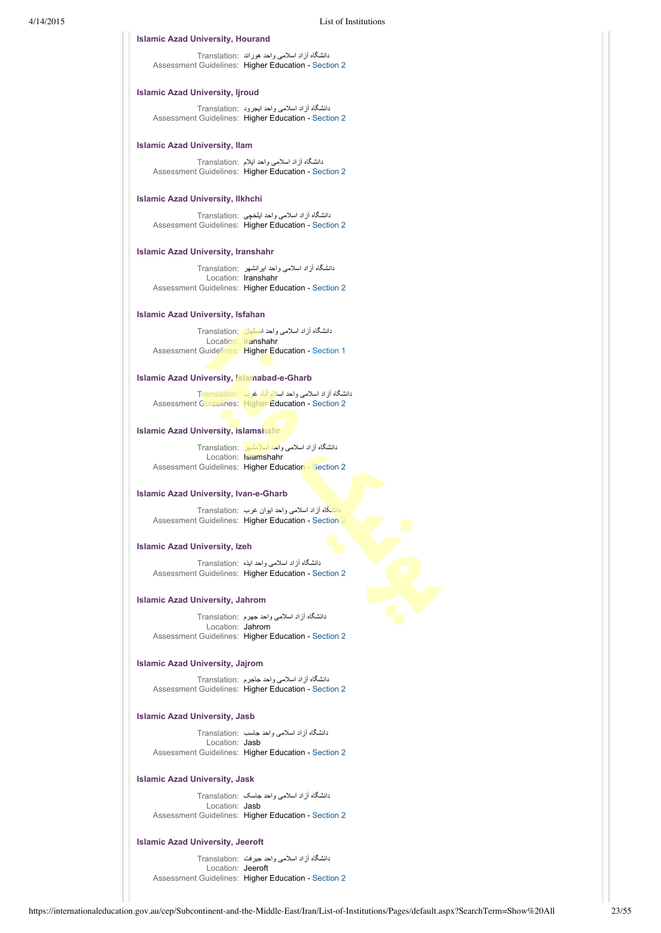### **Islamic Azad University, Hourand**

دانشگاه آزاد اسلامی واحد هوراند :Translation Assessment Guidelines: Higher Education - [Section 2](https://internationaleducation.gov.au/cep/Subcontinent-and-the-Middle-East/Iran/Assessment-Guidelines/Pages/HigherEd-S2-Default.aspx)

# **Islamic Azad University, Ijroud**

دانشگاه آزاد اسلامی واحد ايجرود :Translation Assessment Guidelines: Higher Education - [Section 2](https://internationaleducation.gov.au/cep/Subcontinent-and-the-Middle-East/Iran/Assessment-Guidelines/Pages/HigherEd-S2-Default.aspx)

### **Islamic Azad University, Ilam**

دانشگاه آزاد اسلامی واحد ايلام :Translation Assessment Guidelines: Higher Education - [Section 2](https://internationaleducation.gov.au/cep/Subcontinent-and-the-Middle-East/Iran/Assessment-Guidelines/Pages/HigherEd-S2-Default.aspx)

# **Islamic Azad University, Ilkhchi**

دانشگاه آزاد اسلامی واحد ايلخچی :Translation Assessment Guidelines: Higher Education - [Section 2](https://internationaleducation.gov.au/cep/Subcontinent-and-the-Middle-East/Iran/Assessment-Guidelines/Pages/HigherEd-S2-Default.aspx)

### **Islamic Azad University, Iranshahr**

دانشگاه آزاد اسلامی واحد ايرانشهر :Translation Location: Iranshahr Assessment Guidelines: Higher Education - [Section 2](https://internationaleducation.gov.au/cep/Subcontinent-and-the-Middle-East/Iran/Assessment-Guidelines/Pages/HigherEd-S2-Default.aspx)

# **Islamic Azad University, Isfahan**

دانشگاه آزاد اسلامی واحد اصفهان :Translation Location: Iranshahr Assessment Guidelines: Higher Education - [Section 1](https://internationaleducation.gov.au/cep/Subcontinent-and-the-Middle-East/Iran/Assessment-Guidelines/Pages/HigherEd-S1-Default.aspx)

# **Islamic Azad University, Islamabad-e-Gharb**

دانشگاه آزاد اسلامی واحد اسلام آباد غرب :Translation Assessment Guidelines: Higher Education - [Section 2](https://internationaleducation.gov.au/cep/Subcontinent-and-the-Middle-East/Iran/Assessment-Guidelines/Pages/HigherEd-S2-Default.aspx)

### **Islamic Azad University, Islamshahr**

دانشگاه آزاد اسلامی واحد اسلامشهر :Translation Location: Islamshahr Assessment Guidelines: Higher Education - [Section 2](https://internationaleducation.gov.au/cep/Subcontinent-and-the-Middle-East/Iran/Assessment-Guidelines/Pages/HigherEd-S2-Default.aspx)

### **Islamic Azad University, Ivan-e-Gharb**

دانشگاه آزاد اسلامی واحد ايوان غرب :Translation Assessment Guidelines: Higher Education - [Section 2](https://internationaleducation.gov.au/cep/Subcontinent-and-the-Middle-East/Iran/Assessment-Guidelines/Pages/HigherEd-S2-Default.aspx)

### **Islamic Azad University, Izeh**

دانشگاه آزاد اسلامی واحد ايذه :Translation Assessment Guidelines: Higher Education - [Section 2](https://internationaleducation.gov.au/cep/Subcontinent-and-the-Middle-East/Iran/Assessment-Guidelines/Pages/HigherEd-S2-Default.aspx)

# **Islamic Azad University, Jahrom**

دانشگاه آزاد اسلامی واحد جهرم :Translation Location: Jahrom Assessment Guidelines: Higher Education - [Section 2](https://internationaleducation.gov.au/cep/Subcontinent-and-the-Middle-East/Iran/Assessment-Guidelines/Pages/HigherEd-S2-Default.aspx)

# **Islamic Azad University, Jajrom**

دانشگاه آزاد اسلامی واحد جاجرم :Translation Assessment Guidelines: Higher Education - [Section 2](https://internationaleducation.gov.au/cep/Subcontinent-and-the-Middle-East/Iran/Assessment-Guidelines/Pages/HigherEd-S2-Default.aspx)

# **Islamic Azad University, Jasb**

دانشگاه آزاد اسلامی واحد جاسب :Translation Location: Jasb Assessment Guidelines: Higher Education - [Section 2](https://internationaleducation.gov.au/cep/Subcontinent-and-the-Middle-East/Iran/Assessment-Guidelines/Pages/HigherEd-S2-Default.aspx)

### **Islamic Azad University, Jask**

دانشگاه آزاد اسلامی واحد جاسک :Translation Location: Jasb Assessment Guidelines: Higher Education - [Section 2](https://internationaleducation.gov.au/cep/Subcontinent-and-the-Middle-East/Iran/Assessment-Guidelines/Pages/HigherEd-S2-Default.aspx)

# **Islamic Azad University, Jeeroft**

دانشگاه آزاد اسلامی واحد جيرفت :Translation Location: Jeeroft Assessment Guidelines: Higher Education - [Section 2](https://internationaleducation.gov.au/cep/Subcontinent-and-the-Middle-East/Iran/Assessment-Guidelines/Pages/HigherEd-S2-Default.aspx)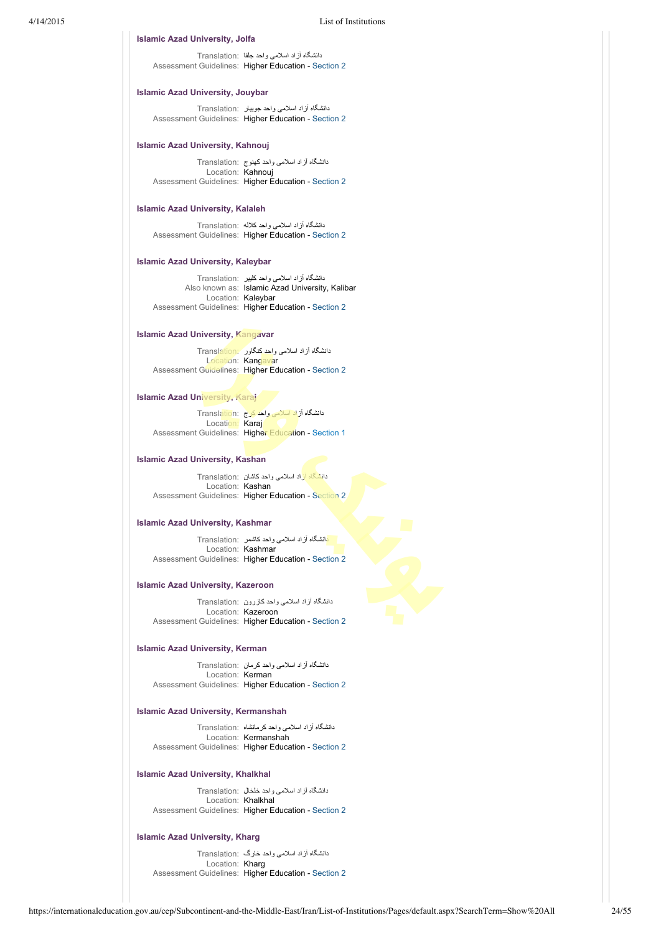### **Islamic Azad University, Jolfa**

دانشگاه آزاد اسلامی واحد جلفا :Translation Assessment Guidelines: Higher Education - [Section 2](https://internationaleducation.gov.au/cep/Subcontinent-and-the-Middle-East/Iran/Assessment-Guidelines/Pages/HigherEd-S2-Default.aspx)

# **Islamic Azad University, Jouybar**

دانشگاه آزاد اسلامی واحد جويبار :Translation Assessment Guidelines: Higher Education - [Section 2](https://internationaleducation.gov.au/cep/Subcontinent-and-the-Middle-East/Iran/Assessment-Guidelines/Pages/HigherEd-S2-Default.aspx)

### **Islamic Azad University, Kahnouj**

دانشگاه آزاد اسلامی واحد کهنوج :Translation Location: Kahnouj Assessment Guidelines: Higher Education - [Section 2](https://internationaleducation.gov.au/cep/Subcontinent-and-the-Middle-East/Iran/Assessment-Guidelines/Pages/HigherEd-S2-Default.aspx)

# **Islamic Azad University, Kalaleh**

دانشگاه آزاد اسلامی واحد کلاله :Translation Assessment Guidelines: Higher Education - [Section 2](https://internationaleducation.gov.au/cep/Subcontinent-and-the-Middle-East/Iran/Assessment-Guidelines/Pages/HigherEd-S2-Default.aspx)

# **Islamic Azad University, Kaleybar**

دانشگاه آزاد اسلامی واحد کليبر :Translation Also known as: Islamic Azad University, Kalibar Location: Kaleybar Assessment Guidelines: Higher Education - [Section 2](https://internationaleducation.gov.au/cep/Subcontinent-and-the-Middle-East/Iran/Assessment-Guidelines/Pages/HigherEd-S2-Default.aspx)

# **Islamic Azad University, Kangavar**

دانشگاه آزاد اسلامی واحد کنگاور <sup>-</sup> Trans<u>lation</u> Location: Kangavar Assessment Guidelines: Higher Education - [Section 2](https://internationaleducation.gov.au/cep/Subcontinent-and-the-Middle-East/Iran/Assessment-Guidelines/Pages/HigherEd-S2-Default.aspx)

### **Islamic Azad University, Karaj**

دانشگاه آزاد اسلامی واحد كرج :Translation Location: Karaj Assessment Guidelines: Higher Education - [Section 1](https://internationaleducation.gov.au/cep/Subcontinent-and-the-Middle-East/Iran/Assessment-Guidelines/Pages/HigherEd-S1-Default.aspx)

# **Islamic Azad University, Kashan**

دانشگاه آزاد اسلامی واحد کاشان :Translation Location: Kashan Assessment Guidelines: Higher Education - [Section 2](https://internationaleducation.gov.au/cep/Subcontinent-and-the-Middle-East/Iran/Assessment-Guidelines/Pages/HigherEd-S2-Default.aspx)

# **Islamic Azad University, Kashmar**

دانشگاه آزاد اسلامی واحد كاشمر :Translation Location: Kashmar Assessment Guidelines: Higher Education - [Section 2](https://internationaleducation.gov.au/cep/Subcontinent-and-the-Middle-East/Iran/Assessment-Guidelines/Pages/HigherEd-S2-Default.aspx)

# **Islamic Azad University, Kazeroon**

دانشگاه آزاد اسلامی واحد كازرون :Translation Location: Kazeroon Assessment Guidelines: Higher Education - [Section 2](https://internationaleducation.gov.au/cep/Subcontinent-and-the-Middle-East/Iran/Assessment-Guidelines/Pages/HigherEd-S2-Default.aspx)

# **Islamic Azad University, Kerman**

دانشگاه آزاد اسلامی واحد كرمان :Translation Location: Kerman Assessment Guidelines: Higher Education - [Section 2](https://internationaleducation.gov.au/cep/Subcontinent-and-the-Middle-East/Iran/Assessment-Guidelines/Pages/HigherEd-S2-Default.aspx)

# **Islamic Azad University, Kermanshah**

دانشگاه آزاد اسلامی واحد كرمانشاه :Translation Location: Kermanshah Assessment Guidelines: Higher Education - [Section 2](https://internationaleducation.gov.au/cep/Subcontinent-and-the-Middle-East/Iran/Assessment-Guidelines/Pages/HigherEd-S2-Default.aspx)

### **Islamic Azad University, Khalkhal**

دانشگاه آزاد اسلامی واحد خلخال :Translation Location: Khalkhal Assessment Guidelines: Higher Education - [Section 2](https://internationaleducation.gov.au/cep/Subcontinent-and-the-Middle-East/Iran/Assessment-Guidelines/Pages/HigherEd-S2-Default.aspx)

### **Islamic Azad University, Kharg**

دانشگاه آزاد اسلامی واحد خارگ :Translation Location: Kharg Assessment Guidelines: Higher Education - [Section 2](https://internationaleducation.gov.au/cep/Subcontinent-and-the-Middle-East/Iran/Assessment-Guidelines/Pages/HigherEd-S2-Default.aspx)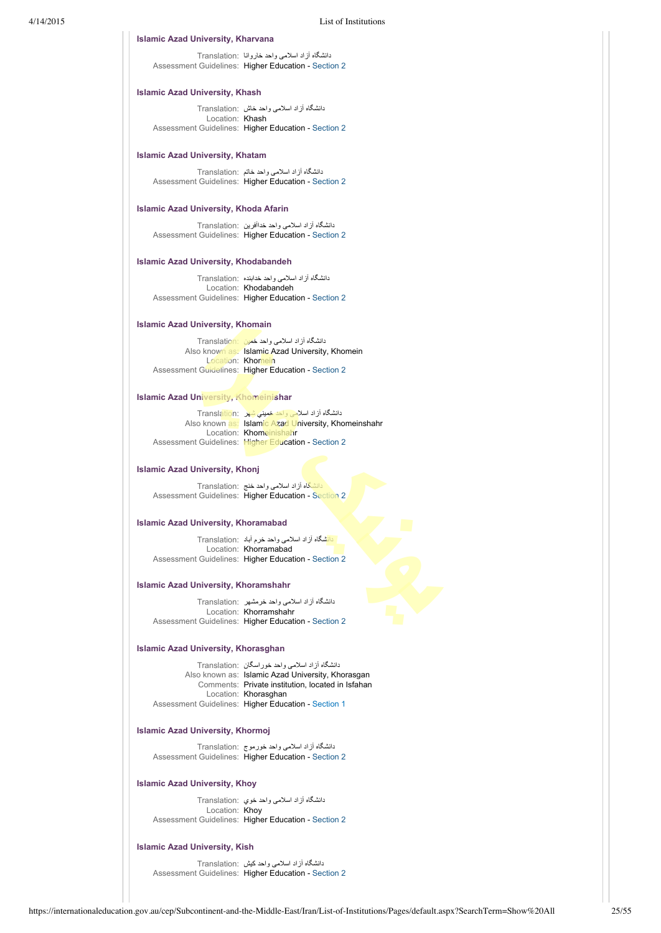### **Islamic Azad University, Kharvana**

دانشگاه آزاد اسلامی واحد خاروانا :Translation Assessment Guidelines: Higher Education - [Section 2](https://internationaleducation.gov.au/cep/Subcontinent-and-the-Middle-East/Iran/Assessment-Guidelines/Pages/HigherEd-S2-Default.aspx)

# **Islamic Azad University, Khash**

دانشگاه آزاد اسلامی واحد خاش :Translation Location: Khash Assessment Guidelines: Higher Education - [Section 2](https://internationaleducation.gov.au/cep/Subcontinent-and-the-Middle-East/Iran/Assessment-Guidelines/Pages/HigherEd-S2-Default.aspx)

### **Islamic Azad University, Khatam**

دانشگاه آزاد اسلامی واحد خاتم :Translation Assessment Guidelines: Higher Education - [Section 2](https://internationaleducation.gov.au/cep/Subcontinent-and-the-Middle-East/Iran/Assessment-Guidelines/Pages/HigherEd-S2-Default.aspx)

# **Islamic Azad University, Khoda Afarin**

دانشگاه آزاد اسلامی واحد خداآفرين :Translation Assessment Guidelines: Higher Education - [Section 2](https://internationaleducation.gov.au/cep/Subcontinent-and-the-Middle-East/Iran/Assessment-Guidelines/Pages/HigherEd-S2-Default.aspx)

# **Islamic Azad University, Khodabandeh**

دانشگاه آزاد اسلامی واحد خدابنده :Translation Location: Khodabandeh Assessment Guidelines: Higher Education - [Section 2](https://internationaleducation.gov.au/cep/Subcontinent-and-the-Middle-East/Iran/Assessment-Guidelines/Pages/HigherEd-S2-Default.aspx)

### **Islamic Azad University, Khomain**

دانشگاه آزاد اسلامی واحد خمين :Translation Also known as: Islamic Azad University, Khomein Location: Khomein Assessment Guidelines: Higher Education - [Section 2](https://internationaleducation.gov.au/cep/Subcontinent-and-the-Middle-East/Iran/Assessment-Guidelines/Pages/HigherEd-S2-Default.aspx)

### **Islamic Azad University, Khomeinishar**

دانشگاه آزاد اسلامی واحد خمینی شهر :Translation Also known as: Islamic Azad University, Khomeinshahr Location: Khomeinishahr Assessment Guidelines: Higher Education - [Section 2](https://internationaleducation.gov.au/cep/Subcontinent-and-the-Middle-East/Iran/Assessment-Guidelines/Pages/HigherEd-S2-Default.aspx)

### **Islamic Azad University, Khonj**

دانشگاه آزاد اسلامی واحد خنج :Translation Assessment Guidelines: Higher Education - [Section 2](https://internationaleducation.gov.au/cep/Subcontinent-and-the-Middle-East/Iran/Assessment-Guidelines/Pages/HigherEd-S2-Default.aspx)

# **Islamic Azad University, Khoramabad**

دانشگاه آزاد اسلامی واحد خرم آباد :Translation Location: Khorramabad Assessment Guidelines: Higher Education - [Section 2](https://internationaleducation.gov.au/cep/Subcontinent-and-the-Middle-East/Iran/Assessment-Guidelines/Pages/HigherEd-S2-Default.aspx)

# **Islamic Azad University, Khoramshahr**

دانشگاه آزاد اسلامی واحد خرمشهر :Translation Location: Khorramshahr Assessment Guidelines: Higher Education - [Section 2](https://internationaleducation.gov.au/cep/Subcontinent-and-the-Middle-East/Iran/Assessment-Guidelines/Pages/HigherEd-S2-Default.aspx)

# **Islamic Azad University, Khorasghan**

دانشگاه آزاد اسلامی واحد خوراسگان :Translation Also known as: Islamic Azad University, Khorasgan Comments: Private institution, located in Isfahan Location: Khorasghan Assessment Guidelines: Higher Education - [Section 1](https://internationaleducation.gov.au/cep/Subcontinent-and-the-Middle-East/Iran/Assessment-Guidelines/Pages/HigherEd-S1-Default.aspx)

# **Islamic Azad University, Khormoj**

دانشگاه آزاد اسلامی واحد خورموج :Translation Assessment Guidelines: Higher Education - [Section 2](https://internationaleducation.gov.au/cep/Subcontinent-and-the-Middle-East/Iran/Assessment-Guidelines/Pages/HigherEd-S2-Default.aspx)

# **Islamic Azad University, Khoy**

دانشگاه آزاد اسلامی واحد خوي :Translation Location: Khoy Assessment Guidelines: Higher Education - [Section 2](https://internationaleducation.gov.au/cep/Subcontinent-and-the-Middle-East/Iran/Assessment-Guidelines/Pages/HigherEd-S2-Default.aspx)

# **Islamic Azad University, Kish**

دانشگاه آزاد اسلامی واحد كيش :Translation Assessment Guidelines: Higher Education - [Section 2](https://internationaleducation.gov.au/cep/Subcontinent-and-the-Middle-East/Iran/Assessment-Guidelines/Pages/HigherEd-S2-Default.aspx)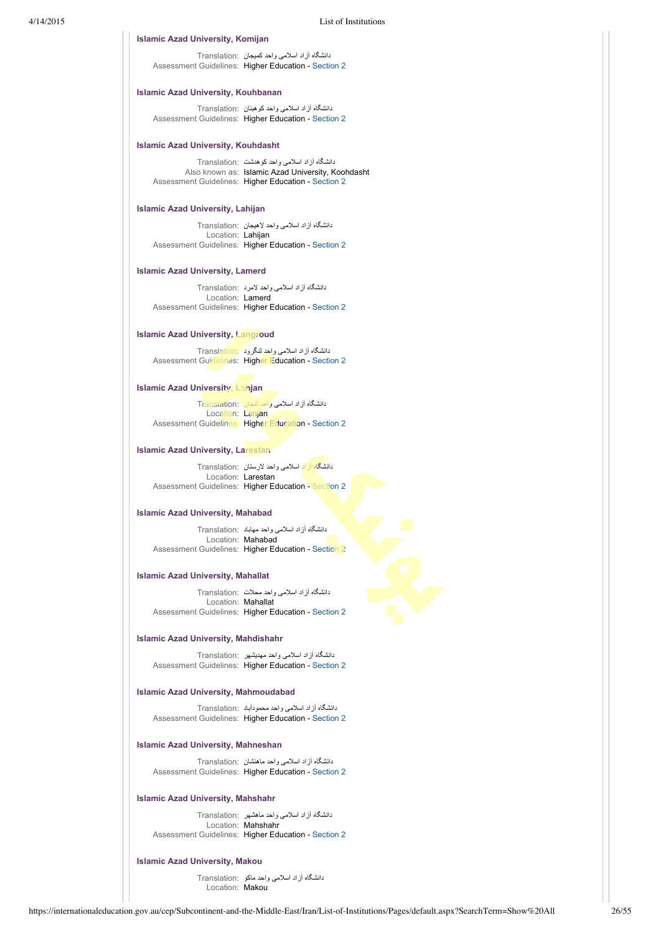### **Islamic Azad University, Komijan**

دانشگاه آزاد اسلامی واحد کميجان :Translation Assessment Guidelines: Higher Education - [Section 2](https://internationaleducation.gov.au/cep/Subcontinent-and-the-Middle-East/Iran/Assessment-Guidelines/Pages/HigherEd-S2-Default.aspx)

# **Islamic Azad University, Kouhbanan**

دانشگاه آزاد اسلامی واحد کوهبنان :Translation Assessment Guidelines: Higher Education - [Section 2](https://internationaleducation.gov.au/cep/Subcontinent-and-the-Middle-East/Iran/Assessment-Guidelines/Pages/HigherEd-S2-Default.aspx)

### **Islamic Azad University, Kouhdasht**

دانشگاه آزاد اسلامی واحد كوهدشت :Translation Also known as: Islamic Azad University, Koohdasht Assessment Guidelines: Higher Education - [Section 2](https://internationaleducation.gov.au/cep/Subcontinent-and-the-Middle-East/Iran/Assessment-Guidelines/Pages/HigherEd-S2-Default.aspx)

# **Islamic Azad University, Lahijan**

دانشگاه آزاد اسلامی واحد لاهيجان :Translation Location: Lahijan Assessment Guidelines: Higher Education - [Section 2](https://internationaleducation.gov.au/cep/Subcontinent-and-the-Middle-East/Iran/Assessment-Guidelines/Pages/HigherEd-S2-Default.aspx)

### **Islamic Azad University, Lamerd**

دانشگاه آزاد اسلامی واحد لامرد :Translation Location: Lamerd Assessment Guidelines: Higher Education - [Section 2](https://internationaleducation.gov.au/cep/Subcontinent-and-the-Middle-East/Iran/Assessment-Guidelines/Pages/HigherEd-S2-Default.aspx)

# **Islamic Azad University, Langroud**

دانشگاه آزاد اسلامی واحد لنگرود :Translation Assessment Guidelines: Higher Education - [Section 2](https://internationaleducation.gov.au/cep/Subcontinent-and-the-Middle-East/Iran/Assessment-Guidelines/Pages/HigherEd-S2-Default.aspx)

# **Islamic Azad University, Lanjan**

دانشگاه آزاد اسلامی واحد لنجان :Translation Location: Lanjan Assessment Guidelines: Higher Education - [Section 2](https://internationaleducation.gov.au/cep/Subcontinent-and-the-Middle-East/Iran/Assessment-Guidelines/Pages/HigherEd-S2-Default.aspx)

### **Islamic Azad University, Larestan**

دانشگاه آزاد اسلامی واحد لارستان :Translation Location: Larestan Assessment Guidelines: Higher Education - [Section 2](https://internationaleducation.gov.au/cep/Subcontinent-and-the-Middle-East/Iran/Assessment-Guidelines/Pages/HigherEd-S2-Default.aspx)

### **Islamic Azad University, Mahabad**

دانشگاه آزاد اسلامی واحد مهاباد :Translation Location: Mahabad Assessment Guidelines: Higher Education - [Section 2](https://internationaleducation.gov.au/cep/Subcontinent-and-the-Middle-East/Iran/Assessment-Guidelines/Pages/HigherEd-S2-Default.aspx)

### **Islamic Azad University, Mahallat**

دانشگاه آزاد اسلامی واحد محلات :Translation Location: Mahallat Assessment Guidelines: Higher Education - [Section 2](https://internationaleducation.gov.au/cep/Subcontinent-and-the-Middle-East/Iran/Assessment-Guidelines/Pages/HigherEd-S2-Default.aspx)

# **Islamic Azad University, Mahdishahr**

دانشگاه آزاد اسلامی واحد مهديشهر :Translation Assessment Guidelines: Higher Education - [Section 2](https://internationaleducation.gov.au/cep/Subcontinent-and-the-Middle-East/Iran/Assessment-Guidelines/Pages/HigherEd-S2-Default.aspx)

### **Islamic Azad University, Mahmoudabad**

دانشگاه آزاد اسلامی واحد محمودآباد :Translation Assessment Guidelines: Higher Education - [Section 2](https://internationaleducation.gov.au/cep/Subcontinent-and-the-Middle-East/Iran/Assessment-Guidelines/Pages/HigherEd-S2-Default.aspx)

# **Islamic Azad University, Mahneshan**

دانشگاه آزاد اسلامی واحد ماهنشان :Translation Assessment Guidelines: Higher Education - [Section 2](https://internationaleducation.gov.au/cep/Subcontinent-and-the-Middle-East/Iran/Assessment-Guidelines/Pages/HigherEd-S2-Default.aspx)

### **Islamic Azad University, Mahshahr**

دانشگاه آزاد اسلامی واحد ماهشهر :Translation Location: Mahshahr Assessment Guidelines: Higher Education - [Section 2](https://internationaleducation.gov.au/cep/Subcontinent-and-the-Middle-East/Iran/Assessment-Guidelines/Pages/HigherEd-S2-Default.aspx)

### **Islamic Azad University, Makou**

دانشگاه آزاد اسلامی واحد ماكو :Translation Location: Makou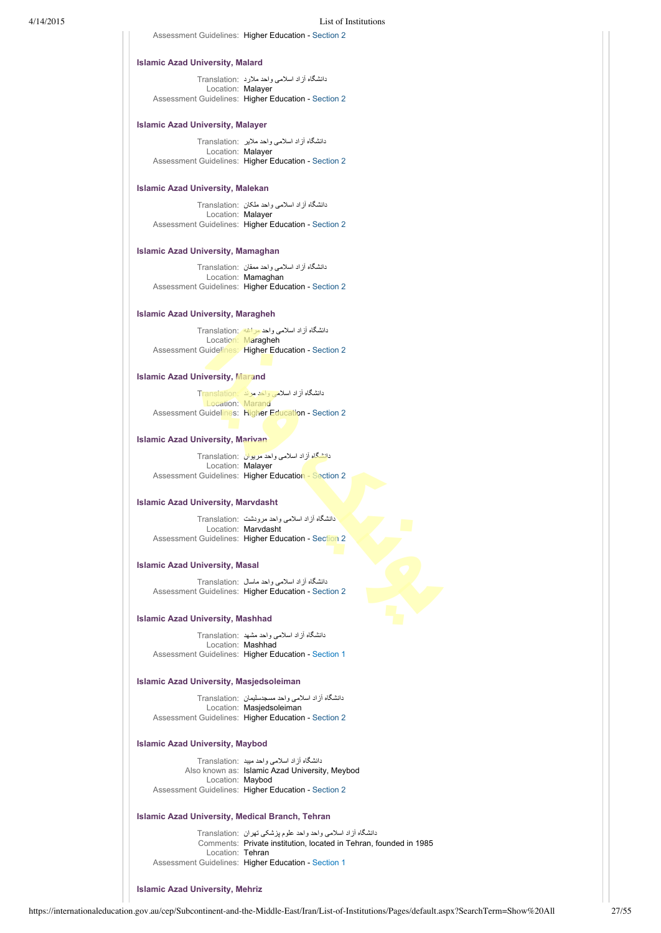Assessment Guidelines: Higher Education - [Section 2](https://internationaleducation.gov.au/cep/Subcontinent-and-the-Middle-East/Iran/Assessment-Guidelines/Pages/HigherEd-S2-Default.aspx)

### **Islamic Azad University, Malard**

دانشگاه آزاد اسلامی واحد ملارد :Translation Location: Malayer Assessment Guidelines: Higher Education - [Section 2](https://internationaleducation.gov.au/cep/Subcontinent-and-the-Middle-East/Iran/Assessment-Guidelines/Pages/HigherEd-S2-Default.aspx)

# **Islamic Azad University, Malayer**

دانشگاه آزاد اسلامی واحد ملاير :Translation Location: Malayer Assessment Guidelines: Higher Education - [Section 2](https://internationaleducation.gov.au/cep/Subcontinent-and-the-Middle-East/Iran/Assessment-Guidelines/Pages/HigherEd-S2-Default.aspx)

### **Islamic Azad University, Malekan**

دانشگاه آزاد اسلامی واحد ملکان :Translation Location: Malayer Assessment Guidelines: Higher Education - [Section 2](https://internationaleducation.gov.au/cep/Subcontinent-and-the-Middle-East/Iran/Assessment-Guidelines/Pages/HigherEd-S2-Default.aspx)

### **Islamic Azad University, Mamaghan**

دانشگاه آزاد اسلامی واحد ممقان :Translation Location: Mamaghan Assessment Guidelines: Higher Education - [Section 2](https://internationaleducation.gov.au/cep/Subcontinent-and-the-Middle-East/Iran/Assessment-Guidelines/Pages/HigherEd-S2-Default.aspx)

# **Islamic Azad University, Maragheh**

دانشگاه آزاد اسلامی واحد مراغه :Translation Location: Maragheh Assessment Guidelines: Higher Education - [Section 2](https://internationaleducation.gov.au/cep/Subcontinent-and-the-Middle-East/Iran/Assessment-Guidelines/Pages/HigherEd-S2-Default.aspx)

# **Islamic Azad University, Marand**

دانشگاه آزاد اسلامی واحد مرند :Translation Location: Marand Assessment Guidelines: Higher Education - [Section 2](https://internationaleducation.gov.au/cep/Subcontinent-and-the-Middle-East/Iran/Assessment-Guidelines/Pages/HigherEd-S2-Default.aspx)

### **Islamic Azad University, Marivan**

دانشگاه آزاد اسلامی واحد مريوان :Translation Location: Malayer Assessment Guidelines: Higher Education - [Section 2](https://internationaleducation.gov.au/cep/Subcontinent-and-the-Middle-East/Iran/Assessment-Guidelines/Pages/HigherEd-S2-Default.aspx)

### **Islamic Azad University, Marvdasht**

دانشگاه آزاد اسلامی واحد مرودشت :Translation Location: Marvdasht Assessment Guidelines: Higher Education - [Section 2](https://internationaleducation.gov.au/cep/Subcontinent-and-the-Middle-East/Iran/Assessment-Guidelines/Pages/HigherEd-S2-Default.aspx)

### **Islamic Azad University, Masal**

دانشگاه آزاد اسلامی واحد ماسال :Translation Assessment Guidelines: Higher Education - [Section 2](https://internationaleducation.gov.au/cep/Subcontinent-and-the-Middle-East/Iran/Assessment-Guidelines/Pages/HigherEd-S2-Default.aspx)

### **Islamic Azad University, Mashhad**

دانشگاه آزاد اسلامی واحد مشهد :Translation Location: Mashhad Assessment Guidelines: Higher Education - [Section 1](https://internationaleducation.gov.au/cep/Subcontinent-and-the-Middle-East/Iran/Assessment-Guidelines/Pages/HigherEd-S1-Default.aspx)

### **Islamic Azad University, Masjedsoleiman**

دانشگاه آزاد اسلامی واحد مسجدسليمان :Translation Location: Masjedsoleiman Assessment Guidelines: Higher Education - [Section 2](https://internationaleducation.gov.au/cep/Subcontinent-and-the-Middle-East/Iran/Assessment-Guidelines/Pages/HigherEd-S2-Default.aspx)

### **Islamic Azad University, Maybod**

دانشگاه آزاد اسلامی واحد ميبد :Translation Also known as: Islamic Azad University, Meybod Location: Maybod Assessment Guidelines: Higher Education - [Section 2](https://internationaleducation.gov.au/cep/Subcontinent-and-the-Middle-East/Iran/Assessment-Guidelines/Pages/HigherEd-S2-Default.aspx)

### **Islamic Azad University, Medical Branch, Tehran**

دانشگاه آزاد اسلامی واحد واحد علوم پزشکی تهران :Translation Comments: Private institution, located in Tehran, founded in 1985 Location: Tehran Assessment Guidelines: Higher Education - [Section 1](https://internationaleducation.gov.au/cep/Subcontinent-and-the-Middle-East/Iran/Assessment-Guidelines/Pages/HigherEd-S1-Default.aspx)

### **Islamic Azad University, Mehriz**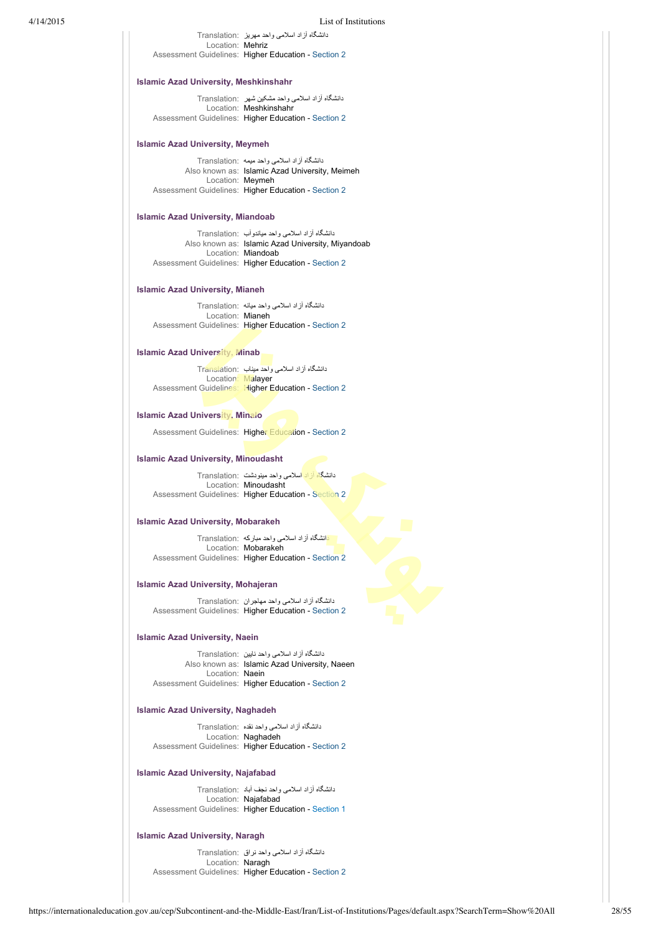| 4/14/2015 |                                              | <b>List of Institutions</b>                                             |
|-----------|----------------------------------------------|-------------------------------------------------------------------------|
|           |                                              | دانشگاه آز اد اسلامی و احد مهریز Translation:                           |
|           | Location: Mehriz                             |                                                                         |
|           |                                              | Assessment Guidelines: Higher Education - Section 2                     |
|           | <b>Islamic Azad University, Meshkinshahr</b> |                                                                         |
|           |                                              | دانشگاه آز اد اسلامی و احد مشکین شهر Franslation:                       |
|           |                                              | Location: Meshkinshahr                                                  |
|           |                                              | Assessment Guidelines: Higher Education - Section 2                     |
|           | <b>Islamic Azad University, Meymeh</b>       |                                                                         |
|           |                                              | دانشگاه آز اد اسلامی و احد میمه :Translation                            |
|           |                                              | Also known as: Islamic Azad University, Meimeh                          |
|           | Location: Meymeh                             |                                                                         |
|           |                                              | Assessment Guidelines: Higher Education - Section 2                     |
|           | <b>Islamic Azad University, Miandoab</b>     |                                                                         |
|           |                                              |                                                                         |
|           |                                              | دانشگاه آز اد اسلامی و احد میاندو آب   :Translation                     |
|           |                                              | Also known as: Islamic Azad University, Miyandoab<br>Location: Miandoab |
|           |                                              |                                                                         |
|           |                                              | Assessment Guidelines: Higher Education - Section 2                     |
|           | <b>Islamic Azad University, Mianeh</b>       |                                                                         |
|           |                                              | دانشگاه آز اد اسلامی واحد میانه :Translation                            |
|           |                                              |                                                                         |

Location: Mianeh Assessment Guidelines: Higher Education - [Section 2](https://internationaleducation.gov.au/cep/Subcontinent-and-the-Middle-East/Iran/Assessment-Guidelines/Pages/HigherEd-S2-Default.aspx)

# **Islamic Azad University, Minab**

دانشگاه آزاد اسلامی واحد ميناب :Translation Location: Malayer Assessment Guidelines: Higher Education - [Section 2](https://internationaleducation.gov.au/cep/Subcontinent-and-the-Middle-East/Iran/Assessment-Guidelines/Pages/HigherEd-S2-Default.aspx)

# **Islamic Azad University, Minalo**

Assessment Guidelines: Higher Education - [Section 2](https://internationaleducation.gov.au/cep/Subcontinent-and-the-Middle-East/Iran/Assessment-Guidelines/Pages/HigherEd-S2-Default.aspx)

# **Islamic Azad University, Minoudasht**

دانشگاه آزاد اسلامی واحد مينودشت :Translation Location: Minoudasht Assessment Guidelines: Higher Education - [Section 2](https://internationaleducation.gov.au/cep/Subcontinent-and-the-Middle-East/Iran/Assessment-Guidelines/Pages/HigherEd-S2-Default.aspx)

# **Islamic Azad University, Mobarakeh**

دانشگاه آزاد اسلامی واحد مباركه :Translation Location: Mobarakeh Assessment Guidelines: Higher Education - [Section 2](https://internationaleducation.gov.au/cep/Subcontinent-and-the-Middle-East/Iran/Assessment-Guidelines/Pages/HigherEd-S2-Default.aspx)

# **Islamic Azad University, Mohajeran**

دانشگاه آزاد اسلامی واحد مهاجران :Translation Assessment Guidelines: Higher Education - [Section 2](https://internationaleducation.gov.au/cep/Subcontinent-and-the-Middle-East/Iran/Assessment-Guidelines/Pages/HigherEd-S2-Default.aspx)

### **Islamic Azad University, Naein**

دانشگاه آزاد اسلامی واحد نايين :Translation Also known as: Islamic Azad University, Naeen Location: Naein Assessment Guidelines: Higher Education - [Section 2](https://internationaleducation.gov.au/cep/Subcontinent-and-the-Middle-East/Iran/Assessment-Guidelines/Pages/HigherEd-S2-Default.aspx)

# **Islamic Azad University, Naghadeh**

دانشگاه آزاد اسلامی واحد نقده :Translation Location: Naghadeh Assessment Guidelines: Higher Education - [Section 2](https://internationaleducation.gov.au/cep/Subcontinent-and-the-Middle-East/Iran/Assessment-Guidelines/Pages/HigherEd-S2-Default.aspx)

# **Islamic Azad University, Najafabad**

دانشگاه آزاد اسلامی واحد نجف آباد :Translation Location: Najafabad Assessment Guidelines: Higher Education - [Section 1](https://internationaleducation.gov.au/cep/Subcontinent-and-the-Middle-East/Iran/Assessment-Guidelines/Pages/HigherEd-S1-Default.aspx)

### **Islamic Azad University, Naragh**

دانشگاه آزاد اسلامی واحد نراق :Translation Location: Naragh Assessment Guidelines: Higher Education - [Section 2](https://internationaleducation.gov.au/cep/Subcontinent-and-the-Middle-East/Iran/Assessment-Guidelines/Pages/HigherEd-S2-Default.aspx)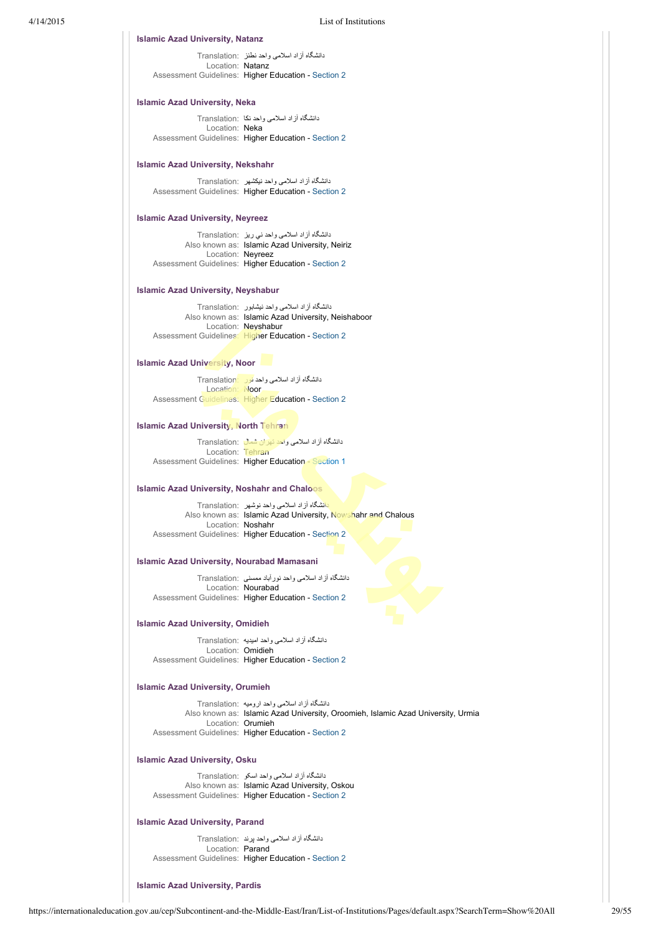دانشگاه آزاد اسلامی واحد نطنز :Translation Location: Natanz Assessment Guidelines: Higher Education - [Section 2](https://internationaleducation.gov.au/cep/Subcontinent-and-the-Middle-East/Iran/Assessment-Guidelines/Pages/HigherEd-S2-Default.aspx) **Islamic Azad University, Natanz**

### **Islamic Azad University, Neka**

دانشگاه آزاد اسلامی واحد نكا :Translation Location: Neka Assessment Guidelines: Higher Education - [Section 2](https://internationaleducation.gov.au/cep/Subcontinent-and-the-Middle-East/Iran/Assessment-Guidelines/Pages/HigherEd-S2-Default.aspx)

### **Islamic Azad University, Nekshahr**

دانشگاه آزاد اسلامی واحد نيكشهر :Translation Assessment Guidelines: Higher Education - [Section 2](https://internationaleducation.gov.au/cep/Subcontinent-and-the-Middle-East/Iran/Assessment-Guidelines/Pages/HigherEd-S2-Default.aspx)

### **Islamic Azad University, Neyreez**

دانشگاه آزاد اسلامی واحد ني ريز :Translation Also known as: Islamic Azad University, Neiriz Location: Neyreez Assessment Guidelines: Higher Education - [Section 2](https://internationaleducation.gov.au/cep/Subcontinent-and-the-Middle-East/Iran/Assessment-Guidelines/Pages/HigherEd-S2-Default.aspx)

### **Islamic Azad University, Neyshabur**

دانشگاه آزاد اسلامی واحد نيشابور :Translation Also known as: Islamic Azad University, Neishaboor Location: Neyshabur Assessment Guidelines: Higher Education - [Section 2](https://internationaleducation.gov.au/cep/Subcontinent-and-the-Middle-East/Iran/Assessment-Guidelines/Pages/HigherEd-S2-Default.aspx)

### **Islamic Azad University, Noor**

دانشگاه آزاد اسلامی واحد نور :Translation Location: Noor Assessment Guidelines: Higher Education - [Section 2](https://internationaleducation.gov.au/cep/Subcontinent-and-the-Middle-East/Iran/Assessment-Guidelines/Pages/HigherEd-S2-Default.aspx)

### **Islamic Azad University, North Tehran**

دانشگاه آزاد اسلامی واحد تهران شمال :Translation Location: Tehran Assessment Guidelines: Higher Education - [Section 1](https://internationaleducation.gov.au/cep/Subcontinent-and-the-Middle-East/Iran/Assessment-Guidelines/Pages/HigherEd-S1-Default.aspx)

# **Islamic Azad University, Noshahr and Chaloos**

دانشگاه آزاد اسلامی واحد نوشهر :Translation Also known as: Islamic Azad University, Nowshahr and Chalous Location: Noshahr Assessment Guidelines: Higher Education - [Section 2](https://internationaleducation.gov.au/cep/Subcontinent-and-the-Middle-East/Iran/Assessment-Guidelines/Pages/HigherEd-S2-Default.aspx)

### **Islamic Azad University, Nourabad Mamasani**

دانشگاه آزاد اسلامی واحد نورآباد ممسنی :Translation Location: Nourabad Assessment Guidelines: Higher Education - [Section 2](https://internationaleducation.gov.au/cep/Subcontinent-and-the-Middle-East/Iran/Assessment-Guidelines/Pages/HigherEd-S2-Default.aspx)

### **Islamic Azad University, Omidieh**

دانشگاه آزاد اسلامی واحد اميديه :Translation Location: Omidieh Assessment Guidelines: Higher Education - [Section 2](https://internationaleducation.gov.au/cep/Subcontinent-and-the-Middle-East/Iran/Assessment-Guidelines/Pages/HigherEd-S2-Default.aspx)

# **Islamic Azad University, Orumieh**

دانشگاه آزاد اسلامی واحد اروميه :Translation Also known as: Islamic Azad University, Oroomieh, Islamic Azad University, Urmia Location: Orumieh Assessment Guidelines: Higher Education - [Section 2](https://internationaleducation.gov.au/cep/Subcontinent-and-the-Middle-East/Iran/Assessment-Guidelines/Pages/HigherEd-S2-Default.aspx)

# **Islamic Azad University, Osku**

دانشگاه آزاد اسلامی واحد اسکو :Translation Also known as: Islamic Azad University, Oskou Assessment Guidelines: Higher Education - [Section 2](https://internationaleducation.gov.au/cep/Subcontinent-and-the-Middle-East/Iran/Assessment-Guidelines/Pages/HigherEd-S2-Default.aspx)

# **Islamic Azad University, Parand**

دانشگاه آزاد اسلامی واحد پرند :Translation Location: Parand Assessment Guidelines: Higher Education - [Section 2](https://internationaleducation.gov.au/cep/Subcontinent-and-the-Middle-East/Iran/Assessment-Guidelines/Pages/HigherEd-S2-Default.aspx)

**Islamic Azad University, Pardis**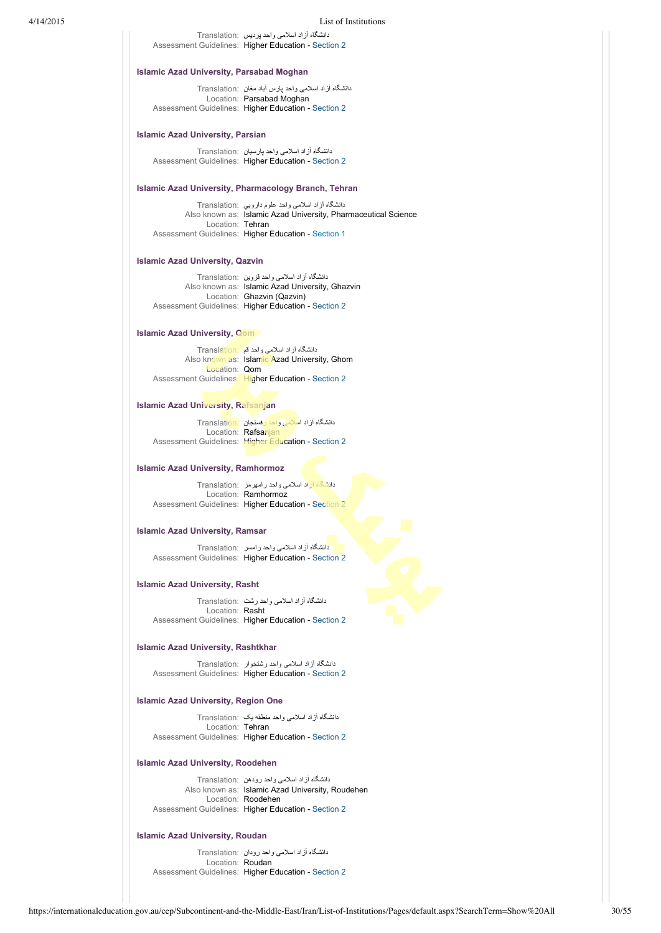|                                                 | List of Institutions                                                                                                                                                                 |
|-------------------------------------------------|--------------------------------------------------------------------------------------------------------------------------------------------------------------------------------------|
|                                                 | دانشگاه از اد اسلامی واحد پردیس   :Translation<br>Assessment Guidelines: Higher Education - Section 2                                                                                |
| <b>Islamic Azad University, Parsabad Moghan</b> |                                                                                                                                                                                      |
|                                                 | دانشگاه از اد اسلامی واحد پارس اباد مغان  :Translation<br>Location: Parsabad Moghan<br>Assessment Guidelines: Higher Education - Section 2                                           |
| <b>Islamic Azad University, Parsian</b>         |                                                                                                                                                                                      |
|                                                 | دانشگاه از اد اسلامی واحد پارسیان   :Translation<br>Assessment Guidelines: Higher Education - Section 2                                                                              |
|                                                 | <b>Islamic Azad University, Pharmacology Branch, Tehran</b>                                                                                                                          |
|                                                 | دانشگاه از اد اسلامی واحد علوم دارویی   :Translation<br>Also known as: Islamic Azad University, Pharmaceutical Science                                                               |
| Location: Tehran                                | Assessment Guidelines: Higher Education - Section 1                                                                                                                                  |
| <b>Islamic Azad University, Qazvin</b>          |                                                                                                                                                                                      |
|                                                 | دانشگاه آزاد اسلامی واحد قزوین  :Translation<br>Also known as: Islamic Azad University, Ghazvin<br>Location: Ghazvin (Qazvin)<br>Assessment Guidelines: Higher Education - Section 2 |
| <b>Islamic Azad University, Com</b>             |                                                                                                                                                                                      |
|                                                 | دانشگاه أزاد اسلامی واحد قم Translation:<br>Also known as: Islamic Azad University, Ghom                                                                                             |
| Location: Qom                                   | Assessment Guidelines: Higher Education - Section 2                                                                                                                                  |
| <b>Islamic Azad University, Rafsanjan</b>       |                                                                                                                                                                                      |
|                                                 | دانشگاه آزاد اسلامی واحد رفسجان Translation:<br>Location: Rafsanjan<br>Assessment Guidelines: Higher Education - Section 2                                                           |
| <b>Islamic Azad University, Ramhormoz</b>       |                                                                                                                                                                                      |
|                                                 | دانشگاه آزاد اسلامی واحد رامهرمز   :Translation<br>Location: Ramhormoz<br>Assessment Guidelines: Higher Education - Section 2                                                        |
| <b>Islamic Azad University, Ramsar</b>          |                                                                                                                                                                                      |
|                                                 | دانشگاه آزاد اسلامی واحد رامسر Translation:<br>Assessment Guidelines: Higher Education - Section 2                                                                                   |
| <b>Islamic Azad University, Rasht</b>           |                                                                                                                                                                                      |
| Location: Rasht                                 | دانشگاه آزاد اسلامی واحد رشت  :Translation                                                                                                                                           |
|                                                 | Assessment Guidelines: Higher Education - Section 2                                                                                                                                  |
| <b>Islamic Azad University, Rashtkhar</b>       |                                                                                                                                                                                      |
|                                                 | دانشگاه از اد اسلامی واحد رشتخوار ۲ranslation:<br>Assessment Guidelines: Higher Education - Section 2                                                                                |
| <b>Islamic Azad University, Region One</b>      |                                                                                                                                                                                      |
|                                                 | دانشگاه آزاد اسلامی واحد منطقه یک Translation:<br>Location: Tehran                                                                                                                   |

# **Islamic Azad University, Roodehen**

دانشگاه آزاد اسلامی واحد رودهن :Translation Location: Roodehen

Also known as: Islamic Azad University, Roudehen Assessment Guidelines: Higher Education - [Section 2](https://internationaleducation.gov.au/cep/Subcontinent-and-the-Middle-East/Iran/Assessment-Guidelines/Pages/HigherEd-S2-Default.aspx)

# **Islamic Azad University, Roudan**

دانشگاه آزاد اسلامی واحد رودان :Translation Location: Roudan Assessment Guidelines: Higher Education - [Section 2](https://internationaleducation.gov.au/cep/Subcontinent-and-the-Middle-East/Iran/Assessment-Guidelines/Pages/HigherEd-S2-Default.aspx)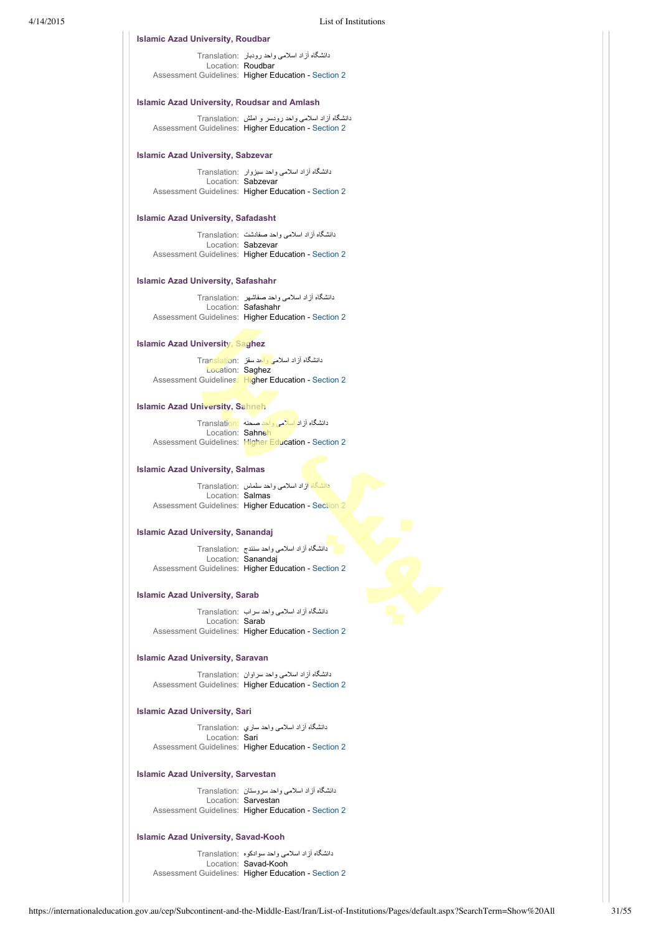### **Islamic Azad University, Roudbar**

دانشگاه آزاد اسلامی واحد رودبار :Translation Location: Roudbar Assessment Guidelines: Higher Education - [Section 2](https://internationaleducation.gov.au/cep/Subcontinent-and-the-Middle-East/Iran/Assessment-Guidelines/Pages/HigherEd-S2-Default.aspx)

# **Islamic Azad University, Roudsar and Amlash**

دانشگاه آزاد اسلامی واحد رودسر و املش :Translation Assessment Guidelines: Higher Education - [Section 2](https://internationaleducation.gov.au/cep/Subcontinent-and-the-Middle-East/Iran/Assessment-Guidelines/Pages/HigherEd-S2-Default.aspx)

### **Islamic Azad University, Sabzevar**

دانشگاه آزاد اسلامی واحد سبزوار :Translation Location: Sabzevar Assessment Guidelines: Higher Education - [Section 2](https://internationaleducation.gov.au/cep/Subcontinent-and-the-Middle-East/Iran/Assessment-Guidelines/Pages/HigherEd-S2-Default.aspx)

### **Islamic Azad University, Safadasht**

دانشگاه آزاد اسلامی واحد صفادشت :Translation Location: Sabzevar Assessment Guidelines: Higher Education - [Section 2](https://internationaleducation.gov.au/cep/Subcontinent-and-the-Middle-East/Iran/Assessment-Guidelines/Pages/HigherEd-S2-Default.aspx)

# **Islamic Azad University, Safashahr**

دانشگاه آزاد اسلامی واحد صفاشهر :Translation Location: Safashahr Assessment Guidelines: Higher Education - [Section 2](https://internationaleducation.gov.au/cep/Subcontinent-and-the-Middle-East/Iran/Assessment-Guidelines/Pages/HigherEd-S2-Default.aspx)

### **Islamic Azad University, Saghez**

دانشگاه آزاد اسلامی واحد سقز :Translation Location: Saghez Assessment Guidelines: Higher Education - [Section 2](https://internationaleducation.gov.au/cep/Subcontinent-and-the-Middle-East/Iran/Assessment-Guidelines/Pages/HigherEd-S2-Default.aspx)

### **Islamic Azad University, Sahneh**

دانشگاه آزاد اسلامی واحد صحنه :Translation Location: Sahneh Assessment Guidelines: Higher Education - [Section 2](https://internationaleducation.gov.au/cep/Subcontinent-and-the-Middle-East/Iran/Assessment-Guidelines/Pages/HigherEd-S2-Default.aspx)

### **Islamic Azad University, Salmas**

دانشگاه آزاد اسلامی واحد سلماس :Translation Location: Salmas Assessment Guidelines: Higher Education - [Section 2](https://internationaleducation.gov.au/cep/Subcontinent-and-the-Middle-East/Iran/Assessment-Guidelines/Pages/HigherEd-S2-Default.aspx)

# **Islamic Azad University, Sanandaj**

دانشگاه آزاد اسلامی واحد سنندج :Translation Location: Sanandaj Assessment Guidelines: Higher Education - [Section 2](https://internationaleducation.gov.au/cep/Subcontinent-and-the-Middle-East/Iran/Assessment-Guidelines/Pages/HigherEd-S2-Default.aspx)

### **Islamic Azad University, Sarab**

دانشگاه آزاد اسلامی واحد سراب :Translation Location: Sarab Assessment Guidelines: Higher Education - [Section 2](https://internationaleducation.gov.au/cep/Subcontinent-and-the-Middle-East/Iran/Assessment-Guidelines/Pages/HigherEd-S2-Default.aspx)

### **Islamic Azad University, Saravan**

دانشگاه آزاد اسلامی واحد سراوان :Translation Assessment Guidelines: Higher Education - [Section 2](https://internationaleducation.gov.au/cep/Subcontinent-and-the-Middle-East/Iran/Assessment-Guidelines/Pages/HigherEd-S2-Default.aspx)

# **Islamic Azad University, Sari**

دانشگاه آزاد اسلامی واحد ساري :Translation Location: Sari Assessment Guidelines: Higher Education - [Section 2](https://internationaleducation.gov.au/cep/Subcontinent-and-the-Middle-East/Iran/Assessment-Guidelines/Pages/HigherEd-S2-Default.aspx)

### **Islamic Azad University, Sarvestan**

دانشگاه آزاد اسلامی واحد سروستان :Translation Location: Sarvestan Assessment Guidelines: Higher Education - [Section 2](https://internationaleducation.gov.au/cep/Subcontinent-and-the-Middle-East/Iran/Assessment-Guidelines/Pages/HigherEd-S2-Default.aspx)

### **Islamic Azad University, Savad-Kooh**

دانشگاه آزاد اسلامی واحد سوادكوه :Translation Location: Savad-Kooh Assessment Guidelines: Higher Education - [Section 2](https://internationaleducation.gov.au/cep/Subcontinent-and-the-Middle-East/Iran/Assessment-Guidelines/Pages/HigherEd-S2-Default.aspx)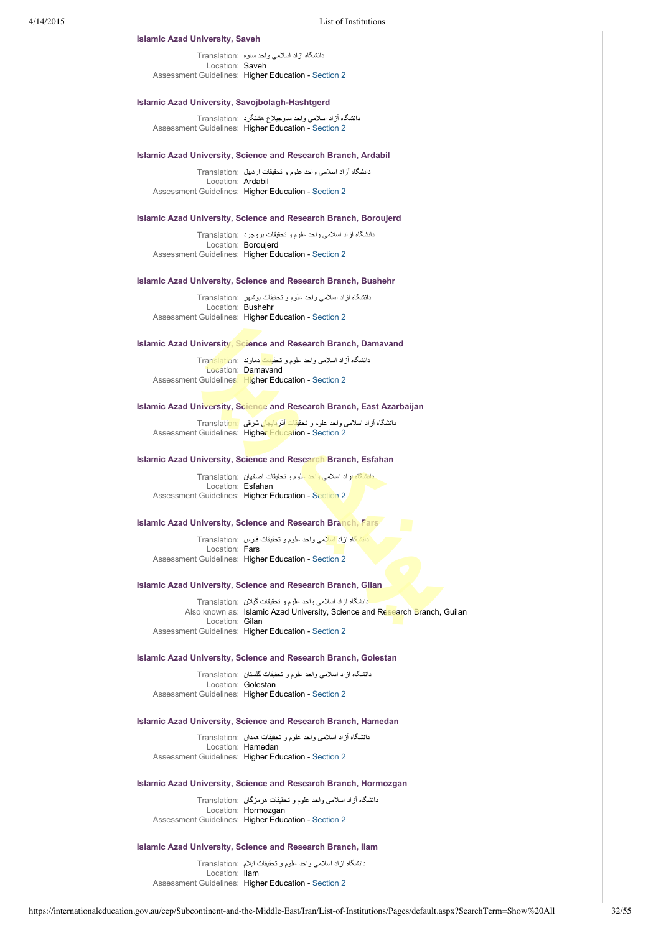| 4/14/2015 |                                                       | List of Institutions                                                                                                                                    |
|-----------|-------------------------------------------------------|---------------------------------------------------------------------------------------------------------------------------------------------------------|
|           | <b>Islamic Azad University, Saveh</b>                 |                                                                                                                                                         |
|           | Location: Saveh                                       | دانشگاه آزاد اسلامی واحد ساوه ۲ranslation:<br>Assessment Guidelines: Higher Education - Section 2                                                       |
|           | <b>Islamic Azad University, Savojbolagh-Hashtgerd</b> |                                                                                                                                                         |
|           |                                                       |                                                                                                                                                         |
|           |                                                       | دانشگاه آزاد اسلامی واحد ساوجبلاغ هشتگرد Translation:<br>Assessment Guidelines: Higher Education - Section 2                                            |
|           |                                                       | <b>Islamic Azad University, Science and Research Branch, Ardabil</b>                                                                                    |
|           | Location: Ardabil                                     | دانشگاه آزاد اسلامی واحد علوم و تحقیقات اردبیل Translation:                                                                                             |
|           |                                                       | Assessment Guidelines: Higher Education - Section 2                                                                                                     |
|           |                                                       | <b>Islamic Azad University, Science and Research Branch, Boroujerd</b>                                                                                  |
|           |                                                       | دانشگاه أزاد اسلامی واحد علوم و تحقیقات بروجرد :Translation<br>Location: Boroujerd                                                                      |
|           |                                                       | Assessment Guidelines: Higher Education - Section 2                                                                                                     |
|           |                                                       | <b>Islamic Azad University, Science and Research Branch, Bushehr</b>                                                                                    |
|           | Location: Bushehr                                     | دانشگاه آز اد اسلامی واحد علوم و تحقیقات بوشهر   :Translation                                                                                           |
|           |                                                       | Assessment Guidelines: Higher Education - Section 2                                                                                                     |
|           |                                                       | <b>Islamic Azad University, Science and Research Branch, Damavand</b>                                                                                   |
|           |                                                       | دانشگاه آزاد اسلامی واحد علوم و تحق <mark>یقات</mark> دماوند  :Translation<br>Location: Damavand<br>Assessment Guidelines: Higher Education - Section 2 |
|           |                                                       | Islamic Azad University, Science and Research Branch, East Azarbaijan                                                                                   |
|           |                                                       | دانشگاه آزاد اسلامی واحد علوم و تحقیقات آذربایجان شرقی Translation:<br>Assessment Guidelines: Higher Education - Section 2                              |
|           |                                                       | <b>Islamic Azad University, Science and Research Branch, Esfahan</b>                                                                                    |
|           |                                                       | دانشگاه آزاد اسلامی واحد علوم و تحقیقات اصفهان Translation:                                                                                             |
|           | Location: Esfahan                                     | Assessment Guidelines: Higher Education - Section 2                                                                                                     |
|           |                                                       | <b>Islamic Azad University, Science and Research Branch, Fars</b>                                                                                       |
|           | Location: Fars                                        | دانشگاه آزاد اسلامی واحد علوم و تحقیقات فارس Translation:                                                                                               |
|           |                                                       | Assessment Guidelines: Higher Education - Section 2                                                                                                     |
|           |                                                       | <b>Islamic Azad University, Science and Research Branch, Gilan</b>                                                                                      |
|           |                                                       | دانشگاه آز اد اسلامی واحد علوم و تحقیقات گیلان  :Translation<br>Also known as: Islamic Azad University, Science and Research Branch, Guilan             |
|           | Location: Gilan                                       | Assessment Guidelines: Higher Education - Section 2                                                                                                     |
|           |                                                       | <b>Islamic Azad University, Science and Research Branch, Golestan</b>                                                                                   |
|           |                                                       | دانشگاه آزاد اسلامی واحد علوم و تحقیقات گلستان  :Translation                                                                                            |
|           |                                                       | Location: Golestan<br>Assessment Guidelines: Higher Education - Section 2                                                                               |
|           |                                                       | <b>Islamic Azad University, Science and Research Branch, Hamedan</b>                                                                                    |
|           |                                                       | دانشگاه آز اد اسلامی واحد علوم و تحقیقات همدان  :Translation<br>Location: Hamedan                                                                       |
|           |                                                       | Assessment Guidelines: Higher Education - Section 2                                                                                                     |
|           |                                                       | <b>Islamic Azad University, Science and Research Branch, Hormozgan</b>                                                                                  |
|           |                                                       | دانشگاه آزاد اسلامی واحد علوم و تحقیقات هرمزگان Translation:<br>Location: Hormozgan<br>Assessment Guidelines: Higher Education - Section 2              |
|           |                                                       | Islamic Azad University, Science and Research Branch, Ilam                                                                                              |

دانشگاه آزاد اسلامی واحد علوم و تحقيقات ايلام :Translation Location: Ilam Assessment Guidelines: Higher Education - [Section 2](https://internationaleducation.gov.au/cep/Subcontinent-and-the-Middle-East/Iran/Assessment-Guidelines/Pages/HigherEd-S2-Default.aspx)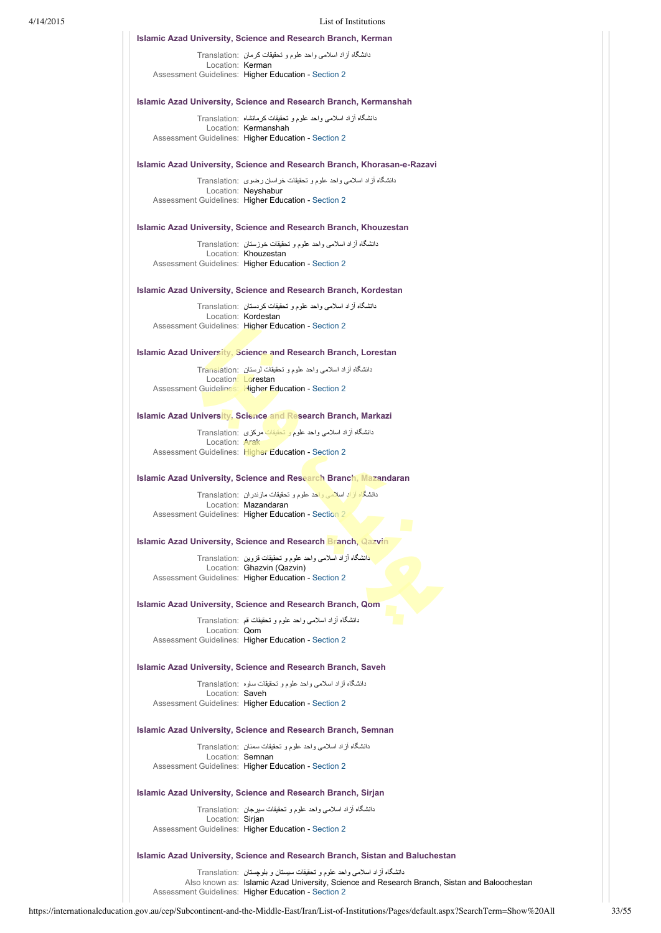|                       | List of Institutions                                                                      |
|-----------------------|-------------------------------------------------------------------------------------------|
|                       | <b>Islamic Azad University, Science and Research Branch, Kerman</b>                       |
| Location: Kerman      | دانشگاه آز اد اسلامی واحد علوم و تحقیقات کر مان  :Translation                             |
|                       | Assessment Guidelines: Higher Education - Section 2                                       |
|                       | <b>Islamic Azad University, Science and Research Branch, Kermanshah</b>                   |
|                       | دانشگاه آز اد اسلامی و احد علوم و تحقیقات کر مانشاه  :Translation<br>Location: Kermanshah |
|                       | Assessment Guidelines: Higher Education - Section 2                                       |
|                       | Islamic Azad University, Science and Research Branch, Khorasan-e-Razavi                   |
|                       | دانشگاه آزاد اسلامی واحد علوم و تحقیقات خراسان رضوی Translation:<br>Location: Neyshabur   |
|                       | Assessment Guidelines: Higher Education - Section 2                                       |
|                       | <b>Islamic Azad University, Science and Research Branch, Khouzestan</b>                   |
|                       | دانشگاه آزاد اسلامی واحد علوم و تحقیقات خوزستان :Translation                              |
|                       | Location: Khouzestan<br>Assessment Guidelines: Higher Education - Section 2               |
|                       | <b>Islamic Azad University, Science and Research Branch, Kordestan</b>                    |
|                       | دانشگاه آزاد اسلامی واحد علوم و تحقیقات کردستان  :Translation                             |
|                       | Location: Kordestan<br>Assessment Guidelines: Higher Education - Section 2                |
|                       | <b>Islamic Azad University, Science and Research Branch, Lorestan</b>                     |
|                       | دانشگاه آزاد اسلامی واحد علوم و تحقیقات لرستان  :Translation                              |
|                       | Location: Lorestan<br>Assessment Guidelines: Higher Education - Section 2                 |
|                       | <b>Islamic Azad University, Science and Research Branch, Markazi</b>                      |
|                       | دانشگاه آزاد اسلامی واحد علوم و تحقیقات مرکزی Translation:                                |
| Location: <b>Arak</b> | Assessment Guidelines: Higher Education - Section 2                                       |
|                       | <b>Islamic Azad University, Science and Research Branch, Mazandaran</b>                   |
|                       | دانشگاه آزاد اسلامی واحد علوم و تحقیقات مازندران ۲ranslation:                             |
|                       | Location: Mazandaran<br>Assessment Guidelines: Higher Education - Section 2               |
|                       | <b>Islamic Azad University, Science and Research Branch, Qazvin</b>                       |
|                       | دانشگاه آزاد اسلامی واحد علوم و تحقیقات قزوین Translation:                                |
|                       | Location: Ghazvin (Qazvin)<br>Assessment Guidelines: Higher Education - Section 2         |
|                       | <b>Islamic Azad University, Science and Research Branch, Qom</b>                          |
|                       | دانشگاه أزاد اسلامی واحد علوم و تحقیقات قع  :Translation                                  |
| Location: Qom         | Assessment Guidelines: Higher Education - Section 2                                       |
|                       | <b>Islamic Azad University, Science and Research Branch, Saveh</b>                        |
|                       | دانشگاه آزاد اسلامی واحد علوم و تحقیقات ساوه  :Translation                                |
| Location: Saveh       | Assessment Guidelines: Higher Education - Section 2                                       |
|                       | <b>Islamic Azad University, Science and Research Branch, Semnan</b>                       |
|                       | دانشگاه آزاد اسلامی واحد علوم و تحقیقات سمنان  :Translation                               |
|                       | Location: Semnan<br>Assessment Guidelines: Higher Education - Section 2                   |
|                       | <b>Islamic Azad University, Science and Research Branch, Sirjan</b>                       |
|                       | دانشگاه آزاد اسلامی واحد علوم و تحقیقات سیرجان  :Translation                              |
| Location: Sirjan      | Assessment Guidelines: Higher Education - Section 2                                       |
|                       |                                                                                           |

# **Islamic Azad University, Science and Research Branch, Sistan and Baluchestan**

دانشگاه آزاد اسلامی واحد علوم و تحقيقات سيستان و بلوچستان :Translation Also known as: Islamic Azad University, Science and Research Branch, Sistan and Baloochestan Assessment Guidelines: Higher Education - [Section 2](https://internationaleducation.gov.au/cep/Subcontinent-and-the-Middle-East/Iran/Assessment-Guidelines/Pages/HigherEd-S2-Default.aspx)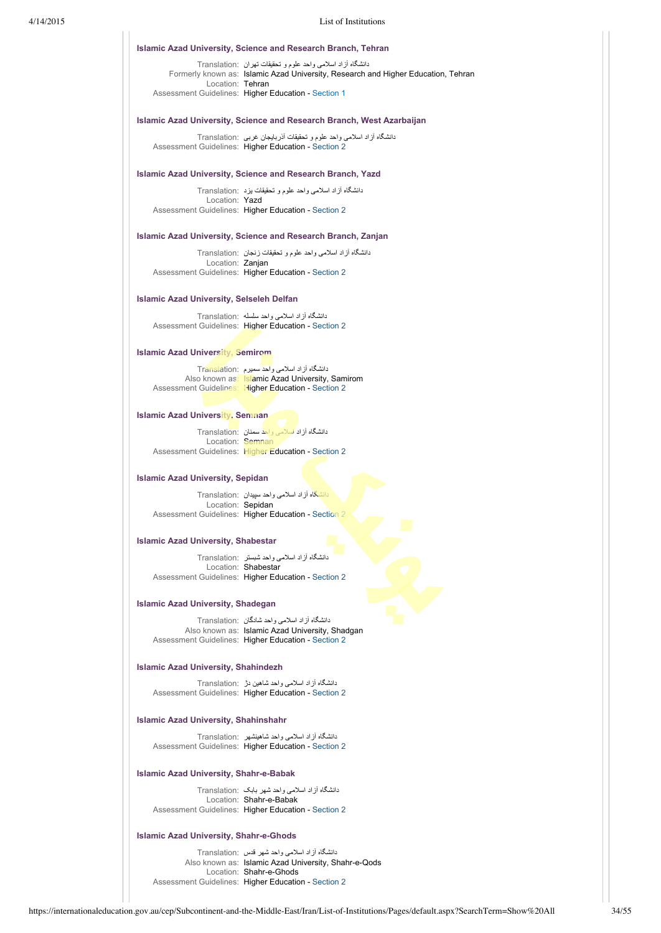# 4/14/2015 List of Institutions

### **Islamic Azad University, Science and Research Branch, Tehran**

دانشگاه آزاد اسلامی واحد علوم و تحقيقات تهران :Translation Formerly known as: Islamic Azad University, Research and Higher Education, Tehran Location: Tehran Assessment Guidelines: Higher Education - [Section 1](https://internationaleducation.gov.au/cep/Subcontinent-and-the-Middle-East/Iran/Assessment-Guidelines/Pages/HigherEd-S1-Default.aspx)

### **Islamic Azad University, Science and Research Branch, West Azarbaijan**

دانشگاه آزاد اسلامی واحد علوم و تحقيقات آذربايجان غربی :Translation Assessment Guidelines: Higher Education - [Section 2](https://internationaleducation.gov.au/cep/Subcontinent-and-the-Middle-East/Iran/Assessment-Guidelines/Pages/HigherEd-S2-Default.aspx)

### **Islamic Azad University, Science and Research Branch, Yazd**

دانشگاه آزاد اسلامی واحد علوم و تحقيقات يزد :Translation Location: Yazd Assessment Guidelines: Higher Education - [Section 2](https://internationaleducation.gov.au/cep/Subcontinent-and-the-Middle-East/Iran/Assessment-Guidelines/Pages/HigherEd-S2-Default.aspx)

# **Islamic Azad University, Science and Research Branch, Zanjan**

دانشگاه آزاد اسلامی واحد علوم و تحقيقات زنجان :Translation Location: Zanjan Assessment Guidelines: Higher Education - [Section 2](https://internationaleducation.gov.au/cep/Subcontinent-and-the-Middle-East/Iran/Assessment-Guidelines/Pages/HigherEd-S2-Default.aspx)

### **Islamic Azad University, Selseleh Delfan**

دانشگاه آزاد اسلامی واحد سلسله :Translation Assessment Guidelines: Higher Education - [Section 2](https://internationaleducation.gov.au/cep/Subcontinent-and-the-Middle-East/Iran/Assessment-Guidelines/Pages/HigherEd-S2-Default.aspx)

# **Islamic Azad University, Semirom**

دانشگاه آزاد اسلامی واحد سميرم :Translation Also known as: Islamic Azad University, Samirom Assessment Guidelines: Higher Education - [Section 2](https://internationaleducation.gov.au/cep/Subcontinent-and-the-Middle-East/Iran/Assessment-Guidelines/Pages/HigherEd-S2-Default.aspx)

### **Islamic Azad University, Semnan**

دانشگاه آزاد اسلامی واحد سمنان :Translation Location: Semnan Assessment Guidelines: Higher Education - [Section 2](https://internationaleducation.gov.au/cep/Subcontinent-and-the-Middle-East/Iran/Assessment-Guidelines/Pages/HigherEd-S2-Default.aspx)

### **Islamic Azad University, Sepidan**

دانشگاه آزاد اسلامی واحد سپيدان :Translation Location: Sepidan Assessment Guidelines: Higher Education - [Section 2](https://internationaleducation.gov.au/cep/Subcontinent-and-the-Middle-East/Iran/Assessment-Guidelines/Pages/HigherEd-S2-Default.aspx)

### **Islamic Azad University, Shabestar**

دانشگاه آزاد اسلامی واحد شبستر :Translation Location: Shabestar Assessment Guidelines: Higher Education - [Section 2](https://internationaleducation.gov.au/cep/Subcontinent-and-the-Middle-East/Iran/Assessment-Guidelines/Pages/HigherEd-S2-Default.aspx)

# **Islamic Azad University, Shadegan**

دانشگاه آزاد اسلامی واحد شادگان :Translation Also known as: Islamic Azad University, Shadgan Assessment Guidelines: Higher Education - [Section 2](https://internationaleducation.gov.au/cep/Subcontinent-and-the-Middle-East/Iran/Assessment-Guidelines/Pages/HigherEd-S2-Default.aspx)

# **Islamic Azad University, Shahindezh**

دانشگاه آزاد اسلامی واحد شاهين دژ :Translation Assessment Guidelines: Higher Education - [Section 2](https://internationaleducation.gov.au/cep/Subcontinent-and-the-Middle-East/Iran/Assessment-Guidelines/Pages/HigherEd-S2-Default.aspx)

### **Islamic Azad University, Shahinshahr**

دانشگاه آزاد اسلامی واحد شاهينشهر :Translation Assessment Guidelines: Higher Education - [Section 2](https://internationaleducation.gov.au/cep/Subcontinent-and-the-Middle-East/Iran/Assessment-Guidelines/Pages/HigherEd-S2-Default.aspx)

### **Islamic Azad University, Shahr-e-Babak**

دانشگاه آزاد اسلامی واحد شهر بابک :Translation Location: Shahr-e-Babak Assessment Guidelines: Higher Education - [Section 2](https://internationaleducation.gov.au/cep/Subcontinent-and-the-Middle-East/Iran/Assessment-Guidelines/Pages/HigherEd-S2-Default.aspx)

### **Islamic Azad University, Shahr-e-Ghods**

دانشگاه آزاد اسلامی واحد شهر قدس :Translation Also known as: Islamic Azad University, Shahr-e-Qods Location: Shahr-e-Ghods Assessment Guidelines: Higher Education - [Section 2](https://internationaleducation.gov.au/cep/Subcontinent-and-the-Middle-East/Iran/Assessment-Guidelines/Pages/HigherEd-S2-Default.aspx)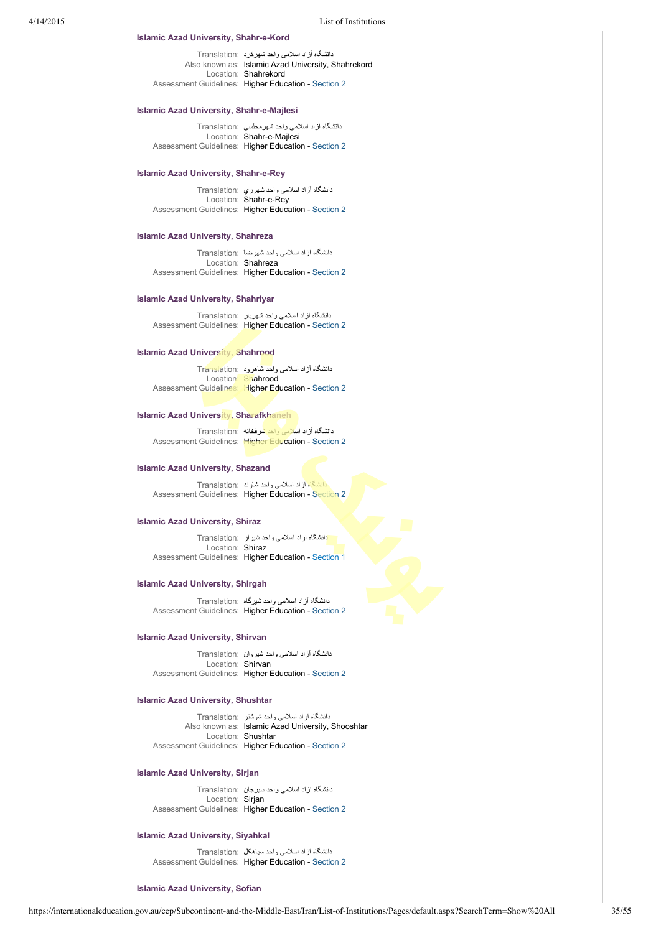# **Islamic Azad University, Shahr-e-Kord**

دانشگاه آزاد اسلامی واحد شهركرد :Translation Also known as: Islamic Azad University, Shahrekord Location: Shahrekord Assessment Guidelines: Higher Education - [Section 2](https://internationaleducation.gov.au/cep/Subcontinent-and-the-Middle-East/Iran/Assessment-Guidelines/Pages/HigherEd-S2-Default.aspx)

### **Islamic Azad University, Shahr-e-Majlesi**

دانشگاه آزاد اسلامی واحد شهرمجلسي :Translation Location: Shahr-e-Majlesi Assessment Guidelines: Higher Education - [Section 2](https://internationaleducation.gov.au/cep/Subcontinent-and-the-Middle-East/Iran/Assessment-Guidelines/Pages/HigherEd-S2-Default.aspx)

# **Islamic Azad University, Shahr-e-Rey**

دانشگاه آزاد اسلامی واحد شهرري :Translation Location: Shahr-e-Rey Assessment Guidelines: Higher Education - [Section 2](https://internationaleducation.gov.au/cep/Subcontinent-and-the-Middle-East/Iran/Assessment-Guidelines/Pages/HigherEd-S2-Default.aspx)

# **Islamic Azad University, Shahreza**

دانشگاه آزاد اسلامی واحد شهرضا :Translation Location: Shahreza Assessment Guidelines: Higher Education - [Section 2](https://internationaleducation.gov.au/cep/Subcontinent-and-the-Middle-East/Iran/Assessment-Guidelines/Pages/HigherEd-S2-Default.aspx)

# **Islamic Azad University, Shahriyar**

دانشگاه آزاد اسلامی واحد شهريار :Translation Assessment Guidelines: Higher Education - [Section 2](https://internationaleducation.gov.au/cep/Subcontinent-and-the-Middle-East/Iran/Assessment-Guidelines/Pages/HigherEd-S2-Default.aspx)

# **Islamic Azad University, Shahrood**

دانشگاه آزاد اسلامی واحد شاهرود :Translation Location: Shahrood Assessment Guidelines: Higher Education - [Section 2](https://internationaleducation.gov.au/cep/Subcontinent-and-the-Middle-East/Iran/Assessment-Guidelines/Pages/HigherEd-S2-Default.aspx)

### **Islamic Azad University, Sharafkhaneh**

دانشگاه آزاد اسلامی واحد شرفخانه :Translation Assessment Guidelines: Higher Education - [Section 2](https://internationaleducation.gov.au/cep/Subcontinent-and-the-Middle-East/Iran/Assessment-Guidelines/Pages/HigherEd-S2-Default.aspx)

### **Islamic Azad University, Shazand**

دانشگاه آزاد اسلامی واحد شازند :Translation Assessment Guidelines: Higher Education - [Section 2](https://internationaleducation.gov.au/cep/Subcontinent-and-the-Middle-East/Iran/Assessment-Guidelines/Pages/HigherEd-S2-Default.aspx)

# **Islamic Azad University, Shiraz**

دانشگاه آزاد اسلامی واحد شيراز :Translation Location: Shiraz Assessment Guidelines: Higher Education - [Section 1](https://internationaleducation.gov.au/cep/Subcontinent-and-the-Middle-East/Iran/Assessment-Guidelines/Pages/HigherEd-S1-Default.aspx)

# **Islamic Azad University, Shirgah**

دانشگاه آزاد اسلامی واحد شيرگاه :Translation Assessment Guidelines: Higher Education - [Section 2](https://internationaleducation.gov.au/cep/Subcontinent-and-the-Middle-East/Iran/Assessment-Guidelines/Pages/HigherEd-S2-Default.aspx)

### **Islamic Azad University, Shirvan**

دانشگاه آزاد اسلامی واحد شيروان :Translation Location: Shirvan Assessment Guidelines: Higher Education - [Section 2](https://internationaleducation.gov.au/cep/Subcontinent-and-the-Middle-East/Iran/Assessment-Guidelines/Pages/HigherEd-S2-Default.aspx)

# **Islamic Azad University, Shushtar**

دانشگاه آزاد اسلامی واحد شوشتر :Translation Also known as: Islamic Azad University, Shooshtar Location: Shushtar Assessment Guidelines: Higher Education - [Section 2](https://internationaleducation.gov.au/cep/Subcontinent-and-the-Middle-East/Iran/Assessment-Guidelines/Pages/HigherEd-S2-Default.aspx)

### **Islamic Azad University, Sirjan**

دانشگاه آزاد اسلامی واحد سيرجان :Translation Location: Sirjan Assessment Guidelines: Higher Education - [Section 2](https://internationaleducation.gov.au/cep/Subcontinent-and-the-Middle-East/Iran/Assessment-Guidelines/Pages/HigherEd-S2-Default.aspx)

### **Islamic Azad University, Siyahkal**

دانشگاه آزاد اسلامی واحد سياهکل :Translation Assessment Guidelines: Higher Education - [Section 2](https://internationaleducation.gov.au/cep/Subcontinent-and-the-Middle-East/Iran/Assessment-Guidelines/Pages/HigherEd-S2-Default.aspx)

### **Islamic Azad University, Sofian**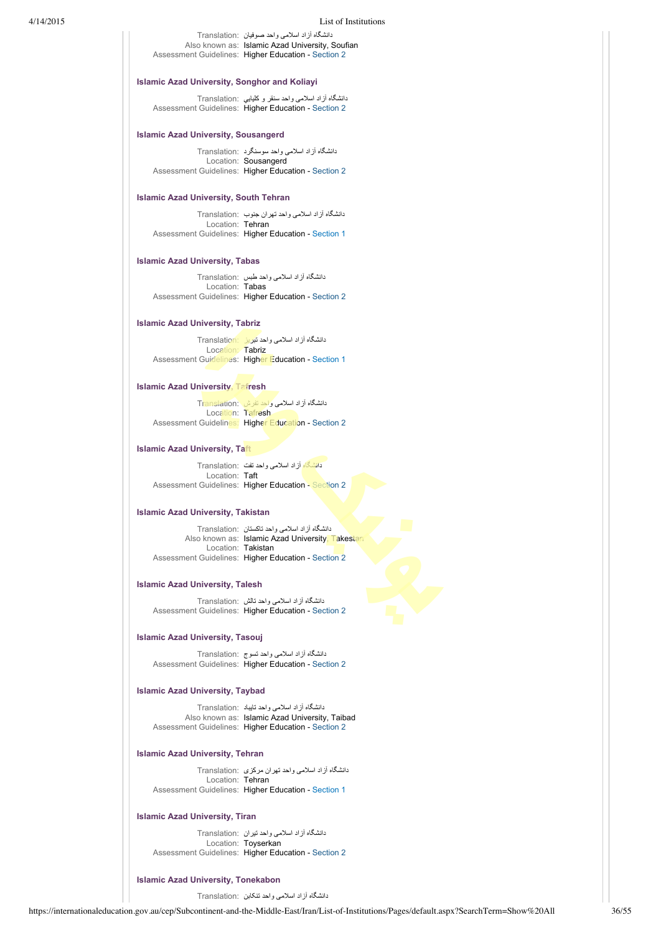### 4/14/2015 List of Institutions

دانشگاه آزاد اسلامی واحد صوفيان :Translation Also known as: Islamic Azad University, Soufian Assessment Guidelines: Higher Education - [Section 2](https://internationaleducation.gov.au/cep/Subcontinent-and-the-Middle-East/Iran/Assessment-Guidelines/Pages/HigherEd-S2-Default.aspx)

### **Islamic Azad University, Songhor and Koliayi**

دانشگاه آزاد اسلامی واحد سنقر و كليايي :Translation Assessment Guidelines: Higher Education - [Section 2](https://internationaleducation.gov.au/cep/Subcontinent-and-the-Middle-East/Iran/Assessment-Guidelines/Pages/HigherEd-S2-Default.aspx)

### **Islamic Azad University, Sousangerd**

دانشگاه آزاد اسلامی واحد سوسنگرد :Translation Location: Sousangerd Assessment Guidelines: Higher Education - [Section 2](https://internationaleducation.gov.au/cep/Subcontinent-and-the-Middle-East/Iran/Assessment-Guidelines/Pages/HigherEd-S2-Default.aspx)

# **Islamic Azad University, South Tehran**

دانشگاه آزاد اسلامی واحد تهران جنوب :Translation Location: Tehran Assessment Guidelines: Higher Education - [Section 1](https://internationaleducation.gov.au/cep/Subcontinent-and-the-Middle-East/Iran/Assessment-Guidelines/Pages/HigherEd-S1-Default.aspx)

### **Islamic Azad University, Tabas**

دانشگاه آزاد اسلامی واحد طبس :Translation Location: Tabas Assessment Guidelines: Higher Education - [Section 2](https://internationaleducation.gov.au/cep/Subcontinent-and-the-Middle-East/Iran/Assessment-Guidelines/Pages/HigherEd-S2-Default.aspx)

### **Islamic Azad University, Tabriz**

دانشگاه آزاد اسلامی واحد تبريز :Translation Location: Tabriz Assessment Guidelines: Higher Education - [Section 1](https://internationaleducation.gov.au/cep/Subcontinent-and-the-Middle-East/Iran/Assessment-Guidelines/Pages/HigherEd-S1-Default.aspx)

# **Islamic Azad University, Tafresh**

دانشگاه آزاد اسلامی واحد تفرش :Translation Location: Tafresh Assessment Guidelines: Higher Education - [Section 2](https://internationaleducation.gov.au/cep/Subcontinent-and-the-Middle-East/Iran/Assessment-Guidelines/Pages/HigherEd-S2-Default.aspx)

# **Islamic Azad University, Taft**

دانشگاه آزاد اسلامی واحد تفت :Translation Location: Taft Assessment Guidelines: Higher Education - [Section 2](https://internationaleducation.gov.au/cep/Subcontinent-and-the-Middle-East/Iran/Assessment-Guidelines/Pages/HigherEd-S2-Default.aspx)

# **Islamic Azad University, Takistan**

دانشگاه آزاد اسلامی واحد تاكستان :Translation Also known as: Islamic Azad University, Takestan Location: Takistan Assessment Guidelines: Higher Education - [Section 2](https://internationaleducation.gov.au/cep/Subcontinent-and-the-Middle-East/Iran/Assessment-Guidelines/Pages/HigherEd-S2-Default.aspx)

### **Islamic Azad University, Talesh**

دانشگاه آزاد اسلامی واحد تالش :Translation Assessment Guidelines: Higher Education - [Section 2](https://internationaleducation.gov.au/cep/Subcontinent-and-the-Middle-East/Iran/Assessment-Guidelines/Pages/HigherEd-S2-Default.aspx)

### **Islamic Azad University, Tasouj**

دانشگاه آزاد اسلامی واحد تسوج :Translation Assessment Guidelines: Higher Education - [Section 2](https://internationaleducation.gov.au/cep/Subcontinent-and-the-Middle-East/Iran/Assessment-Guidelines/Pages/HigherEd-S2-Default.aspx)

# **Islamic Azad University, Taybad**

دانشگاه آزاد اسلامی واحد تايباد :Translation Also known as: Islamic Azad University, Taibad Assessment Guidelines: Higher Education - [Section 2](https://internationaleducation.gov.au/cep/Subcontinent-and-the-Middle-East/Iran/Assessment-Guidelines/Pages/HigherEd-S2-Default.aspx)

# **Islamic Azad University, Tehran**

دانشگاه آزاد اسلامی واحد تهران مرکزی :Translation Location: Tehran Assessment Guidelines: Higher Education - [Section 1](https://internationaleducation.gov.au/cep/Subcontinent-and-the-Middle-East/Iran/Assessment-Guidelines/Pages/HigherEd-S1-Default.aspx)

### **Islamic Azad University, Tiran**

دانشگاه آزاد اسلامی واحد تيران :Translation Location: Toyserkan Assessment Guidelines: Higher Education - [Section 2](https://internationaleducation.gov.au/cep/Subcontinent-and-the-Middle-East/Iran/Assessment-Guidelines/Pages/HigherEd-S2-Default.aspx)

# **Islamic Azad University, Tonekabon**

دانشگاه آزاد اسلامی واحد تنکابن :Translation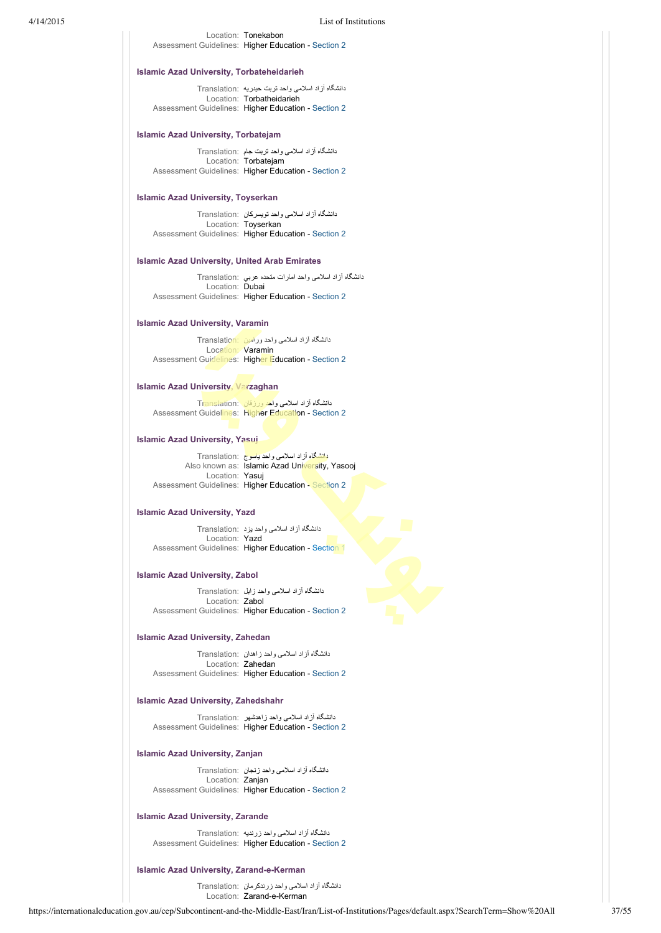### Location: Tonekabon Assessment Guidelines: Higher Education - [Section 2](https://internationaleducation.gov.au/cep/Subcontinent-and-the-Middle-East/Iran/Assessment-Guidelines/Pages/HigherEd-S2-Default.aspx)

### **Islamic Azad University, Torbateheidarieh**

دانشگاه آزاد اسلامی واحد تربت حيدريه :Translation Location: Torbatheidarieh Assessment Guidelines: Higher Education - [Section 2](https://internationaleducation.gov.au/cep/Subcontinent-and-the-Middle-East/Iran/Assessment-Guidelines/Pages/HigherEd-S2-Default.aspx)

### **Islamic Azad University, Torbatejam**

دانشگاه آزاد اسلامی واحد تربت جام :Translation Location: Torbatejam Assessment Guidelines: Higher Education - [Section 2](https://internationaleducation.gov.au/cep/Subcontinent-and-the-Middle-East/Iran/Assessment-Guidelines/Pages/HigherEd-S2-Default.aspx)

# **Islamic Azad University, Toyserkan**

دانشگاه آزاد اسلامی واحد تويسرکان :Translation Location: Toyserkan Assessment Guidelines: Higher Education - [Section 2](https://internationaleducation.gov.au/cep/Subcontinent-and-the-Middle-East/Iran/Assessment-Guidelines/Pages/HigherEd-S2-Default.aspx)

### **Islamic Azad University, United Arab Emirates**

دانشگاه آزاد اسلامی واحد امارات متحده عربي :Translation Location: Dubai Assessment Guidelines: Higher Education - [Section 2](https://internationaleducation.gov.au/cep/Subcontinent-and-the-Middle-East/Iran/Assessment-Guidelines/Pages/HigherEd-S2-Default.aspx)

### **Islamic Azad University, Varamin**

دانشگاه آزاد اسلامی واحد ورامين :Translation Location: Varamin Assessment Guidelines: Higher Education - [Section 2](https://internationaleducation.gov.au/cep/Subcontinent-and-the-Middle-East/Iran/Assessment-Guidelines/Pages/HigherEd-S2-Default.aspx)

# **Islamic Azad University, Varzaghan**

دانشگاه آزاد اسلامی واحد ورزقان :Translation Assessment Guidelines: Higher Education - [Section 2](https://internationaleducation.gov.au/cep/Subcontinent-and-the-Middle-East/Iran/Assessment-Guidelines/Pages/HigherEd-S2-Default.aspx)

# **Islamic Azad University, Yasuj**

دانشگاه آزاد اسلامی واحد ياسوج :Translation Also known as: Islamic Azad University, Yasooj Location: Yasuj Assessment Guidelines: Higher Education - [Section 2](https://internationaleducation.gov.au/cep/Subcontinent-and-the-Middle-East/Iran/Assessment-Guidelines/Pages/HigherEd-S2-Default.aspx)

# **Islamic Azad University, Yazd**

دانشگاه آزاد اسلامی واحد يزد :Translation Location: Yazd Assessment Guidelines: Higher Education - [Section 1](https://internationaleducation.gov.au/cep/Subcontinent-and-the-Middle-East/Iran/Assessment-Guidelines/Pages/HigherEd-S1-Default.aspx)

### **Islamic Azad University, Zabol**

دانشگاه آزاد اسلامی واحد زابل :Translation Location: Zabol Assessment Guidelines: Higher Education - [Section 2](https://internationaleducation.gov.au/cep/Subcontinent-and-the-Middle-East/Iran/Assessment-Guidelines/Pages/HigherEd-S2-Default.aspx)

### **Islamic Azad University, Zahedan**

دانشگاه آزاد اسلامی واحد زاهدان :Translation Location: Zahedan Assessment Guidelines: Higher Education - [Section 2](https://internationaleducation.gov.au/cep/Subcontinent-and-the-Middle-East/Iran/Assessment-Guidelines/Pages/HigherEd-S2-Default.aspx)

# **Islamic Azad University, Zahedshahr**

دانشگاه آزاد اسلامی واحد زاهدشهر :Translation Assessment Guidelines: Higher Education - [Section 2](https://internationaleducation.gov.au/cep/Subcontinent-and-the-Middle-East/Iran/Assessment-Guidelines/Pages/HigherEd-S2-Default.aspx)

# **Islamic Azad University, Zanjan**

دانشگاه آزاد اسلامی واحد زنجان :Translation Location: Zanjan Assessment Guidelines: Higher Education - [Section 2](https://internationaleducation.gov.au/cep/Subcontinent-and-the-Middle-East/Iran/Assessment-Guidelines/Pages/HigherEd-S2-Default.aspx)

### **Islamic Azad University, Zarande**

دانشگاه آزاد اسلامی واحد زرنديه :Translation Assessment Guidelines: Higher Education - [Section 2](https://internationaleducation.gov.au/cep/Subcontinent-and-the-Middle-East/Iran/Assessment-Guidelines/Pages/HigherEd-S2-Default.aspx)

### **Islamic Azad University, Zarand-e-Kerman**

دانشگاه آزاد اسلامی واحد زرندكرمان :Translation Location: Zarand-e-Kerman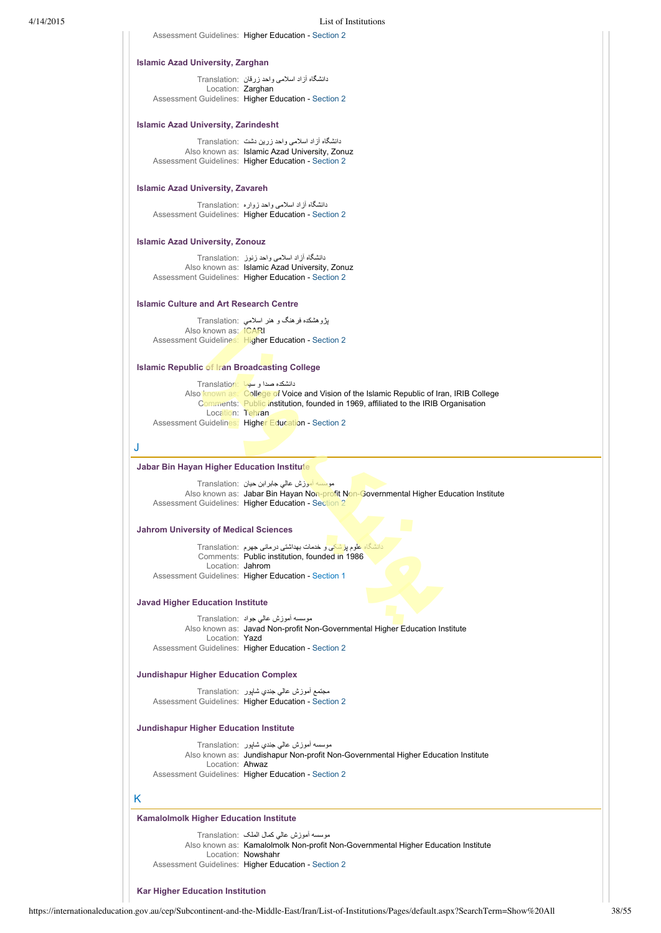Assessment Guidelines: Higher Education - [Section 2](https://internationaleducation.gov.au/cep/Subcontinent-and-the-Middle-East/Iran/Assessment-Guidelines/Pages/HigherEd-S2-Default.aspx)

### **Islamic Azad University, Zarghan**

دانشگاه آزاد اسلامی واحد زرقان :Translation Location: Zarghan Assessment Guidelines: Higher Education - [Section 2](https://internationaleducation.gov.au/cep/Subcontinent-and-the-Middle-East/Iran/Assessment-Guidelines/Pages/HigherEd-S2-Default.aspx)

# **Islamic Azad University, Zarindesht**

دانشگاه آزاد اسلامی واحد زرين دشت :Translation Also known as: Islamic Azad University, Zonuz Assessment Guidelines: Higher Education - [Section 2](https://internationaleducation.gov.au/cep/Subcontinent-and-the-Middle-East/Iran/Assessment-Guidelines/Pages/HigherEd-S2-Default.aspx)

# **Islamic Azad University, Zavareh**

دانشگاه آزاد اسلامی واحد زواره :Translation Assessment Guidelines: Higher Education - [Section 2](https://internationaleducation.gov.au/cep/Subcontinent-and-the-Middle-East/Iran/Assessment-Guidelines/Pages/HigherEd-S2-Default.aspx)

### **Islamic Azad University, Zonouz**

دانشگاه آزاد اسلامی واحد زنوز :Translation Also known as: Islamic Azad University, Zonuz Assessment Guidelines: Higher Education - [Section 2](https://internationaleducation.gov.au/cep/Subcontinent-and-the-Middle-East/Iran/Assessment-Guidelines/Pages/HigherEd-S2-Default.aspx)

### **Islamic Culture and Art Research Centre**

پژوهشكده فرهنگ و هنر اسلامي :Translation Also known as: ICARI Assessment Guidelines: Higher Education - [Section 2](https://internationaleducation.gov.au/cep/Subcontinent-and-the-Middle-East/Iran/Assessment-Guidelines/Pages/HigherEd-S2-Default.aspx)

# **Islamic Republic of Iran Broadcasting College**

دانشكده صدا و سيما :Translation Also known as: College of Voice and Vision of the Islamic Republic of Iran, IRIB College Comments: Public institution, founded in 1969, affiliated to the IRIB Organisation Location: Tehran Assessment Guidelines: Higher Education - [Section 2](https://internationaleducation.gov.au/cep/Subcontinent-and-the-Middle-East/Iran/Assessment-Guidelines/Pages/HigherEd-S2-Default.aspx)

J

### **Jabar Bin Hayan Higher Education Institute**

موسسه آموزش عالي جابرابن حيان :Translation Also known as: Jabar Bin Hayan Non-profit Non-Governmental Higher Education Institute Assessment Guidelines: Higher Education - [Section 2](https://internationaleducation.gov.au/cep/Subcontinent-and-the-Middle-East/Iran/Assessment-Guidelines/Pages/HigherEd-S2-Default.aspx)

### **Jahrom University of Medical Sciences**

دانشگاه ع<mark>لوم پزشکی </mark>و خدمات بهداشتی درمانی جهرم :Translation Comments: Public institution, founded in 1986 Location: Jahrom Assessment Guidelines: Higher Education - [Section 1](https://internationaleducation.gov.au/cep/Subcontinent-and-the-Middle-East/Iran/Assessment-Guidelines/Pages/HigherEd-S1-Default.aspx)

### **Javad Higher Education Institute**

موسسه آموزش عالي جواد :Translation Also known as: Javad Non-profit Non-Governmental Higher Education Institute Location: Yazd Assessment Guidelines: Higher Education - [Section 2](https://internationaleducation.gov.au/cep/Subcontinent-and-the-Middle-East/Iran/Assessment-Guidelines/Pages/HigherEd-S2-Default.aspx)

# **Jundishapur Higher Education Complex**

مجتمع آموزش عالي جندي شاپور :Translation Assessment Guidelines: Higher Education - [Section 2](https://internationaleducation.gov.au/cep/Subcontinent-and-the-Middle-East/Iran/Assessment-Guidelines/Pages/HigherEd-S2-Default.aspx)

### **Jundishapur Higher Education Institute**

موسسه آموزش عالي جندي شاپور :Translation Also known as: Jundishapur Non-profit Non-Governmental Higher Education Institute Location: Ahwaz Assessment Guidelines: Higher Education - [Section 2](https://internationaleducation.gov.au/cep/Subcontinent-and-the-Middle-East/Iran/Assessment-Guidelines/Pages/HigherEd-S2-Default.aspx)

### K

# **Kamalolmolk Higher Education Institute**

موسسه آموزش عالي كمال الملک :Translation Also known as: Kamalolmolk Non-profit Non-Governmental Higher Education Institute Location: Nowshahr Assessment Guidelines: Higher Education - [Section 2](https://internationaleducation.gov.au/cep/Subcontinent-and-the-Middle-East/Iran/Assessment-Guidelines/Pages/HigherEd-S2-Default.aspx)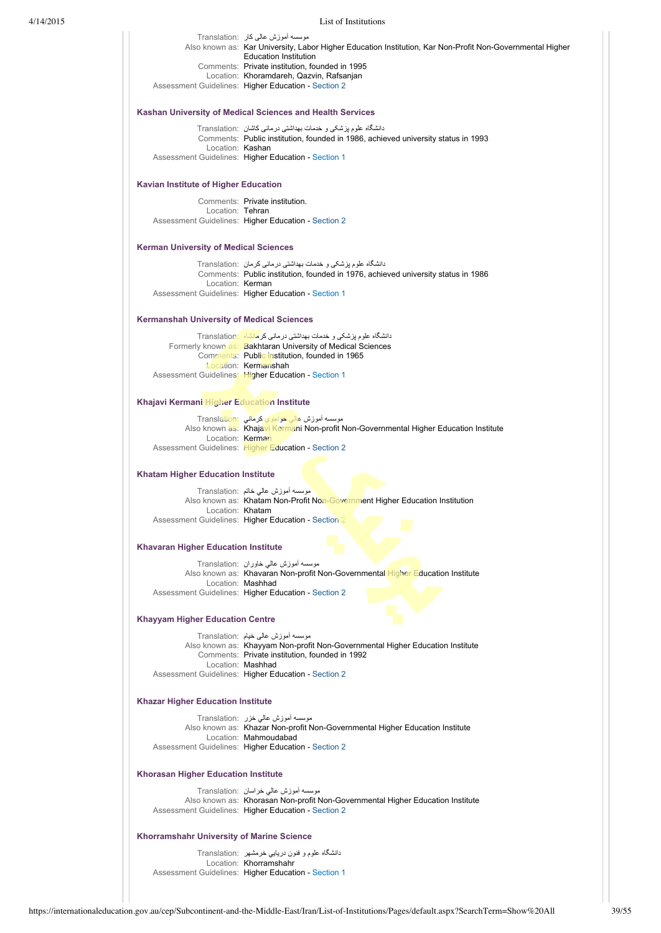| 4/14/2015 | List of Institutions                                      |                                                                                                                                                    |  |  |
|-----------|-----------------------------------------------------------|----------------------------------------------------------------------------------------------------------------------------------------------------|--|--|
|           |                                                           | موسسه اموزش عالی کار :Translation<br>Also known as: Kar University, Labor Higher Education Institution, Kar Non-Profit Non-Governmental Higher     |  |  |
|           |                                                           | <b>Education Institution</b><br>Comments: Private institution, founded in 1995<br>Location: Khoramdareh, Qazvin, Rafsanjan                         |  |  |
|           |                                                           | Assessment Guidelines: Higher Education - Section 2                                                                                                |  |  |
|           | Kashan University of Medical Sciences and Health Services |                                                                                                                                                    |  |  |
|           |                                                           | دانشگاه علوم پزشکی و خدمات بهداشتی درمانی کاشان :Translation<br>Comments: Public institution, founded in 1986, achieved university status in 1993  |  |  |
|           | Location: Kashan                                          | Assessment Guidelines: Higher Education - Section 1                                                                                                |  |  |
|           | <b>Kavian Institute of Higher Education</b>               |                                                                                                                                                    |  |  |
|           | Location: Tehran                                          | Comments: Private institution.                                                                                                                     |  |  |
|           |                                                           | Assessment Guidelines: Higher Education - Section 2                                                                                                |  |  |
|           | <b>Kerman University of Medical Sciences</b>              |                                                                                                                                                    |  |  |
|           |                                                           | دانشگاه علوم پزشکی و خدمات بهداشتی درمانی کرمان :Translation<br>Comments: Public institution, founded in 1976, achieved university status in 1986  |  |  |
|           | Location: Kerman                                          |                                                                                                                                                    |  |  |
|           |                                                           | Assessment Guidelines: Higher Education - Section 1                                                                                                |  |  |
|           | <b>Kermanshah University of Medical Sciences</b>          |                                                                                                                                                    |  |  |
|           |                                                           | دانشگاه علوم پزشکی و خدمات بهداشتی درمانی کرمانشاه :Translation<br>Formerly known as: Bakhtaran University of Medical Sciences                     |  |  |
|           |                                                           | Comments: Public institution, founded in 1965<br><b>Location: Kermanshah</b>                                                                       |  |  |
|           |                                                           | Assessment Guidelines: Higher Education - Section 1                                                                                                |  |  |
|           | Khajavi Kermani Higher Education Institute                |                                                                                                                                                    |  |  |
|           |                                                           | موسسه آموزش ع <mark>الی خواجوي کرمانی :Translation</mark><br>Also known as: Khajavi Kermani Non-profit Non-Governmental Higher Education Institute |  |  |
|           | Location: Kerman                                          | Assessment Guidelines: Higher Education - Section 2                                                                                                |  |  |
|           | <b>Khatam Higher Education Institute</b>                  |                                                                                                                                                    |  |  |
|           |                                                           | موسسه اموزش عالمي خاتم :Translation<br>Also known as: Khatam Non-Profit Non-Government Higher Education Institution                                |  |  |
|           | Location: Khatam                                          |                                                                                                                                                    |  |  |
|           |                                                           | Assessment Guidelines: Higher Education - Section 2                                                                                                |  |  |
|           | Khavaran Higher Education Institute                       |                                                                                                                                                    |  |  |
|           |                                                           | موسسه اموزش عالمي خاوران  :Translation<br>Also known as: Khavaran Non-profit Non-Governmental Higher Education Institute                           |  |  |
|           |                                                           | Location: Mashhad                                                                                                                                  |  |  |
|           |                                                           | Assessment Guidelines: Higher Education - Section 2                                                                                                |  |  |
|           | <b>Khayyam Higher Education Centre</b>                    |                                                                                                                                                    |  |  |
|           |                                                           | موسسه أموزش عالمي خيام :Translation<br>Also known as: Khayyam Non-profit Non-Governmental Higher Education Institute                               |  |  |
|           |                                                           | Comments: Private institution, founded in 1992                                                                                                     |  |  |
|           |                                                           | Location: Mashhad<br>Assessment Guidelines: Higher Education - Section 2                                                                           |  |  |
|           | <b>Khazar Higher Education Institute</b>                  |                                                                                                                                                    |  |  |
|           |                                                           | موسسه أموزش عالى خزر :Translation<br>Also known as: Khazar Non-profit Non-Governmental Higher Education Institute                                  |  |  |
|           |                                                           | Location: Mahmoudabad<br>Assessment Guidelines: Higher Education - Section 2                                                                       |  |  |
|           | Khorasan Higher Education Institute                       |                                                                                                                                                    |  |  |
|           |                                                           | موسسه أموزش عالى خراسان Translation:                                                                                                               |  |  |
|           |                                                           | Also known as: Khorasan Non-profit Non-Governmental Higher Education Institute<br>Assessment Guidelines: Higher Education - Section 2              |  |  |
|           | Khorramshahr University of Marine Science                 |                                                                                                                                                    |  |  |
|           |                                                           | دانشگاه علوم و فنون دریایی خرمشهر   :Translation<br>Location: Khorramshahr                                                                         |  |  |
|           |                                                           | Assessment Guidelines: Higher Education - Section 1                                                                                                |  |  |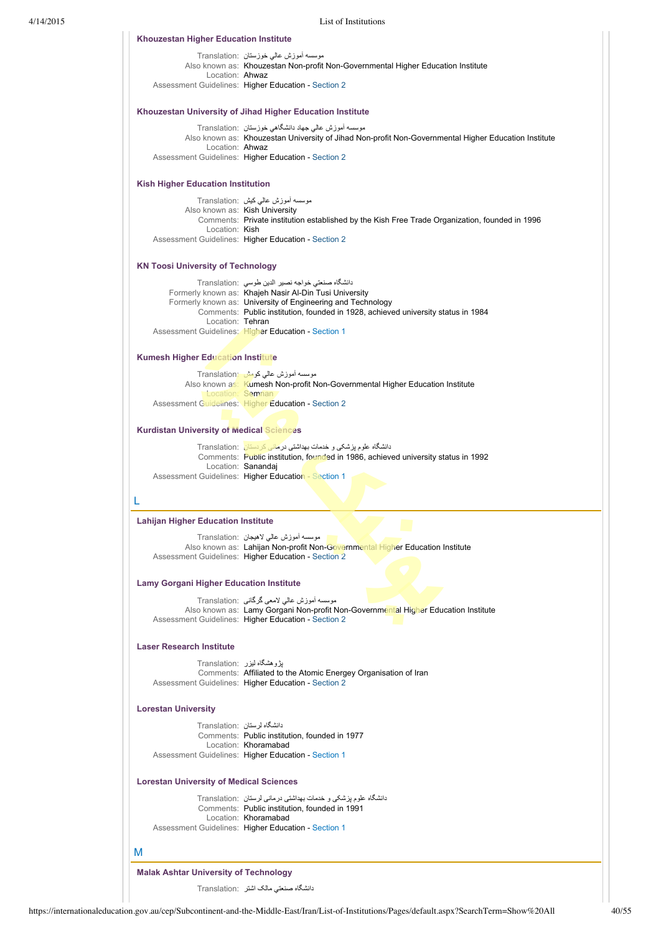

دانشگاه صنعتي مالک اشتر :Translation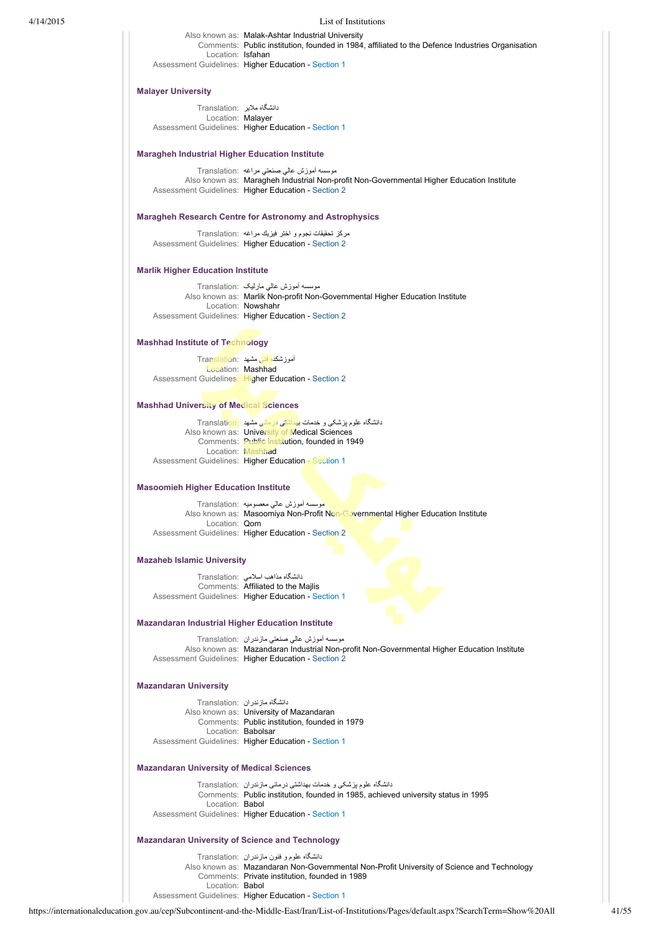### 4/14/2015 List of Institutions

Also known as: Malak-Ashtar Industrial University Comments: Public institution, founded in 1984, affiliated to the Defence Industries Organisation Location: Isfahan Assessment Guidelines: Higher Education - [Section 1](https://internationaleducation.gov.au/cep/Subcontinent-and-the-Middle-East/Iran/Assessment-Guidelines/Pages/HigherEd-S1-Default.aspx)

# **Malayer University**

دانشگاه ملاير :Translation Location: Malayer Assessment Guidelines: Higher Education - [Section 1](https://internationaleducation.gov.au/cep/Subcontinent-and-the-Middle-East/Iran/Assessment-Guidelines/Pages/HigherEd-S1-Default.aspx)

### **Maragheh Industrial Higher Education Institute**

موسسه آموزش عالي صنعتي مراغه :Translation Also known as: Maragheh Industrial Non-profit Non-Governmental Higher Education Institute Assessment Guidelines: Higher Education - [Section 2](https://internationaleducation.gov.au/cep/Subcontinent-and-the-Middle-East/Iran/Assessment-Guidelines/Pages/HigherEd-S2-Default.aspx)

### **Maragheh Research Centre for Astronomy and Astrophysics**

مركز تحقيقات نجوم و اختر فيزيك مراغه :Translation Assessment Guidelines: Higher Education - [Section 2](https://internationaleducation.gov.au/cep/Subcontinent-and-the-Middle-East/Iran/Assessment-Guidelines/Pages/HigherEd-S2-Default.aspx)

# **Marlik Higher Education Institute**

موسسه آموزش عالي مارليک :Translation Also known as: Marlik Non-profit Non-Governmental Higher Education Institute Location: Nowshahr Assessment Guidelines: Higher Education - [Section 2](https://internationaleducation.gov.au/cep/Subcontinent-and-the-Middle-East/Iran/Assessment-Guidelines/Pages/HigherEd-S2-Default.aspx)

# **Mashhad Institute of Technology**

آموزشكده فني مشهد :Translation **Location: Mashhad** Assessment Guidelines: Higher Education - [Section 2](https://internationaleducation.gov.au/cep/Subcontinent-and-the-Middle-East/Iran/Assessment-Guidelines/Pages/HigherEd-S2-Default.aspx)

#### **Mashhad University of Medical Sciences**

| دانشگاه علوم بز شکی و خدمات بهداشتی در مانی مشهد Translation: |
|---------------------------------------------------------------|
| Also known as: University of Medical Sciences                 |
| Comments: Public institution, founded in 1949                 |
| Location: Mashhad                                             |
| Assessment Guidelines: Higher Education - Section 1           |

### **Masoomieh Higher Education Institute**

موسسه آموزش عالي معصوميه :Translation Also known as: Masoomiya Non-Profit Non-Governmental Higher Education Institute Location: Qom Assessment Guidelines: Higher Education - [Section 2](https://internationaleducation.gov.au/cep/Subcontinent-and-the-Middle-East/Iran/Assessment-Guidelines/Pages/HigherEd-S2-Default.aspx)

### **Mazaheb Islamic University**

دانشگاه مذاهب اسلامي :Translation Comments: Affiliated to the Majlis Assessment Guidelines: Higher Education - [Section 1](https://internationaleducation.gov.au/cep/Subcontinent-and-the-Middle-East/Iran/Assessment-Guidelines/Pages/HigherEd-S1-Default.aspx)

### **Mazandaran Industrial Higher Education Institute**

موسسه آموزش عالي صنعتي مازندران :Translation Also known as: Mazandaran Industrial Non-profit Non-Governmental Higher Education Institute Assessment Guidelines: Higher Education - [Section 2](https://internationaleducation.gov.au/cep/Subcontinent-and-the-Middle-East/Iran/Assessment-Guidelines/Pages/HigherEd-S2-Default.aspx)

# **Mazandaran University**

دانشگاه مازندران :Translation Also known as: University of Mazandaran Comments: Public institution, founded in 1979 Location: Babolsar Assessment Guidelines: Higher Education - [Section 1](https://internationaleducation.gov.au/cep/Subcontinent-and-the-Middle-East/Iran/Assessment-Guidelines/Pages/HigherEd-S1-Default.aspx)

### **Mazandaran University of Medical Sciences**

دانشگاه علوم پزشکی و خدمات بهداشتی درمانی مازندران :Translation Comments: Public institution, founded in 1985, achieved university status in 1995 Location: Babol Assessment Guidelines: Higher Education - [Section 1](https://internationaleducation.gov.au/cep/Subcontinent-and-the-Middle-East/Iran/Assessment-Guidelines/Pages/HigherEd-S1-Default.aspx)

# **Mazandaran University of Science and Technology**

دانشگاه علوم و فنون مازندران :Translation Also known as: Mazandaran Non-Governmental Non-Profit University of Science and Technology Comments: Private institution, founded in 1989 Location: Babol Assessment Guidelines: Higher Education - [Section 1](https://internationaleducation.gov.au/cep/Subcontinent-and-the-Middle-East/Iran/Assessment-Guidelines/Pages/HigherEd-S1-Default.aspx)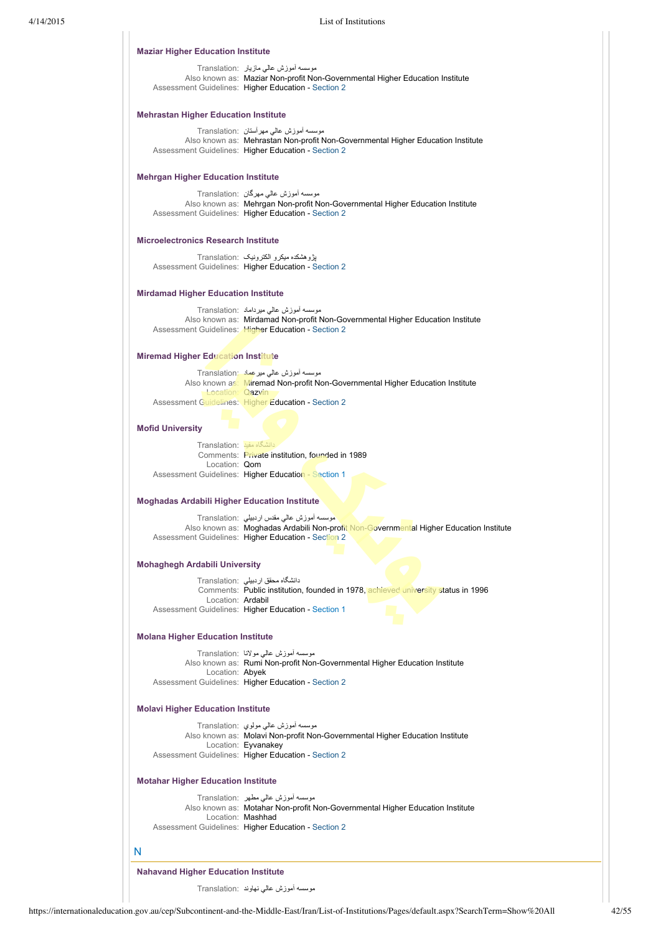| 4/14/2015 |                                                     | List of Institutions                                                                                                                                                                              |  |
|-----------|-----------------------------------------------------|---------------------------------------------------------------------------------------------------------------------------------------------------------------------------------------------------|--|
|           | <b>Maziar Higher Education Institute</b>            |                                                                                                                                                                                                   |  |
|           |                                                     | موسسه اموزش عالمی مازیار  :Translation<br>Also known as: Maziar Non-profit Non-Governmental Higher Education Institute<br>Assessment Guidelines: Higher Education - Section 2                     |  |
|           | <b>Mehrastan Higher Education Institute</b>         |                                                                                                                                                                                                   |  |
|           |                                                     | موسسه اموزش عالمی مهر استان :Translation<br>Also known as: Mehrastan Non-profit Non-Governmental Higher Education Institute<br>Assessment Guidelines: Higher Education - Section 2                |  |
|           | <b>Mehrgan Higher Education Institute</b>           |                                                                                                                                                                                                   |  |
|           |                                                     | موسسه أموزش عالى مهرگان  :Translation<br>Also known as: Mehrgan Non-profit Non-Governmental Higher Education Institute<br>Assessment Guidelines: Higher Education - Section 2                     |  |
|           | <b>Microelectronics Research Institute</b>          |                                                                                                                                                                                                   |  |
|           |                                                     | پژوهشکده میکرو الکترونیک ۲ranslation:<br>Assessment Guidelines: Higher Education - Section 2                                                                                                      |  |
|           | <b>Mirdamad Higher Education Institute</b>          |                                                                                                                                                                                                   |  |
|           |                                                     | موسسه أموزش عالى ميرداماد :Translation<br>Also known as: Mirdamad Non-profit Non-Governmental Higher Education Institute<br>Assessment Guidelines: Higher Education - Section 2                   |  |
|           | <b>Miremad Higher Education Institute</b>           |                                                                                                                                                                                                   |  |
|           |                                                     | موسسه أموزش عالي ميرعماد :Translation<br>Also known as: Miremad Non-profit Non-Governmental Higher Education Institute                                                                            |  |
|           | Location: Qazvin                                    | Assessment Guidelines: Higher Education - Section 2                                                                                                                                               |  |
|           | <b>Mofid University</b>                             |                                                                                                                                                                                                   |  |
|           | دانشگاه مفید :Translation                           | Comments: Private institution, founded in 1989                                                                                                                                                    |  |
|           | Location: Qom                                       | Assessment Guidelines: Higher Education - Section 1                                                                                                                                               |  |
|           |                                                     |                                                                                                                                                                                                   |  |
|           | <b>Moghadas Ardabili Higher Education Institute</b> | موسسه أموزش عالى مقدس اردبيلي Translation:                                                                                                                                                        |  |
|           |                                                     | Also known as: Moghadas Ardabili Non-profit Non-Governmental Higher Education Institute<br>Assessment Guidelines: Higher Education - Section 2                                                    |  |
|           | <b>Mohaghegh Ardabili University</b>                |                                                                                                                                                                                                   |  |
|           |                                                     | دانشگاه محقق اردبیلی :Translation<br>Comments: Public institution, founded in 1978, achieved university status in 1996                                                                            |  |
|           | Location: Ardabil                                   | Assessment Guidelines: Higher Education - Section 1                                                                                                                                               |  |
|           | <b>Molana Higher Education Institute</b>            |                                                                                                                                                                                                   |  |
|           |                                                     | موسسه اموزش عالمي مولانا  :Translation                                                                                                                                                            |  |
|           | Location: Abyek                                     | Also known as: Rumi Non-profit Non-Governmental Higher Education Institute<br>Assessment Guidelines: Higher Education - Section 2                                                                 |  |
|           | <b>Molavi Higher Education Institute</b>            |                                                                                                                                                                                                   |  |
|           |                                                     | موسسه اموزش عالمی مولوی :Translation                                                                                                                                                              |  |
|           |                                                     | Also known as: Molavi Non-profit Non-Governmental Higher Education Institute<br>Location: Eyvanakey<br>Assessment Guidelines: Higher Education - Section 2                                        |  |
|           | <b>Motahar Higher Education Institute</b>           |                                                                                                                                                                                                   |  |
|           |                                                     | موسسه أموزش عالمي مطهر  :Translation<br>Also known as: Motahar Non-profit Non-Governmental Higher Education Institute<br>Location: Mashhad<br>Assessment Guidelines: Higher Education - Section 2 |  |
|           | N                                                   |                                                                                                                                                                                                   |  |
|           | <b>Nahavand Higher Education Institute</b>          |                                                                                                                                                                                                   |  |

موسسه آموزش عالي نهاوند :Translation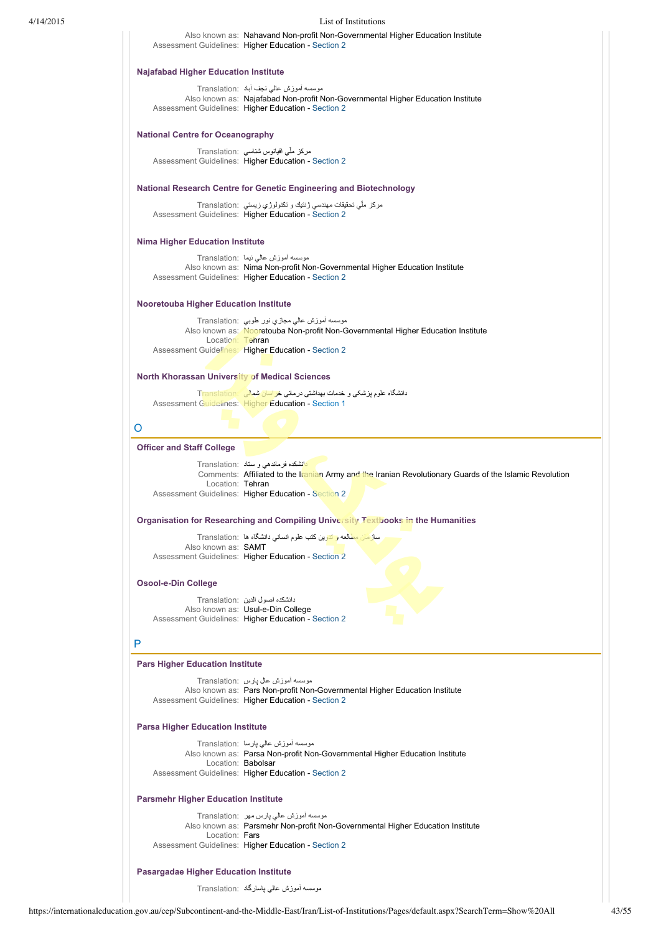| 4/14/2015                                      | List of Institutions                                                                                                                                                                                                       |
|------------------------------------------------|----------------------------------------------------------------------------------------------------------------------------------------------------------------------------------------------------------------------------|
|                                                | Also known as: Nahavand Non-profit Non-Governmental Higher Education Institute<br>Assessment Guidelines: Higher Education - Section 2                                                                                      |
| <b>Najafabad Higher Education Institute</b>    |                                                                                                                                                                                                                            |
|                                                | موسسه أموزش عالى نجف أباد :Translation<br>Also known as: Najafabad Non-profit Non-Governmental Higher Education Institute<br>Assessment Guidelines: Higher Education - Section 2                                           |
| <b>National Centre for Oceanography</b>        |                                                                                                                                                                                                                            |
|                                                | مركز ملّي اقيانوس شناسي  :Translation<br>Assessment Guidelines: Higher Education - Section 2                                                                                                                               |
|                                                | <b>National Research Centre for Genetic Engineering and Biotechnology</b>                                                                                                                                                  |
|                                                | مركز ملَّى تحقيقات مهندسي ژنتيك و تكنولوژي زيستي  :Translation<br>Assessment Guidelines: Higher Education - Section 2                                                                                                      |
| <b>Nima Higher Education Institute</b>         |                                                                                                                                                                                                                            |
|                                                | موسسه أموزش عالي نيما :Translation<br>Also known as: Nima Non-profit Non-Governmental Higher Education Institute<br>Assessment Guidelines: Higher Education - Section 2                                                    |
| <b>Nooretouba Higher Education Institute</b>   |                                                                                                                                                                                                                            |
|                                                | موسسه أموزش عالى مجازي نور طوبي  :Translation<br>Also known as: Nooretouba Non-profit Non-Governmental Higher Education Institute<br>Location: Tehran<br>Assessment Guidelines: Higher Education - Section 2               |
| North Khorassan University of Medical Sciences |                                                                                                                                                                                                                            |
|                                                | دانشگاه علوم پزشکی و خدمات بهداشتی درمانی خر <mark>اسان شمالی Franslation:</mark><br><b>Assessment Guidelines: Higher Education - Section 1</b>                                                                            |
| O                                              |                                                                                                                                                                                                                            |
| <b>Officer and Staff College</b>               |                                                                                                                                                                                                                            |
|                                                | دانشکده فرماندهی و سناد :Translation<br>Comments: Affiliated to the Iranian Army and the Iranian Revolutionary Guards of the Islamic Revolution<br>Location: Tehran<br>Assessment Guidelines: Higher Education - Section 2 |
|                                                | Organisation for Researching and Compiling University Textbooks in the Humanities                                                                                                                                          |
| Also known as: <b>SAMT</b>                     | سازمان مطالعه و تدوين كتب علوم انساني دانشگاه ها Translation:<br>Assessment Guidelines: Higher Education - Section 2                                                                                                       |
| Osool-e-Din College                            |                                                                                                                                                                                                                            |
|                                                | دانشكده اصول الدين :Translation<br>Also known as: Usul-e-Din College<br>Assessment Guidelines: Higher Education - Section 2                                                                                                |
| P                                              |                                                                                                                                                                                                                            |
| <b>Pars Higher Education Institute</b>         |                                                                                                                                                                                                                            |
|                                                | موسسه اموزش عال پارس   :Translation<br>Also known as: Pars Non-profit Non-Governmental Higher Education Institute<br>Assessment Guidelines: Higher Education - Section 2                                                   |
| <b>Parsa Higher Education Institute</b>        |                                                                                                                                                                                                                            |
|                                                | موسسه اموزش عالمی پارسا  :Translation<br>Also known as: Parsa Non-profit Non-Governmental Higher Education Institute<br>Location: Babolsar<br>Assessment Guidelines: Higher Education - Section 2                          |
| <b>Parsmehr Higher Education Institute</b>     |                                                                                                                                                                                                                            |
| Location: Fars                                 | موسسه أموزش عالمي پارس مهر Translation:<br>Also known as: Parsmehr Non-profit Non-Governmental Higher Education Institute<br>Assessment Guidelines: Higher Education - Section 2                                           |
| <b>Pasargadae Higher Education Institute</b>   |                                                                                                                                                                                                                            |
|                                                | موسسه أموزش عالمي پاسارگاد :Translation                                                                                                                                                                                    |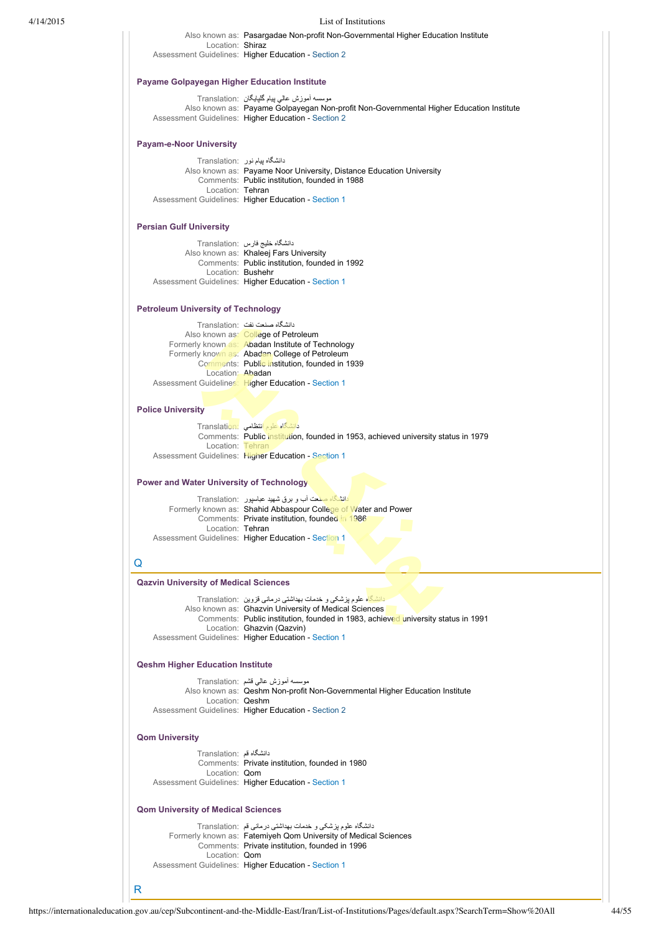| 4/14/2015 |                                                     | List of Institutions                                                                                                                           |
|-----------|-----------------------------------------------------|------------------------------------------------------------------------------------------------------------------------------------------------|
|           |                                                     | Also known as: Pasargadae Non-profit Non-Governmental Higher Education Institute                                                               |
|           | Location: Shiraz                                    | Assessment Guidelines: Higher Education - Section 2                                                                                            |
|           | <b>Payame Golpayegan Higher Education Institute</b> |                                                                                                                                                |
|           |                                                     | موسسه أموزش عالمي پيام گلپايگان  :Translation                                                                                                  |
|           |                                                     | Also known as: Payame Golpayegan Non-profit Non-Governmental Higher Education Institute<br>Assessment Guidelines: Higher Education - Section 2 |
|           | <b>Payam-e-Noor University</b>                      |                                                                                                                                                |
|           |                                                     | دانشگاه پیام نور :Translation<br>Also known as: Payame Noor University, Distance Education University                                          |
|           |                                                     | Comments: Public institution, founded in 1988                                                                                                  |
|           | Location: Tehran                                    | Assessment Guidelines: Higher Education - Section 1                                                                                            |
|           | <b>Persian Gulf University</b>                      |                                                                                                                                                |
|           |                                                     | دانشگاه خلیج فارس :Translation                                                                                                                 |
|           |                                                     | Also known as: Khaleej Fars University<br>Comments: Public institution, founded in 1992                                                        |
|           | Location: Bushehr                                   | Assessment Guidelines: Higher Education - Section 1                                                                                            |
|           |                                                     |                                                                                                                                                |
|           | <b>Petroleum University of Technology</b>           |                                                                                                                                                |
|           |                                                     | دانشگاه صنعت نفت :Translation                                                                                                                  |
|           |                                                     | Also known as: College of Petroleum<br>Formerly known as: Abadan Institute of Technology                                                       |
|           |                                                     | Formerly known as: Abadan College of Petroleum                                                                                                 |
|           | Location: Abadan                                    | Comments: Public institution, founded in 1939                                                                                                  |
|           |                                                     | Assessment Guidelines: Higher Education - Section 1                                                                                            |
|           | <b>Police University</b>                            |                                                                                                                                                |
|           |                                                     | دانشگاه علوم انتظامی Translation:                                                                                                              |
|           | Location: Tehran                                    | Comments: Public institution, founded in 1953, achieved university status in 1979                                                              |
|           |                                                     | Assessment Guidelines: Higher Education - Section 1                                                                                            |
|           | <b>Power and Water University of Technology</b>     |                                                                                                                                                |
|           |                                                     | دانشگاه صفحت آب و برق شهید عباسپور ۲ranslation:                                                                                                |
|           |                                                     | Formerly known as: Shahid Abbaspour College of Water and Power<br>Comments: Private institution, founded in 1986                               |
|           | Location: Tehran                                    | Assessment Guidelines: Higher Education - Section 1                                                                                            |
|           |                                                     |                                                                                                                                                |
|           | Q                                                   |                                                                                                                                                |
|           | <b>Qazvin University of Medical Sciences</b>        |                                                                                                                                                |
|           |                                                     | <mark>دانشگاه علوم پزشکی و خدمات بهداشتی درمانی قزوین</mark> Translation:                                                                      |
|           |                                                     | Also known as: Ghazvin University of Medical Sciences<br>Comments: Public institution, founded in 1983, achieved university status in 1991     |
|           |                                                     | Location: Ghazvin (Qazvin)<br>Assessment Guidelines: Higher Education - Section 1                                                              |
|           |                                                     |                                                                                                                                                |
|           | <b>Qeshm Higher Education Institute</b>             |                                                                                                                                                |
|           |                                                     | موسسه أموزش عالمي قشم :Translation<br>Also known as: Qeshm Non-profit Non-Governmental Higher Education Institute                              |
|           | Location: Qeshm                                     | Assessment Guidelines: Higher Education - Section 2                                                                                            |
|           | <b>Qom University</b>                               |                                                                                                                                                |
|           | دانشگاه قم :Translation                             |                                                                                                                                                |
|           | Location: Qom                                       | Comments: Private institution, founded in 1980                                                                                                 |
|           |                                                     | Assessment Guidelines: Higher Education - Section 1                                                                                            |
|           | <b>Qom University of Medical Sciences</b>           |                                                                                                                                                |
|           |                                                     | دانشگاه علوم پزشکی و خدمات بهداشتی درمانی قم  :Translation<br>Formerly known as: Fatemiyeh Qom University of Medical Sciences                  |
|           |                                                     | Comments: Private institution, founded in 1996                                                                                                 |
|           | Location: Qom                                       | Assessment Guidelines: Higher Education - Section 1                                                                                            |
|           |                                                     |                                                                                                                                                |

R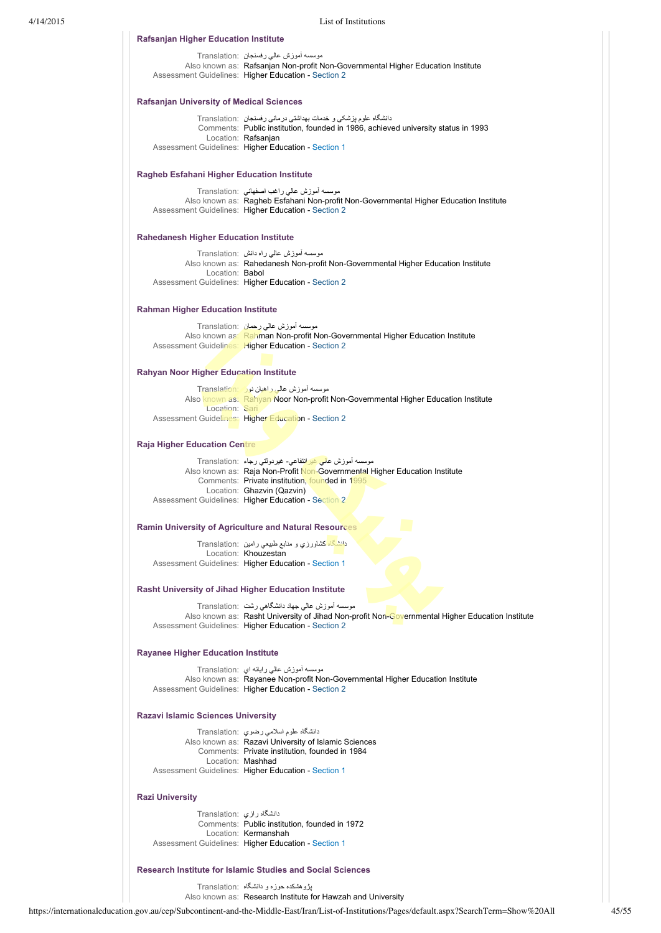|                                                                                        | Also known as: Rafsanjan Non-profit Non-Governmental Higher Education Institute<br>Assessment Guidelines: Higher Education - Section 2                                          |
|----------------------------------------------------------------------------------------|---------------------------------------------------------------------------------------------------------------------------------------------------------------------------------|
| <b>Rafsanjan University of Medical Sciences</b>                                        |                                                                                                                                                                                 |
|                                                                                        |                                                                                                                                                                                 |
|                                                                                        | دانشگاه علوم پزشکی و خدمات بهداشتی درمانی رفسنجان  :Translation<br>Comments: Public institution, founded in 1986, achieved university status in 1993                            |
|                                                                                        | Location: Rafsanjan                                                                                                                                                             |
|                                                                                        | Assessment Guidelines: Higher Education - Section 1                                                                                                                             |
| Ragheb Esfahani Higher Education Institute                                             |                                                                                                                                                                                 |
|                                                                                        | موسسه أموزش عالى راغب اصفهاني  :Translation                                                                                                                                     |
|                                                                                        | Also known as: Ragheb Esfahani Non-profit Non-Governmental Higher Education Institute<br>Assessment Guidelines: Higher Education - Section 2                                    |
| <b>Rahedanesh Higher Education Institute</b>                                           |                                                                                                                                                                                 |
|                                                                                        | موسسه أموزش عالى راه دانش   :Translation                                                                                                                                        |
|                                                                                        | Also known as: Rahedanesh Non-profit Non-Governmental Higher Education Institute                                                                                                |
| Location: Babol                                                                        | Assessment Guidelines: Higher Education - Section 2                                                                                                                             |
| <b>Rahman Higher Education Institute</b>                                               |                                                                                                                                                                                 |
|                                                                                        |                                                                                                                                                                                 |
|                                                                                        | موسسه أموزش عالى رحمان :Translation<br>Also known as: Rahman Non-profit Non-Governmental Higher Education Institute                                                             |
|                                                                                        | Assessment Guidelines: Higher Education - Section 2                                                                                                                             |
| <b>Rahyan Noor Higher Education Institute</b>                                          |                                                                                                                                                                                 |
|                                                                                        | موسسه آموزش عالى راهيان نور Translation:                                                                                                                                        |
|                                                                                        | Also known as: Rahyan Noor Non-profit Non-Governmental Higher Education Institute                                                                                               |
| Location: Sari                                                                         |                                                                                                                                                                                 |
|                                                                                        | Assessment Guidelines: Higher Education - Section 2                                                                                                                             |
| <b>Raja Higher Education Centre</b>                                                    |                                                                                                                                                                                 |
|                                                                                        | موسسه أموزش عال <u>ي غيران</u> تفاعي- غيردولتي رجاء  :Translation                                                                                                               |
|                                                                                        | Also known as: Raja Non-Profit Non-Governmental Higher Education Institute<br>Comments: Private institution, founded in 1995                                                    |
|                                                                                        | Location: Ghazvin (Qazvin)                                                                                                                                                      |
|                                                                                        | Assessment Guidelines: Higher Education - Section 2                                                                                                                             |
|                                                                                        |                                                                                                                                                                                 |
|                                                                                        | <b>Ramin University of Agriculture and Natural Resources</b>                                                                                                                    |
|                                                                                        | دانشگاه کشاورزي و منابع طبيعي رامين ۲ranslation:                                                                                                                                |
|                                                                                        | Location: Khouzestan                                                                                                                                                            |
|                                                                                        | Assessment Guidelines: Higher Education - Section 1                                                                                                                             |
|                                                                                        | <b>Rasht University of Jihad Higher Education Institute</b>                                                                                                                     |
|                                                                                        | موسسه أموزش عالى جهاد دانشكاهي رشت Translation:                                                                                                                                 |
|                                                                                        | Also known as: Rasht University of Jihad Non-profit Non-Governmental Higher Education Institute<br>Assessment Guidelines: Higher Education - Section 2                          |
|                                                                                        |                                                                                                                                                                                 |
|                                                                                        |                                                                                                                                                                                 |
|                                                                                        | موسسه أموزش عالى رايانه اي :Translation<br>Also known as: Rayanee Non-profit Non-Governmental Higher Education Institute<br>Assessment Guidelines: Higher Education - Section 2 |
|                                                                                        |                                                                                                                                                                                 |
|                                                                                        |                                                                                                                                                                                 |
|                                                                                        | دانشگاه علوم اسلامی رضوی :Translation                                                                                                                                           |
|                                                                                        | Also known as: Razavi University of Islamic Sciences<br>Comments: Private institution, founded in 1984                                                                          |
|                                                                                        | Location: Mashhad<br>Assessment Guidelines: Higher Education - Section 1                                                                                                        |
| <b>Rayanee Higher Education Institute</b><br><b>Razavi Islamic Sciences University</b> |                                                                                                                                                                                 |
|                                                                                        |                                                                                                                                                                                 |
| <b>Razi University</b><br>دانشگاه رازی Translation:                                    |                                                                                                                                                                                 |
|                                                                                        | Comments: Public institution, founded in 1972<br>Location: Kermanshah                                                                                                           |

پژوهشكده حوزه و دانشگاه :Translation

Also known as: Research Institute for Hawzah and University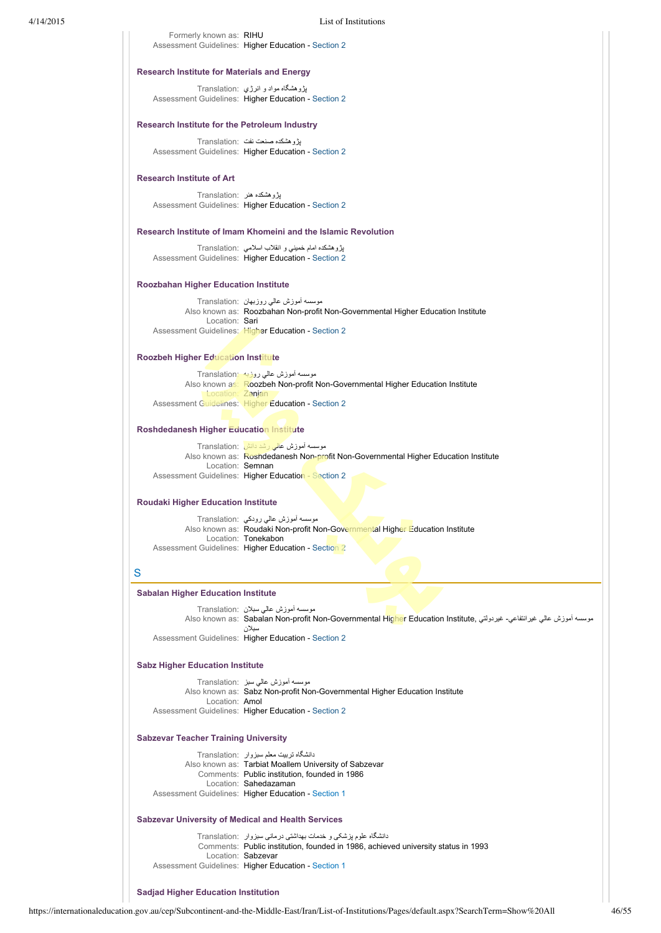Formerly known as: RIHU Assessment Guidelines: Higher Education - [Section 2](https://internationaleducation.gov.au/cep/Subcontinent-and-the-Middle-East/Iran/Assessment-Guidelines/Pages/HigherEd-S2-Default.aspx)

### **Research Institute for Materials and Energy**

پژوهشگاه مواد و انرژي :Translation Assessment Guidelines: Higher Education - [Section 2](https://internationaleducation.gov.au/cep/Subcontinent-and-the-Middle-East/Iran/Assessment-Guidelines/Pages/HigherEd-S2-Default.aspx)

# **Research Institute for the Petroleum Industry**

پژوهشكده صنعت نفت :Translation Assessment Guidelines: Higher Education - [Section 2](https://internationaleducation.gov.au/cep/Subcontinent-and-the-Middle-East/Iran/Assessment-Guidelines/Pages/HigherEd-S2-Default.aspx)

### **Research Institute of Art**

پژوهشكده هنر :Translation Assessment Guidelines: Higher Education - [Section 2](https://internationaleducation.gov.au/cep/Subcontinent-and-the-Middle-East/Iran/Assessment-Guidelines/Pages/HigherEd-S2-Default.aspx)

### **Research Institute of Imam Khomeini and the Islamic Revolution**

پژوهشكده امام خميني و انقلاب اسلامي :Translation Assessment Guidelines: Higher Education - [Section 2](https://internationaleducation.gov.au/cep/Subcontinent-and-the-Middle-East/Iran/Assessment-Guidelines/Pages/HigherEd-S2-Default.aspx)

### **Roozbahan Higher Education Institute**

موسسه آموزش عالي روزبهان :Translation Also known as: Roozbahan Non-profit Non-Governmental Higher Education Institute Location: Sari Assessment Guidelines: Higher Education - [Section 2](https://internationaleducation.gov.au/cep/Subcontinent-and-the-Middle-East/Iran/Assessment-Guidelines/Pages/HigherEd-S2-Default.aspx)

# **Roozbeh Higher Education Institute**

موسسه آموزش عالي روزبه :Translation Also known as: Roozbeh Non-profit Non-Governmental Higher Education Institute Zanjar

Assessment Guidelines: Higher Education - [Section 2](https://internationaleducation.gov.au/cep/Subcontinent-and-the-Middle-East/Iran/Assessment-Guidelines/Pages/HigherEd-S2-Default.aspx)

### **Roshdedanesh Higher Education Institute**

|                                                     | موسسه أموزش عالى رشد دانش :Translation |                                                                                    |
|-----------------------------------------------------|----------------------------------------|------------------------------------------------------------------------------------|
|                                                     |                                        | Also known as: Roshdedanesh Non-profit Non-Governmental Higher Education Institute |
| Location: Semnan                                    |                                        |                                                                                    |
| Assessment Guidelines: Higher Education - Section 2 |                                        |                                                                                    |

### **Roudaki Higher Education Institute**

موسسه آموزش عالي رودكي :Translation Also known as: Roudaki Non-profit Non-Governmental Higher Education Institute Location: Tonekabon Assessment Guidelines: Higher Education - [Section 2](https://internationaleducation.gov.au/cep/Subcontinent-and-the-Middle-East/Iran/Assessment-Guidelines/Pages/HigherEd-S2-Default.aspx)

# S

### **Sabalan Higher Education Institute**

موسسه آموزش عالي سبلان :Translation Also known as: Sabalan Non-profit Non-Governmental Higher Education Institute, غوسسه آموزش عالي غيرانتفاعي- غيردولتي سبلان

Assessment Guidelines: Higher Education - [Section 2](https://internationaleducation.gov.au/cep/Subcontinent-and-the-Middle-East/Iran/Assessment-Guidelines/Pages/HigherEd-S2-Default.aspx)

# **Sabz Higher Education Institute**

موسسه آموزش عالي سبز :Translation Also known as: Sabz Non-profit Non-Governmental Higher Education Institute Location: Amol Assessment Guidelines: Higher Education - [Section 2](https://internationaleducation.gov.au/cep/Subcontinent-and-the-Middle-East/Iran/Assessment-Guidelines/Pages/HigherEd-S2-Default.aspx)

# **Sabzevar Teacher Training University**

دانشگاه تربيت معلم سبزوار :Translation Also known as: Tarbiat Moallem University of Sabzevar Comments: Public institution, founded in 1986 Location: Sahedazaman Assessment Guidelines: Higher Education - [Section 1](https://internationaleducation.gov.au/cep/Subcontinent-and-the-Middle-East/Iran/Assessment-Guidelines/Pages/HigherEd-S1-Default.aspx)

# **Sabzevar University of Medical and Health Services**

دانشگاه علوم پزشکی و خدمات بهداشتی درمانی سبزوار :Translation Comments: Public institution, founded in 1986, achieved university status in 1993 Location: Sabzevar Assessment Guidelines: Higher Education - [Section 1](https://internationaleducation.gov.au/cep/Subcontinent-and-the-Middle-East/Iran/Assessment-Guidelines/Pages/HigherEd-S1-Default.aspx)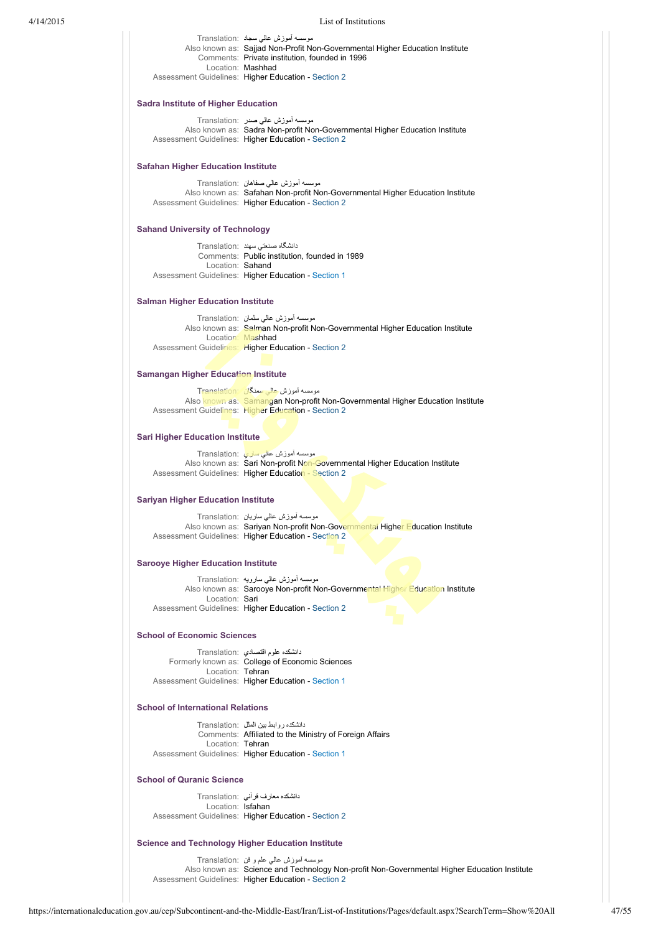| 4/14/2015 |                                                          | List of Institutions                                                                                                                                                                            |
|-----------|----------------------------------------------------------|-------------------------------------------------------------------------------------------------------------------------------------------------------------------------------------------------|
|           |                                                          | موسسه أموزش عالي سجاد  :Translation<br>Also known as: Sajjad Non-Profit Non-Governmental Higher Education Institute<br>Comments: Private institution, founded in 1996<br>Location: Mashhad      |
|           |                                                          | Assessment Guidelines: Higher Education - Section 2                                                                                                                                             |
|           | <b>Sadra Institute of Higher Education</b>               |                                                                                                                                                                                                 |
|           |                                                          | موسسه اموزش عالمی صدر :Translation                                                                                                                                                              |
|           |                                                          | Also known as: Sadra Non-profit Non-Governmental Higher Education Institute<br>Assessment Guidelines: Higher Education - Section 2                                                              |
|           | <b>Safahan Higher Education Institute</b>                | موسسه اموزش عالمي صفاهان  :Translation                                                                                                                                                          |
|           |                                                          | Also known as: Safahan Non-profit Non-Governmental Higher Education Institute<br>Assessment Guidelines: Higher Education - Section 2                                                            |
|           | <b>Sahand University of Technology</b>                   |                                                                                                                                                                                                 |
|           |                                                          | دانشگاه صنعتي سهند :Translation<br>Comments: Public institution, founded in 1989                                                                                                                |
|           | Location: Sahand                                         | Assessment Guidelines: Higher Education - Section 1                                                                                                                                             |
|           | <b>Salman Higher Education Institute</b>                 |                                                                                                                                                                                                 |
|           |                                                          | موسسه أموزش عالمي سلمان  :Translation<br>Also known as: Salman Non-profit Non-Governmental Higher Education Institute                                                                           |
|           |                                                          | Location: Mashhad<br>Assessment Guidelines: Higher Education - Section 2                                                                                                                        |
|           | <b>Samangan Higher Education Institute</b>               |                                                                                                                                                                                                 |
|           |                                                          | موسسه آموزش عالی سمنگان ~Translation                                                                                                                                                            |
|           |                                                          | Also known as: Samangan Non-profit Non-Governmental Higher Education Institute<br>Assessment Guidelines: Higher Education - Section 2                                                           |
|           | <b>Sari Higher Education Institute</b>                   |                                                                                                                                                                                                 |
|           |                                                          | موسسه آموزش عالی ساری Translation:<br>Also known as: Sari Non-profit Non-Governmental Higher Education Institute<br>Assessment Guidelines: Higher Education - Section 2                         |
|           | <b>Sariyan Higher Education Institute</b>                |                                                                                                                                                                                                 |
|           |                                                          | موسسه أموزش عالمي ساريان  :Translation<br>Also known as: Sariyan Non-profit Non-Governmental Higher Education Institute<br>Assessment Guidelines: Higher Education - Section 2                  |
|           | <b>Sarooye Higher Education Institute</b>                |                                                                                                                                                                                                 |
|           |                                                          | موسسه أموزش عالي سارويه :Translation<br>Also known as: Sarooye Non-profit Non-Governmental Higher Education Institute                                                                           |
|           | Location: Sari                                           | Assessment Guidelines: Higher Education - Section 2                                                                                                                                             |
|           | <b>School of Economic Sciences</b>                       |                                                                                                                                                                                                 |
|           |                                                          | دانشکده علوم اقتصادی :Translation<br>Formerly known as: College of Economic Sciences                                                                                                            |
|           | Location: Tehran                                         | Assessment Guidelines: Higher Education - Section 1                                                                                                                                             |
|           | <b>School of International Relations</b>                 |                                                                                                                                                                                                 |
|           |                                                          | دانشکده روابط بین الملل ۲ranslation:<br>Comments: Affiliated to the Ministry of Foreign Affairs                                                                                                 |
|           | Location: Tehran                                         | Assessment Guidelines: Higher Education - Section 1                                                                                                                                             |
|           | <b>School of Quranic Science</b>                         |                                                                                                                                                                                                 |
|           | Location: Isfahan                                        | دانشکده معارف قر آنی :Translation                                                                                                                                                               |
|           |                                                          | Assessment Guidelines: Higher Education - Section 2                                                                                                                                             |
|           | <b>Science and Technology Higher Education Institute</b> |                                                                                                                                                                                                 |
|           |                                                          | موسسه اموزش عالمی علم و فن  :Translation<br>Also known as: Science and Technology Non-profit Non-Governmental Higher Education Institute<br>Assessment Guidelines: Higher Education - Section 2 |
|           |                                                          |                                                                                                                                                                                                 |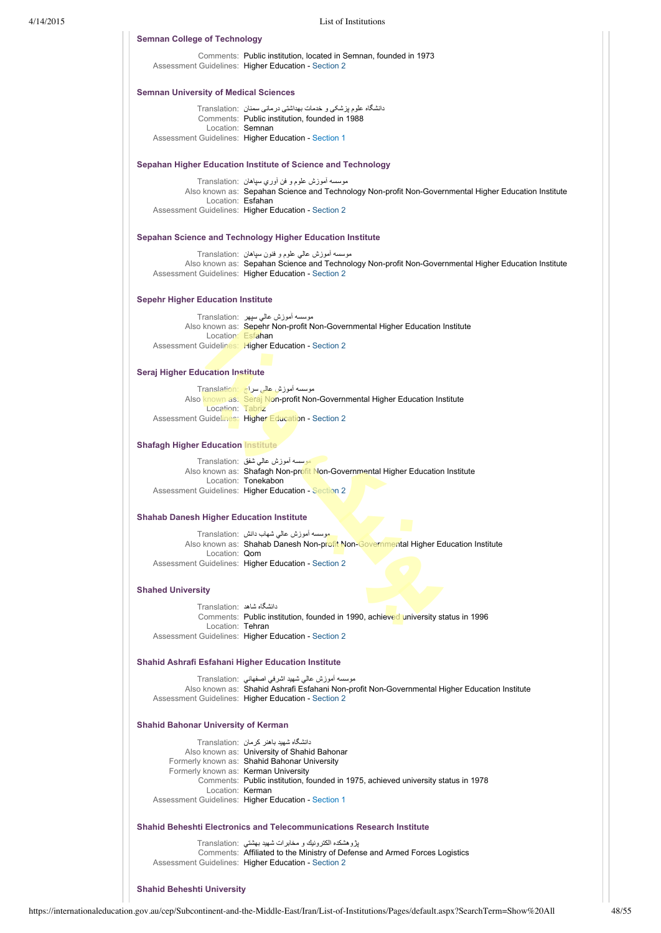| <b>Semnan College of Technology</b>                       |                                                                                                                                                             |
|-----------------------------------------------------------|-------------------------------------------------------------------------------------------------------------------------------------------------------------|
|                                                           | Comments: Public institution, located in Semnan, founded in 1973<br>Assessment Guidelines: Higher Education - Section 2                                     |
| <b>Semnan University of Medical Sciences</b>              |                                                                                                                                                             |
|                                                           | دانشگاه علوم پزشکی و خدمات بهداشتی درمانی سمنان Translation:                                                                                                |
| Location: Semnan                                          | Comments: Public institution, founded in 1988                                                                                                               |
|                                                           | Assessment Guidelines: Higher Education - Section 1                                                                                                         |
|                                                           | Sepahan Higher Education Institute of Science and Technology                                                                                                |
|                                                           | موسسه أموزش علوم و فن أوري سپاهان :Translation                                                                                                              |
| Location: Esfahan                                         | Also known as: Sepahan Science and Technology Non-profit Non-Governmental Higher Education Institute                                                        |
|                                                           | Assessment Guidelines: Higher Education - Section 2                                                                                                         |
|                                                           | Sepahan Science and Technology Higher Education Institute                                                                                                   |
|                                                           | موسسه اموزش عالمی علوم و فنون سیاهان  :Translation                                                                                                          |
|                                                           | Also known as: Sepahan Science and Technology Non-profit Non-Governmental Higher Education Institute<br>Assessment Guidelines: Higher Education - Section 2 |
| <b>Sepehr Higher Education Institute</b>                  |                                                                                                                                                             |
|                                                           | موسسه اموزش عالمی سپهر  :Translation                                                                                                                        |
| Location: Esfahan                                         | Also known as: Sepehr Non-profit Non-Governmental Higher Education Institute                                                                                |
|                                                           | Assessment Guidelines: Higher Education - Section 2                                                                                                         |
| <b>Seraj Higher Education Institute</b>                   |                                                                                                                                                             |
|                                                           | موسسه آموزش عالی سراج Translation:                                                                                                                          |
| Location: Tabriz                                          | Also known as: Seraj Non-profit Non-Governmental Higher Education Institute                                                                                 |
|                                                           | Assessment Guidelines: Higher Education - Section 2                                                                                                         |
| <b>Shafagh Higher Education Institute</b>                 |                                                                                                                                                             |
|                                                           | موسسه أموزش عالمي شفق :Translation                                                                                                                          |
|                                                           | Also known as: Shafagh Non-profit Non-Governmental Higher Education Institute<br>Location: Tonekabon                                                        |
|                                                           | Assessment Guidelines: Higher Education - Section 2                                                                                                         |
| <b>Shahab Danesh Higher Education Institute</b>           |                                                                                                                                                             |
|                                                           | موسسه أموزش عالمي شهاب دانش  :Translation                                                                                                                   |
| Location: Qom                                             | Also known as: Shahab Danesh Non-profit Non-Governmental Higher Education Institute                                                                         |
|                                                           | Assessment Guidelines: Higher Education - Section 2                                                                                                         |
| <b>Shahed University</b>                                  |                                                                                                                                                             |
| دانشگاه شاهد :Translation                                 |                                                                                                                                                             |
|                                                           | Comments: Public institution, founded in 1990, achieved university status in 1996                                                                           |
| Location: Tehran                                          | Assessment Guidelines: Higher Education - Section 2                                                                                                         |
| <b>Shahid Ashrafi Esfahani Higher Education Institute</b> |                                                                                                                                                             |
|                                                           | موسسه أموزش عالمي شهيد اشرفي اصفهاني   :Translation                                                                                                         |
|                                                           | Also known as: Shahid Ashrafi Esfahani Non-profit Non-Governmental Higher Education Institute<br>Assessment Guidelines: Higher Education - Section 2        |
| <b>Shahid Bahonar University of Kerman</b>                |                                                                                                                                                             |
|                                                           | دانشگاه شهید باهنر کرمان :Translation                                                                                                                       |
|                                                           | Also known as: University of Shahid Bahonar                                                                                                                 |
| Formerly known as: Kerman University                      | Formerly known as: Shahid Bahonar University                                                                                                                |
|                                                           | Comments: Public institution, founded in 1975, achieved university status in 1978                                                                           |
| Location: Kerman                                          | Assessment Guidelines: Higher Education - Section 1                                                                                                         |
|                                                           | <b>Shahid Beheshti Electronics and Telecommunications Research Institute</b>                                                                                |
|                                                           | يژوهشكده الكترونيك و مخابرات شهيد بهشتى   :Translation                                                                                                      |
|                                                           | Comments: Affiliated to the Ministry of Defense and Armed Forces Logistics<br>Assessment Guidelines: Higher Education - Section 2                           |
|                                                           |                                                                                                                                                             |

# **Shahid Beheshti University**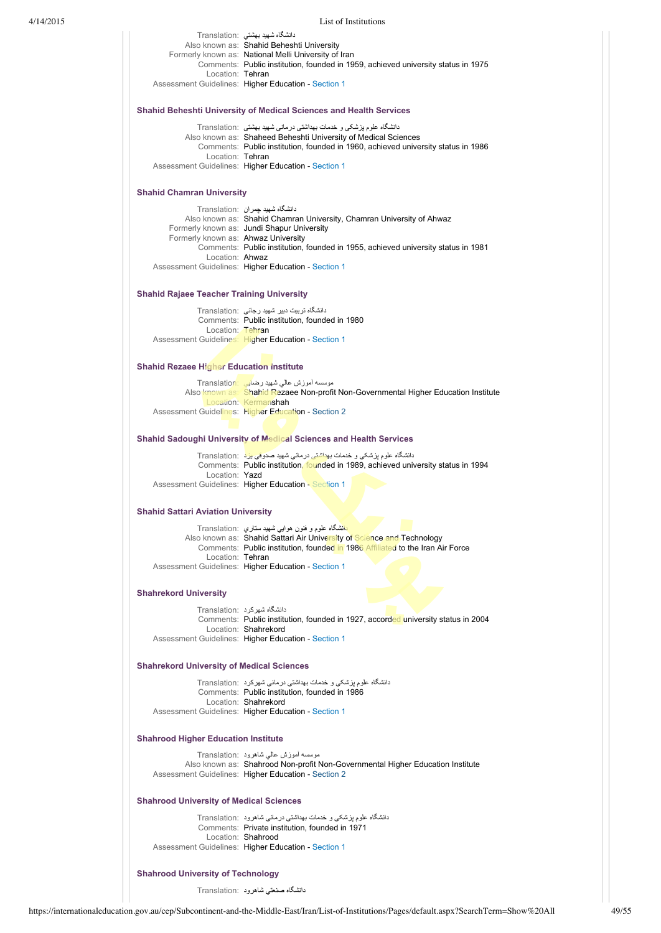|                                                                           | دانشگاه شهید بهشتی :Translation                                                                                                                     |  |
|---------------------------------------------------------------------------|-----------------------------------------------------------------------------------------------------------------------------------------------------|--|
|                                                                           | Also known as: Shahid Beheshti University<br>Formerly known as: National Melli University of Iran                                                   |  |
|                                                                           | Comments: Public institution, founded in 1959, achieved university status in 1975                                                                   |  |
| Location: Tehran                                                          | Assessment Guidelines: Higher Education - Section 1                                                                                                 |  |
|                                                                           |                                                                                                                                                     |  |
| <b>Shahid Beheshti University of Medical Sciences and Health Services</b> |                                                                                                                                                     |  |
|                                                                           | دانشگاه علوم بزشکی و خدمات بهداشتی درمانی شهید بهشتی  :Translation                                                                                  |  |
|                                                                           | Also known as: Shaheed Beheshti University of Medical Sciences<br>Comments: Public institution, founded in 1960, achieved university status in 1986 |  |
| Location: Tehran                                                          |                                                                                                                                                     |  |
|                                                                           | Assessment Guidelines: Higher Education - Section 1                                                                                                 |  |
| <b>Shahid Chamran University</b>                                          |                                                                                                                                                     |  |
|                                                                           | دانشگاه شهید چمر ان Translation:                                                                                                                    |  |
|                                                                           | Also known as: Shahid Chamran University, Chamran University of Ahwaz<br>Formerly known as: Jundi Shapur University                                 |  |
| Formerly known as: Ahwaz University                                       |                                                                                                                                                     |  |
|                                                                           | Comments: Public institution, founded in 1955, achieved university status in 1981                                                                   |  |
| Location: Ahwaz                                                           |                                                                                                                                                     |  |
|                                                                           | Assessment Guidelines: Higher Education - Section 1                                                                                                 |  |
| <b>Shahid Rajaee Teacher Training University</b>                          |                                                                                                                                                     |  |
|                                                                           | دانشگاه تربیت دبیر شهید رجائی :Translation                                                                                                          |  |
| Location: Tehran                                                          | Comments: Public institution, founded in 1980                                                                                                       |  |
|                                                                           | Assessment Guidelines: Higher Education - Section 1                                                                                                 |  |
| <b>Shahid Rezaee Higher Education institute</b>                           |                                                                                                                                                     |  |
|                                                                           | موسسه أموزش عالى شهيد رضايي : Translation                                                                                                           |  |
|                                                                           | Also known as: Shahid Rezaee Non-profit Non-Governmental Higher Education Institute                                                                 |  |
|                                                                           | Location: Kermanshah                                                                                                                                |  |
|                                                                           | Assessment Guidelines: Higher Education - Section 2                                                                                                 |  |
|                                                                           | <b>Shahid Sadoughi University of Medical Sciences and Health Services</b>                                                                           |  |
|                                                                           | دانشگاه علوم پزشکی و خدمات بهداشتی درمانی شهید صدوقی بزد : Translation                                                                              |  |
| Location: Yazd                                                            | Comments: Public institution, founded in 1989, achieved university status in 1994                                                                   |  |
|                                                                           | Assessment Guidelines: Higher Education - Section 1                                                                                                 |  |
| <b>Shahid Sattari Aviation University</b>                                 |                                                                                                                                                     |  |
|                                                                           | <mark>دانشگاه علوم و فنون هوایی شهید ستاری  :Translation</mark>                                                                                     |  |
|                                                                           | Also known as: Shahid Sattari Air University of Science and Technology                                                                              |  |
|                                                                           | Comments: Public institution, founded in 1986 Affiliated to the Iran Air Force                                                                      |  |
| Location: Tehran                                                          | Assessment Guidelines: Higher Education - Section 1                                                                                                 |  |
|                                                                           |                                                                                                                                                     |  |
| <b>Shahrekord University</b>                                              |                                                                                                                                                     |  |
|                                                                           | دانشگاه شهر کر د :Translation                                                                                                                       |  |
|                                                                           | Comments: Public institution, founded in 1927, accorded university status in 2004<br>Location: Shahrekord                                           |  |
|                                                                           | Assessment Guidelines: Higher Education - Section 1                                                                                                 |  |
| <b>Shahrekord University of Medical Sciences</b>                          |                                                                                                                                                     |  |
|                                                                           | دانشگاه علوم بزشکی و خدمات بهداشتی درمانی شهرکرد  :Translation                                                                                      |  |
|                                                                           | Comments: Public institution, founded in 1986                                                                                                       |  |
|                                                                           | Location: Shahrekord<br>Assessment Guidelines: Higher Education - Section 1                                                                         |  |
| <b>Shahrood Higher Education Institute</b>                                |                                                                                                                                                     |  |
|                                                                           | موسسه أموزش عالمي شاهرود :Translation                                                                                                               |  |
|                                                                           | Also known as: Shahrood Non-profit Non-Governmental Higher Education Institute                                                                      |  |
|                                                                           | Assessment Guidelines: Higher Education - Section 2                                                                                                 |  |
| <b>Shahrood University of Medical Sciences</b>                            |                                                                                                                                                     |  |
|                                                                           | دانشگاه علوم پزشکی و خدمات بهداشتی درمانی شاهرود :Translation                                                                                       |  |
|                                                                           | Comments: Private institution, founded in 1971                                                                                                      |  |
|                                                                           | Location: Shahrood                                                                                                                                  |  |
|                                                                           | Assessment Guidelines: Higher Education - Section 1                                                                                                 |  |
| <b>Shahrood University of Technology</b>                                  |                                                                                                                                                     |  |
|                                                                           | دانشگاه صنعتی شاهرود :Translation                                                                                                                   |  |
|                                                                           |                                                                                                                                                     |  |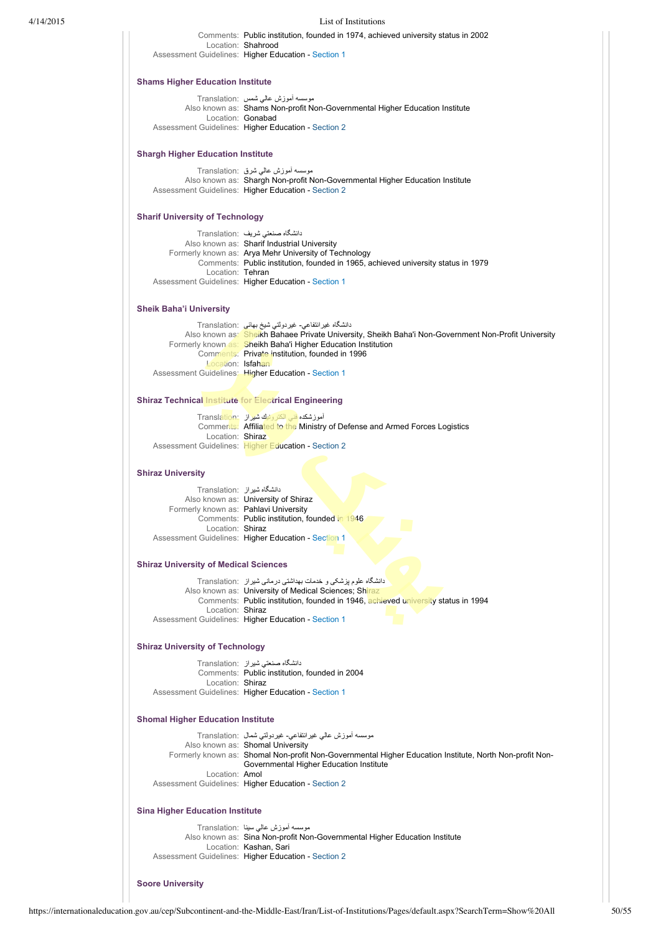| 4/14/2015 |                                                              | List of Institutions                                                                                                                        |
|-----------|--------------------------------------------------------------|---------------------------------------------------------------------------------------------------------------------------------------------|
|           | Location: Shahrood                                           | Comments: Public institution, founded in 1974, achieved university status in 2002<br>Assessment Guidelines: Higher Education - Section 1    |
|           | <b>Shams Higher Education Institute</b>                      |                                                                                                                                             |
|           |                                                              | موسسه أموزش عالمي شمس :Translation                                                                                                          |
|           | Location: Gonabad                                            | Also known as: Shams Non-profit Non-Governmental Higher Education Institute                                                                 |
|           |                                                              | Assessment Guidelines: Higher Education - Section 2                                                                                         |
|           | <b>Shargh Higher Education Institute</b>                     |                                                                                                                                             |
|           |                                                              | موسسه أموزش عالمي شرق :Translation                                                                                                          |
|           |                                                              | Also known as: Shargh Non-profit Non-Governmental Higher Education Institute<br>Assessment Guidelines: Higher Education - Section 2         |
|           | <b>Sharif University of Technology</b>                       |                                                                                                                                             |
|           |                                                              | دانشگاه صنعتی شریف :Translation                                                                                                             |
|           |                                                              | Also known as: Sharif Industrial University                                                                                                 |
|           |                                                              | Formerly known as: Arya Mehr University of Technology                                                                                       |
|           | Location: Tehran                                             | Comments: Public institution, founded in 1965, achieved university status in 1979                                                           |
|           |                                                              | Assessment Guidelines: Higher Education - Section 1                                                                                         |
|           | <b>Sheik Baha'i University</b>                               |                                                                                                                                             |
|           |                                                              | دانشگاه غیر انتفاعی- غیردولتی شیخ بهائی :Translation                                                                                        |
|           |                                                              | Also known as: Sheikh Bahaee Private University, Sheikh Baha'i Non-Government Non-Profit University                                         |
|           |                                                              | Formerly known as: Sheikh Baha'i Higher Education Institution                                                                               |
|           | Location: Isfahan                                            | Comments: Private institution, founded in 1996                                                                                              |
|           |                                                              | Assessment Guidelines: Higher Education - Section 1                                                                                         |
|           | <b>Shiraz Technical Institute for Electrical Engineering</b> |                                                                                                                                             |
|           |                                                              | آموزشکده فنی الکترونیك شیراز Translation:                                                                                                   |
|           |                                                              | Comments: Affiliated to the Ministry of Defense and Armed Forces Logistics                                                                  |
|           | Location: Shiraz                                             | Assessment Guidelines: Higher Education - Section 2                                                                                         |
|           | <b>Shiraz University</b>                                     |                                                                                                                                             |
|           | دانشگاه شیراز :Translation                                   |                                                                                                                                             |
|           |                                                              | Also known as: University of Shiraz                                                                                                         |
|           | Formerly known as: Pahlavi University                        |                                                                                                                                             |
|           |                                                              | Comments: Public institution, founded in 1946                                                                                               |
|           | Location: Shiraz                                             | Assessment Guidelines: Higher Education - Section 1                                                                                         |
|           | <b>Shiraz University of Medical Sciences</b>                 |                                                                                                                                             |
|           |                                                              | دانشگاه علوم پزشکی و خدمات بهداشتی درمانی شیراز   :Translation                                                                              |
|           |                                                              | Also known as: University of Medical Sciences; Shiraz                                                                                       |
|           |                                                              | Comments: Public institution, founded in 1946, achieved university status in 1994                                                           |
|           | Location: Shiraz                                             | Assessment Guidelines: Higher Education - Section 1                                                                                         |
|           | <b>Shiraz University of Technology</b>                       |                                                                                                                                             |
|           |                                                              | دانشگاه صنعتی شیراز Translation:                                                                                                            |
|           |                                                              | Comments: Public institution, founded in 2004                                                                                               |
|           | Location: Shiraz                                             | Assessment Guidelines: Higher Education - Section 1                                                                                         |
|           | <b>Shomal Higher Education Institute</b>                     |                                                                                                                                             |
|           |                                                              | موسسه أموزش عالى غيرانتفاعى- غيردولتي شمال  :Translation                                                                                    |
|           |                                                              | Also known as: Shomal University<br>Formerly known as: Shomal Non-profit Non-Governmental Higher Education Institute, North Non-profit Non- |
|           |                                                              | Governmental Higher Education Institute                                                                                                     |
|           | Location: Amol                                               | Assessment Guidelines: Higher Education - Section 2                                                                                         |
|           | <b>Sina Higher Education Institute</b>                       |                                                                                                                                             |
|           |                                                              | موسسه أموزش عالى سينا :Translation                                                                                                          |
|           |                                                              | Also known as: Sina Non-profit Non-Governmental Higher Education Institute                                                                  |
|           |                                                              | Location: Kashan, Sari                                                                                                                      |
|           |                                                              | Assessment Guidelines: Higher Education - Section 2                                                                                         |
|           | <b>Soore University</b>                                      |                                                                                                                                             |
|           |                                                              |                                                                                                                                             |
|           |                                                              |                                                                                                                                             |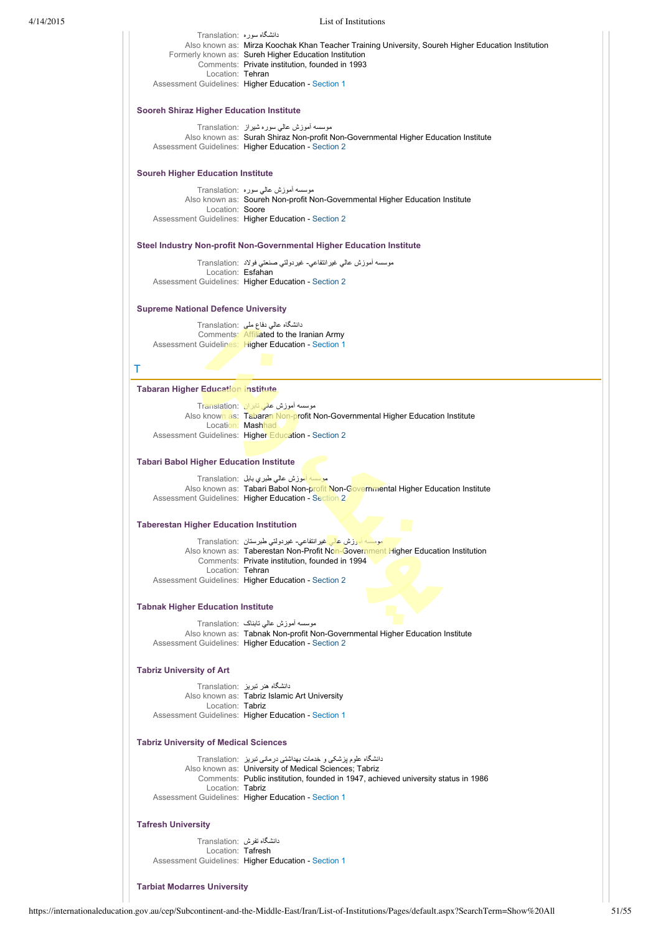|                                                 | دانشگاه سوره :Translation<br>Also known as: Mirza Koochak Khan Teacher Training University, Soureh Higher Education Institution<br>Formerly known as: Sureh Higher Education Institution<br>Comments: Private institution, founded in 1993<br>Location: Tehran<br>Assessment Guidelines: Higher Education - Section 1 |  |  |
|-------------------------------------------------|-----------------------------------------------------------------------------------------------------------------------------------------------------------------------------------------------------------------------------------------------------------------------------------------------------------------------|--|--|
| <b>Sooreh Shiraz Higher Education Institute</b> |                                                                                                                                                                                                                                                                                                                       |  |  |
|                                                 | موسسه اموزش عالمی سوره شیراز ۲ranslation:<br>Also known as: Surah Shiraz Non-profit Non-Governmental Higher Education Institute<br>Assessment Guidelines: Higher Education - Section 2                                                                                                                                |  |  |
| <b>Soureh Higher Education Institute</b>        |                                                                                                                                                                                                                                                                                                                       |  |  |
| Location: Soore                                 | موسسه أموزش عالمي سوره :Translation<br>Also known as: Soureh Non-profit Non-Governmental Higher Education Institute<br>Assessment Guidelines: Higher Education - Section 2                                                                                                                                            |  |  |
|                                                 | Steel Industry Non-profit Non-Governmental Higher Education Institute                                                                                                                                                                                                                                                 |  |  |
|                                                 | موسسه أموزش عالمي غيرانتفاعي- غيردولتي صنعتي فولاد :Translation<br>Location: Esfahan<br>Assessment Guidelines: Higher Education - Section 2                                                                                                                                                                           |  |  |
| <b>Supreme National Defence University</b>      |                                                                                                                                                                                                                                                                                                                       |  |  |
|                                                 | دانشگاہ عالی دفاع ملی   :Translation<br>Comments: Affiliated to the Iranian Army<br>Assessment Guidelines: Higher Education - Section 1                                                                                                                                                                               |  |  |
| Τ                                               |                                                                                                                                                                                                                                                                                                                       |  |  |
| <b>Tabaran Higher Education Institute</b>       |                                                                                                                                                                                                                                                                                                                       |  |  |
|                                                 | موسسه اموزش عالی تابران Translation:<br>Also known as: Tabaran Non-profit Non-Governmental Higher Education Institute<br>Location: Mashhad<br>Assessment Guidelines: Higher Education - Section 2                                                                                                                     |  |  |
| <b>Tabari Babol Higher Education Institute</b>  |                                                                                                                                                                                                                                                                                                                       |  |  |
|                                                 | موسسه أموزش عالى طبري بابل Translation:<br>Also known as: Tabari Babol Non-profit Non-Governmental Higher Education Institute<br>Assessment Guidelines: Higher Education - Section 2                                                                                                                                  |  |  |
| <b>Taberestan Higher Education Institution</b>  |                                                                                                                                                                                                                                                                                                                       |  |  |
| Location: Tehran                                | <mark>سموسسه آموزش عال<sub>ی</sub> غیرانتفاعی- غیردولتی طبرستان  :Translation</mark><br>Also known as: Taberestan Non-Profit Non-Government Higher Education Institution<br>Comments: Private institution, founded in 1994<br>Assessment Guidelines: Higher Education - Section 2                                     |  |  |
|                                                 |                                                                                                                                                                                                                                                                                                                       |  |  |
| <b>Tabnak Higher Education Institute</b>        | موسسه أموزش عالمي تابناک  :Translation                                                                                                                                                                                                                                                                                |  |  |
|                                                 | Also known as: Tabnak Non-profit Non-Governmental Higher Education Institute<br>Assessment Guidelines: Higher Education - Section 2                                                                                                                                                                                   |  |  |
| <b>Tabriz University of Art</b>                 |                                                                                                                                                                                                                                                                                                                       |  |  |
| Location: Tabriz                                | دانشگاه هنر تبریز :Translation<br>Also known as: Tabriz Islamic Art University<br>Assessment Guidelines: Higher Education - Section 1                                                                                                                                                                                 |  |  |
| <b>Tabriz University of Medical Sciences</b>    |                                                                                                                                                                                                                                                                                                                       |  |  |
| Location: Tabriz                                | دانشگاه علوم پزشکی و خدمات بهداشتی درمانی تبریز   :Translation<br>Also known as: University of Medical Sciences; Tabriz<br>Comments: Public institution, founded in 1947, achieved university status in 1986<br>Assessment Guidelines: Higher Education - Section 1                                                   |  |  |
| <b>Tafresh University</b>                       |                                                                                                                                                                                                                                                                                                                       |  |  |
| دانشگاه تفرش :Translation                       |                                                                                                                                                                                                                                                                                                                       |  |  |
| Location: Tafresh                               | Assessment Guidelines: Higher Education - Section 1                                                                                                                                                                                                                                                                   |  |  |

**Tarbiat Modarres University**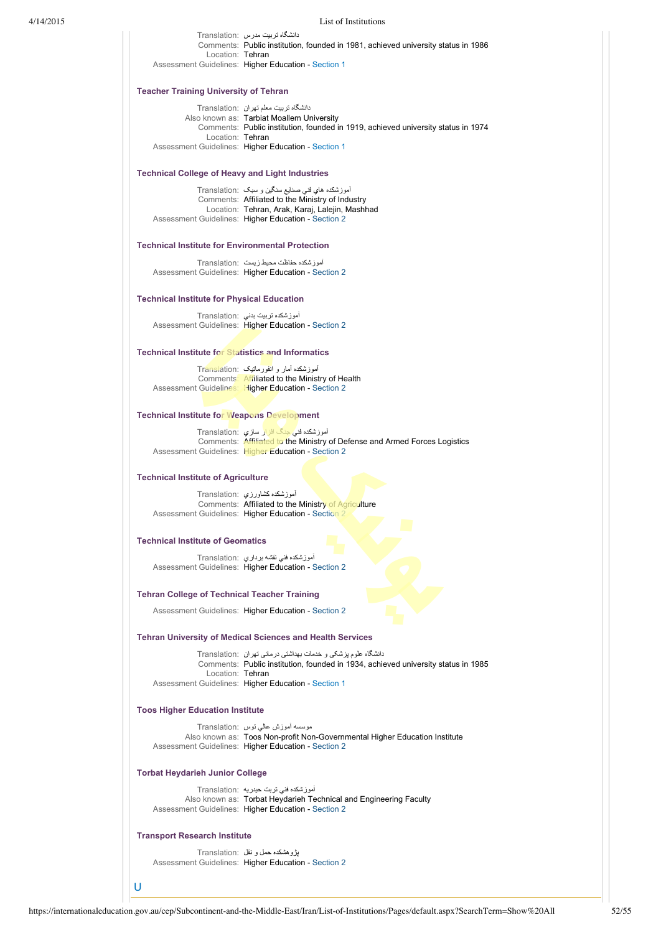| 4/14/2015 |                                                           | List of Institutions                                                                                                                                                          |
|-----------|-----------------------------------------------------------|-------------------------------------------------------------------------------------------------------------------------------------------------------------------------------|
|           |                                                           | دانشگاه تربیت مدرس   :Translation                                                                                                                                             |
|           | Location: Tehran                                          | Comments: Public institution, founded in 1981, achieved university status in 1986                                                                                             |
|           |                                                           | Assessment Guidelines: Higher Education - Section 1                                                                                                                           |
|           | <b>Teacher Training University of Tehran</b>              |                                                                                                                                                                               |
|           |                                                           | دانشگاه تربیت معلم تهران ۲ranslation:<br>Also known as: Tarbiat Moallem University                                                                                            |
|           |                                                           | Comments: Public institution, founded in 1919, achieved university status in 1974                                                                                             |
|           | Location: Tehran                                          | Assessment Guidelines: Higher Education - Section 1                                                                                                                           |
|           | <b>Technical College of Heavy and Light Industries</b>    |                                                                                                                                                                               |
|           |                                                           | آموزشکده هاي فني صنايع سنگين و سبک  :Translation<br>Comments: Affiliated to the Ministry of Industry                                                                          |
|           |                                                           | Location: Tehran, Arak, Karaj, Lalejin, Mashhad<br>Assessment Guidelines: Higher Education - Section 2                                                                        |
|           | <b>Technical Institute for Environmental Protection</b>   |                                                                                                                                                                               |
|           |                                                           | آموزشکده حفاظت محیط زیست :Translation                                                                                                                                         |
|           |                                                           | Assessment Guidelines: Higher Education - Section 2                                                                                                                           |
|           | <b>Technical Institute for Physical Education</b>         |                                                                                                                                                                               |
|           |                                                           | آموز شکده تربیت بدنی :Translation<br>Assessment Guidelines: Higher Education - Section 2                                                                                      |
|           | <b>Technical Institute for Statistics and Informatics</b> |                                                                                                                                                                               |
|           |                                                           | آموزشکده آمار و انفورماتیک :Translation<br>Comments: Affiliated to the Ministry of Health                                                                                     |
|           |                                                           | Assessment Guidelines: Higher Education - Section 2                                                                                                                           |
|           | <b>Technical Institute for Weapons Development</b>        |                                                                                                                                                                               |
|           |                                                           | آموزشکده فنی جنگ افزار سازی Translation:<br>Comments: Affiliated to the Ministry of Defense and Armed Forces Logistics<br>Assessment Guidelines: Higher Education - Section 2 |
|           | <b>Technical Institute of Agriculture</b>                 |                                                                                                                                                                               |
|           |                                                           | آموزشكده كشاورزي Translation:<br>Comments: Affiliated to the Ministry of Agriculture                                                                                          |
|           |                                                           | Assessment Guidelines: Higher Education - Section 2                                                                                                                           |
|           | <b>Technical Institute of Geomatics</b>                   |                                                                                                                                                                               |
|           |                                                           | آموزشکده فنی نقشه برداری ۲ranslation:<br>Assessment Guidelines: Higher Education - Section 2                                                                                  |
|           | <b>Tehran College of Technical Teacher Training</b>       |                                                                                                                                                                               |
|           |                                                           | Assessment Guidelines: Higher Education - Section 2                                                                                                                           |
|           |                                                           | <b>Tehran University of Medical Sciences and Health Services</b>                                                                                                              |
|           |                                                           | دانشگاه علوم بزشکی و خدمات بهداشتی درمانی تهران   :Translation                                                                                                                |
|           | Location: Tehran                                          | Comments: Public institution, founded in 1934, achieved university status in 1985<br>Assessment Guidelines: Higher Education - Section 1                                      |
|           | <b>Toos Higher Education Institute</b>                    |                                                                                                                                                                               |
|           |                                                           | موسسه اموزش عالی نوس :Translation                                                                                                                                             |
|           |                                                           | Also known as: Toos Non-profit Non-Governmental Higher Education Institute<br>Assessment Guidelines: Higher Education - Section 2                                             |
|           | <b>Torbat Heydarieh Junior College</b>                    |                                                                                                                                                                               |
|           |                                                           | آموزشکده فنی تربت حیدریه :Translation<br>Also known as: Torbat Heydarieh Technical and Engineering Faculty<br>Assessment Guidelines: Higher Education - Section 2             |
|           | <b>Transport Research Institute</b>                       |                                                                                                                                                                               |
|           |                                                           | پژوهشکده حمل و نقل  :Translation                                                                                                                                              |
|           |                                                           | Assessment Guidelines: Higher Education - Section 2                                                                                                                           |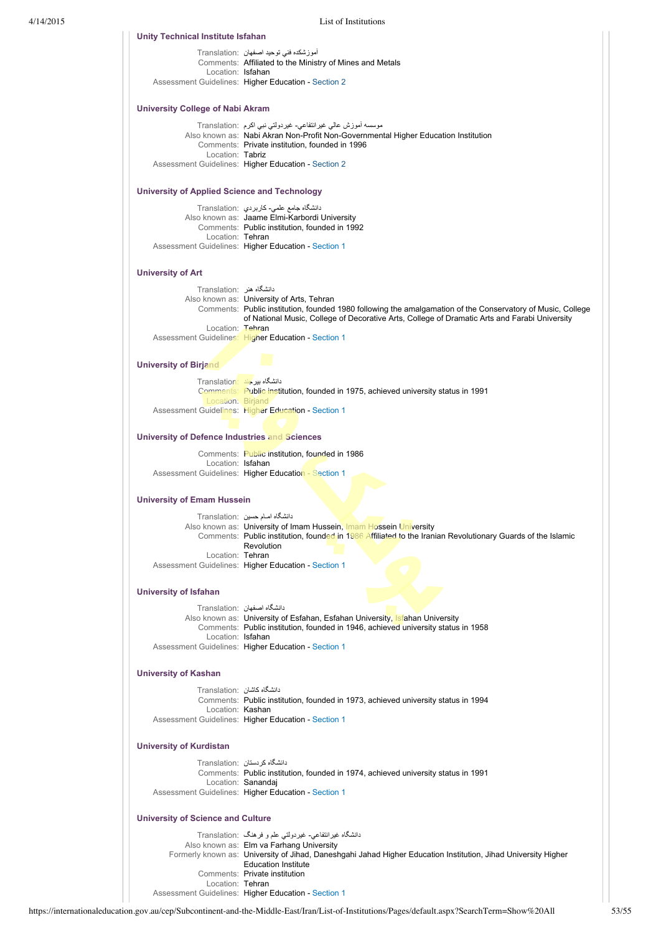| Unity Technical Institute Isfahan                    |                                                                                                                           |
|------------------------------------------------------|---------------------------------------------------------------------------------------------------------------------------|
|                                                      | اموزشکده فنی توحید اصفهان  :Translation                                                                                   |
| Location: Isfahan                                    | Comments: Affiliated to the Ministry of Mines and Metals                                                                  |
|                                                      | Assessment Guidelines: Higher Education - Section 2                                                                       |
| University College of Nabi Akram                     |                                                                                                                           |
|                                                      | موسسه أموزش عالمي غيرانتفاعي- غيردولتي نبي اكرم  :Translation                                                             |
|                                                      | Also known as: Nabi Akran Non-Profit Non-Governmental Higher Education Institution                                        |
| Location: Tabriz                                     | Comments: Private institution, founded in 1996                                                                            |
|                                                      | Assessment Guidelines: Higher Education - Section 2                                                                       |
| <b>University of Applied Science and Technology</b>  |                                                                                                                           |
|                                                      | دانشگاه جامع علمي- کاربردي   :Translation                                                                                 |
|                                                      | Also known as: Jaame Elmi-Karbordi University<br>Comments: Public institution, founded in 1992                            |
| Location: Tehran                                     |                                                                                                                           |
|                                                      | Assessment Guidelines: Higher Education - Section 1                                                                       |
| <b>University of Art</b>                             |                                                                                                                           |
| دانشگاه هنر :Translation                             |                                                                                                                           |
|                                                      | Also known as: University of Arts, Tehran                                                                                 |
|                                                      | Comments: Public institution, founded 1980 following the amalgamation of the Conservatory of Music, College               |
| Location: Tehran                                     | of National Music, College of Decorative Arts, College of Dramatic Arts and Farabi University                             |
|                                                      | Assessment Guidelines: Higher Education - Section 1                                                                       |
| <b>University of Birjand</b>                         |                                                                                                                           |
| دانشگاه بیر جند : Translation                        |                                                                                                                           |
|                                                      | Comments: Public institution, founded in 1975, achieved university status in 1991                                         |
| Location: Birjand                                    | Assessment Guidelines: Higher Education - Section 1                                                                       |
| <b>University of Defence Industries and Sciences</b> |                                                                                                                           |
|                                                      | Comments: Public institution, founded in 1986                                                                             |
| Location: Isfahan                                    |                                                                                                                           |
|                                                      | Assessment Guidelines: Higher Education - Section 1                                                                       |
| <b>University of Emam Hussein</b>                    |                                                                                                                           |
|                                                      | دانشگاه امـام حسین Translation:                                                                                           |
|                                                      | Also known as: University of Imam Hussein, Imam Hossein University                                                        |
|                                                      | Comments: Public institution, founded in 1986 Affiliated to the Iranian Revolutionary Guards of the Islamic<br>Revolution |
| Location: Tehran                                     |                                                                                                                           |
|                                                      | Assessment Guidelines: Higher Education - Section 1                                                                       |
| <b>University of Isfahan</b>                         |                                                                                                                           |
|                                                      | دانشگاه اصفهان :Translation                                                                                               |
|                                                      | Also known as: University of Esfahan, Esfahan University, Isfahan University                                              |
|                                                      | Comments: Public institution, founded in 1946, achieved university status in 1958                                         |
| Location: Isfahan                                    |                                                                                                                           |
|                                                      | Assessment Guidelines: Higher Education - Section 1                                                                       |
| <b>University of Kashan</b>                          |                                                                                                                           |
| دانشگاه کاشان :Translation                           | Comments: Public institution, founded in 1973, achieved university status in 1994                                         |
| Location: Kashan                                     |                                                                                                                           |
|                                                      | Assessment Guidelines: Higher Education - Section 1                                                                       |
| <b>University of Kurdistan</b>                       |                                                                                                                           |
|                                                      | دانشگاه کردستان :Translation                                                                                              |
|                                                      | Comments: Public institution, founded in 1974, achieved university status in 1991                                         |
|                                                      | Location: Sanandaj<br>Assessment Guidelines: Higher Education - Section 1                                                 |
| <b>University of Science and Culture</b>             |                                                                                                                           |
|                                                      |                                                                                                                           |
|                                                      | دانشگاه غیرانتفاعی- غیردولتی علم و فرهنگ :Translation<br>Also known as: Elm va Farhang University                         |
|                                                      | Formerly known as: University of Jihad, Daneshgahi Jahad Higher Education Institution, Jihad University Higher            |
|                                                      | <b>Education Institute</b>                                                                                                |
|                                                      | Comments: Private institution                                                                                             |
| Location: Tehran                                     | Assessment Guidelines: Higher Education - Section 1                                                                       |
|                                                      |                                                                                                                           |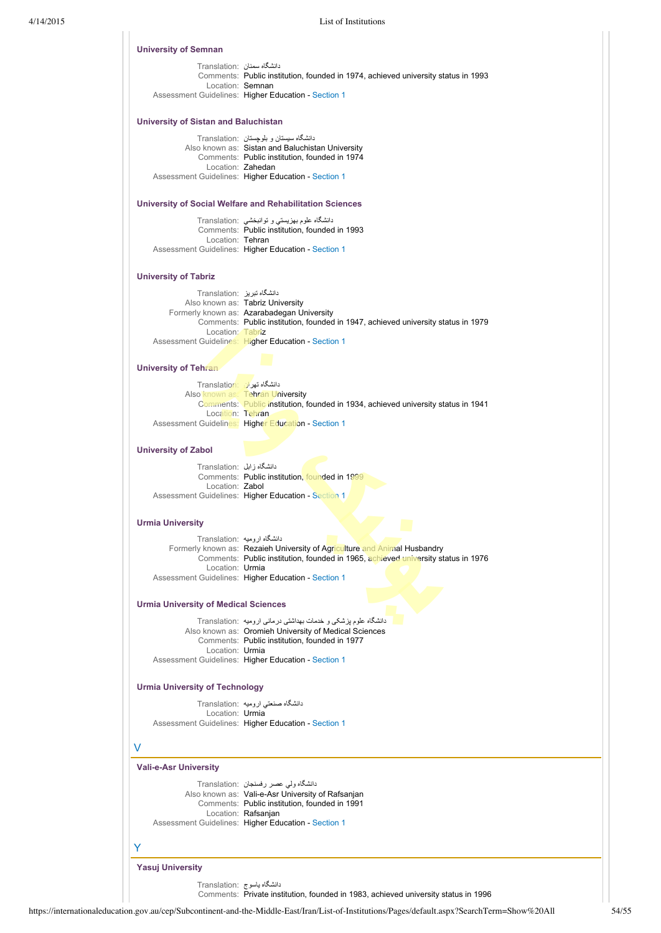| دانشگاه سمنان :Translation<br>Comments: Public institution, founded in 1974, achieved university status in 1993<br>Location: Semnan<br>Assessment Guidelines: Higher Education - Section 1<br><b>University of Sistan and Baluchistan</b><br>دانشگاه سیستان و بلوچستان : Translation<br>Also known as: Sistan and Baluchistan University<br>Comments: Public institution, founded in 1974<br>Location: Zahedan<br>Assessment Guidelines: Higher Education - Section 1<br>University of Social Welfare and Rehabilitation Sciences<br>دانشگاه علوم بهزیستی و توانبخشی :Translation<br>Comments: Public institution, founded in 1993<br>Location: Tehran<br>Assessment Guidelines: Higher Education - Section 1<br><b>University of Tabriz</b><br>دانشگاه تبریز :Translation<br>Also known as: Tabriz University<br>Formerly known as: Azarabadegan University<br>Comments: Public institution, founded in 1947, achieved university status in 1979<br>Location: Tabriz<br>Assessment Guidelines: Higher Education - Section 1<br>University of Tehran<br>دانشگاه تهران :Translation<br>Also known as: Tehran University<br>Comments: Public institution, founded in 1934, achieved university status in 1941<br>Location: Tehran<br>Assessment Guidelines: Higher Education - Section 1<br><b>University of Zabol</b><br>دانشگاه زابل :Translation<br>Comments: Public institution, founded in 1999<br>Location: Zabol<br>Assessment Guidelines: Higher Education - Section 1<br><b>Urmia University</b><br>دانشگاه ارومیه :Translation<br>Formerly known as: Rezaieh University of Agriculture and Animal Husbandry<br>Comments: Public institution, founded in 1965, achieved university status in 1976<br>Location: Urmia<br>Assessment Guidelines: Higher Education - Section 1<br><b>Urmia University of Medical Sciences</b><br>دانشگاه علوم پزشکی و خدمات بهداشتی درمانی ارومیه Translation:<br>Also known as: Oromieh University of Medical Sciences<br>Comments: Public institution, founded in 1977<br>Location: Urmia<br>Assessment Guidelines: Higher Education - Section 1<br><b>Urmia University of Technology</b><br>دانشگاه صنعتي اروميه :Translation<br>Location: Urmia<br>Assessment Guidelines: Higher Education - Section 1<br>V<br><b>Vali-e-Asr University</b><br>دانشگاه ولمی عصر رفسنجان :Translation<br>Also known as: Vali-e-Asr University of Rafsanjan<br>Comments: Public institution, founded in 1991<br>Location: Rafsanjan<br>Assessment Guidelines: Higher Education - Section 1<br>Y<br><b>Yasuj University</b> |  |
|--------------------------------------------------------------------------------------------------------------------------------------------------------------------------------------------------------------------------------------------------------------------------------------------------------------------------------------------------------------------------------------------------------------------------------------------------------------------------------------------------------------------------------------------------------------------------------------------------------------------------------------------------------------------------------------------------------------------------------------------------------------------------------------------------------------------------------------------------------------------------------------------------------------------------------------------------------------------------------------------------------------------------------------------------------------------------------------------------------------------------------------------------------------------------------------------------------------------------------------------------------------------------------------------------------------------------------------------------------------------------------------------------------------------------------------------------------------------------------------------------------------------------------------------------------------------------------------------------------------------------------------------------------------------------------------------------------------------------------------------------------------------------------------------------------------------------------------------------------------------------------------------------------------------------------------------------------------------------------------------------------------------------------------------------------------------------------------------------------------------------------------------------------------------------------------------------------------------------------------------------------------------------------------------------------------------------------------------------------------------------------------------------------------------------------------------------------------------------------------------------------------------------------------------------|--|
|                                                                                                                                                                                                                                                                                                                                                                                                                                                                                                                                                                                                                                                                                                                                                                                                                                                                                                                                                                                                                                                                                                                                                                                                                                                                                                                                                                                                                                                                                                                                                                                                                                                                                                                                                                                                                                                                                                                                                                                                                                                                                                                                                                                                                                                                                                                                                                                                                                                                                                                                                  |  |
|                                                                                                                                                                                                                                                                                                                                                                                                                                                                                                                                                                                                                                                                                                                                                                                                                                                                                                                                                                                                                                                                                                                                                                                                                                                                                                                                                                                                                                                                                                                                                                                                                                                                                                                                                                                                                                                                                                                                                                                                                                                                                                                                                                                                                                                                                                                                                                                                                                                                                                                                                  |  |
|                                                                                                                                                                                                                                                                                                                                                                                                                                                                                                                                                                                                                                                                                                                                                                                                                                                                                                                                                                                                                                                                                                                                                                                                                                                                                                                                                                                                                                                                                                                                                                                                                                                                                                                                                                                                                                                                                                                                                                                                                                                                                                                                                                                                                                                                                                                                                                                                                                                                                                                                                  |  |
|                                                                                                                                                                                                                                                                                                                                                                                                                                                                                                                                                                                                                                                                                                                                                                                                                                                                                                                                                                                                                                                                                                                                                                                                                                                                                                                                                                                                                                                                                                                                                                                                                                                                                                                                                                                                                                                                                                                                                                                                                                                                                                                                                                                                                                                                                                                                                                                                                                                                                                                                                  |  |
|                                                                                                                                                                                                                                                                                                                                                                                                                                                                                                                                                                                                                                                                                                                                                                                                                                                                                                                                                                                                                                                                                                                                                                                                                                                                                                                                                                                                                                                                                                                                                                                                                                                                                                                                                                                                                                                                                                                                                                                                                                                                                                                                                                                                                                                                                                                                                                                                                                                                                                                                                  |  |
|                                                                                                                                                                                                                                                                                                                                                                                                                                                                                                                                                                                                                                                                                                                                                                                                                                                                                                                                                                                                                                                                                                                                                                                                                                                                                                                                                                                                                                                                                                                                                                                                                                                                                                                                                                                                                                                                                                                                                                                                                                                                                                                                                                                                                                                                                                                                                                                                                                                                                                                                                  |  |
|                                                                                                                                                                                                                                                                                                                                                                                                                                                                                                                                                                                                                                                                                                                                                                                                                                                                                                                                                                                                                                                                                                                                                                                                                                                                                                                                                                                                                                                                                                                                                                                                                                                                                                                                                                                                                                                                                                                                                                                                                                                                                                                                                                                                                                                                                                                                                                                                                                                                                                                                                  |  |
|                                                                                                                                                                                                                                                                                                                                                                                                                                                                                                                                                                                                                                                                                                                                                                                                                                                                                                                                                                                                                                                                                                                                                                                                                                                                                                                                                                                                                                                                                                                                                                                                                                                                                                                                                                                                                                                                                                                                                                                                                                                                                                                                                                                                                                                                                                                                                                                                                                                                                                                                                  |  |
|                                                                                                                                                                                                                                                                                                                                                                                                                                                                                                                                                                                                                                                                                                                                                                                                                                                                                                                                                                                                                                                                                                                                                                                                                                                                                                                                                                                                                                                                                                                                                                                                                                                                                                                                                                                                                                                                                                                                                                                                                                                                                                                                                                                                                                                                                                                                                                                                                                                                                                                                                  |  |
|                                                                                                                                                                                                                                                                                                                                                                                                                                                                                                                                                                                                                                                                                                                                                                                                                                                                                                                                                                                                                                                                                                                                                                                                                                                                                                                                                                                                                                                                                                                                                                                                                                                                                                                                                                                                                                                                                                                                                                                                                                                                                                                                                                                                                                                                                                                                                                                                                                                                                                                                                  |  |
|                                                                                                                                                                                                                                                                                                                                                                                                                                                                                                                                                                                                                                                                                                                                                                                                                                                                                                                                                                                                                                                                                                                                                                                                                                                                                                                                                                                                                                                                                                                                                                                                                                                                                                                                                                                                                                                                                                                                                                                                                                                                                                                                                                                                                                                                                                                                                                                                                                                                                                                                                  |  |
|                                                                                                                                                                                                                                                                                                                                                                                                                                                                                                                                                                                                                                                                                                                                                                                                                                                                                                                                                                                                                                                                                                                                                                                                                                                                                                                                                                                                                                                                                                                                                                                                                                                                                                                                                                                                                                                                                                                                                                                                                                                                                                                                                                                                                                                                                                                                                                                                                                                                                                                                                  |  |
|                                                                                                                                                                                                                                                                                                                                                                                                                                                                                                                                                                                                                                                                                                                                                                                                                                                                                                                                                                                                                                                                                                                                                                                                                                                                                                                                                                                                                                                                                                                                                                                                                                                                                                                                                                                                                                                                                                                                                                                                                                                                                                                                                                                                                                                                                                                                                                                                                                                                                                                                                  |  |
|                                                                                                                                                                                                                                                                                                                                                                                                                                                                                                                                                                                                                                                                                                                                                                                                                                                                                                                                                                                                                                                                                                                                                                                                                                                                                                                                                                                                                                                                                                                                                                                                                                                                                                                                                                                                                                                                                                                                                                                                                                                                                                                                                                                                                                                                                                                                                                                                                                                                                                                                                  |  |
|                                                                                                                                                                                                                                                                                                                                                                                                                                                                                                                                                                                                                                                                                                                                                                                                                                                                                                                                                                                                                                                                                                                                                                                                                                                                                                                                                                                                                                                                                                                                                                                                                                                                                                                                                                                                                                                                                                                                                                                                                                                                                                                                                                                                                                                                                                                                                                                                                                                                                                                                                  |  |
|                                                                                                                                                                                                                                                                                                                                                                                                                                                                                                                                                                                                                                                                                                                                                                                                                                                                                                                                                                                                                                                                                                                                                                                                                                                                                                                                                                                                                                                                                                                                                                                                                                                                                                                                                                                                                                                                                                                                                                                                                                                                                                                                                                                                                                                                                                                                                                                                                                                                                                                                                  |  |
|                                                                                                                                                                                                                                                                                                                                                                                                                                                                                                                                                                                                                                                                                                                                                                                                                                                                                                                                                                                                                                                                                                                                                                                                                                                                                                                                                                                                                                                                                                                                                                                                                                                                                                                                                                                                                                                                                                                                                                                                                                                                                                                                                                                                                                                                                                                                                                                                                                                                                                                                                  |  |
|                                                                                                                                                                                                                                                                                                                                                                                                                                                                                                                                                                                                                                                                                                                                                                                                                                                                                                                                                                                                                                                                                                                                                                                                                                                                                                                                                                                                                                                                                                                                                                                                                                                                                                                                                                                                                                                                                                                                                                                                                                                                                                                                                                                                                                                                                                                                                                                                                                                                                                                                                  |  |
|                                                                                                                                                                                                                                                                                                                                                                                                                                                                                                                                                                                                                                                                                                                                                                                                                                                                                                                                                                                                                                                                                                                                                                                                                                                                                                                                                                                                                                                                                                                                                                                                                                                                                                                                                                                                                                                                                                                                                                                                                                                                                                                                                                                                                                                                                                                                                                                                                                                                                                                                                  |  |
|                                                                                                                                                                                                                                                                                                                                                                                                                                                                                                                                                                                                                                                                                                                                                                                                                                                                                                                                                                                                                                                                                                                                                                                                                                                                                                                                                                                                                                                                                                                                                                                                                                                                                                                                                                                                                                                                                                                                                                                                                                                                                                                                                                                                                                                                                                                                                                                                                                                                                                                                                  |  |
|                                                                                                                                                                                                                                                                                                                                                                                                                                                                                                                                                                                                                                                                                                                                                                                                                                                                                                                                                                                                                                                                                                                                                                                                                                                                                                                                                                                                                                                                                                                                                                                                                                                                                                                                                                                                                                                                                                                                                                                                                                                                                                                                                                                                                                                                                                                                                                                                                                                                                                                                                  |  |
|                                                                                                                                                                                                                                                                                                                                                                                                                                                                                                                                                                                                                                                                                                                                                                                                                                                                                                                                                                                                                                                                                                                                                                                                                                                                                                                                                                                                                                                                                                                                                                                                                                                                                                                                                                                                                                                                                                                                                                                                                                                                                                                                                                                                                                                                                                                                                                                                                                                                                                                                                  |  |
|                                                                                                                                                                                                                                                                                                                                                                                                                                                                                                                                                                                                                                                                                                                                                                                                                                                                                                                                                                                                                                                                                                                                                                                                                                                                                                                                                                                                                                                                                                                                                                                                                                                                                                                                                                                                                                                                                                                                                                                                                                                                                                                                                                                                                                                                                                                                                                                                                                                                                                                                                  |  |
|                                                                                                                                                                                                                                                                                                                                                                                                                                                                                                                                                                                                                                                                                                                                                                                                                                                                                                                                                                                                                                                                                                                                                                                                                                                                                                                                                                                                                                                                                                                                                                                                                                                                                                                                                                                                                                                                                                                                                                                                                                                                                                                                                                                                                                                                                                                                                                                                                                                                                                                                                  |  |
|                                                                                                                                                                                                                                                                                                                                                                                                                                                                                                                                                                                                                                                                                                                                                                                                                                                                                                                                                                                                                                                                                                                                                                                                                                                                                                                                                                                                                                                                                                                                                                                                                                                                                                                                                                                                                                                                                                                                                                                                                                                                                                                                                                                                                                                                                                                                                                                                                                                                                                                                                  |  |
|                                                                                                                                                                                                                                                                                                                                                                                                                                                                                                                                                                                                                                                                                                                                                                                                                                                                                                                                                                                                                                                                                                                                                                                                                                                                                                                                                                                                                                                                                                                                                                                                                                                                                                                                                                                                                                                                                                                                                                                                                                                                                                                                                                                                                                                                                                                                                                                                                                                                                                                                                  |  |
|                                                                                                                                                                                                                                                                                                                                                                                                                                                                                                                                                                                                                                                                                                                                                                                                                                                                                                                                                                                                                                                                                                                                                                                                                                                                                                                                                                                                                                                                                                                                                                                                                                                                                                                                                                                                                                                                                                                                                                                                                                                                                                                                                                                                                                                                                                                                                                                                                                                                                                                                                  |  |
|                                                                                                                                                                                                                                                                                                                                                                                                                                                                                                                                                                                                                                                                                                                                                                                                                                                                                                                                                                                                                                                                                                                                                                                                                                                                                                                                                                                                                                                                                                                                                                                                                                                                                                                                                                                                                                                                                                                                                                                                                                                                                                                                                                                                                                                                                                                                                                                                                                                                                                                                                  |  |
|                                                                                                                                                                                                                                                                                                                                                                                                                                                                                                                                                                                                                                                                                                                                                                                                                                                                                                                                                                                                                                                                                                                                                                                                                                                                                                                                                                                                                                                                                                                                                                                                                                                                                                                                                                                                                                                                                                                                                                                                                                                                                                                                                                                                                                                                                                                                                                                                                                                                                                                                                  |  |
|                                                                                                                                                                                                                                                                                                                                                                                                                                                                                                                                                                                                                                                                                                                                                                                                                                                                                                                                                                                                                                                                                                                                                                                                                                                                                                                                                                                                                                                                                                                                                                                                                                                                                                                                                                                                                                                                                                                                                                                                                                                                                                                                                                                                                                                                                                                                                                                                                                                                                                                                                  |  |
|                                                                                                                                                                                                                                                                                                                                                                                                                                                                                                                                                                                                                                                                                                                                                                                                                                                                                                                                                                                                                                                                                                                                                                                                                                                                                                                                                                                                                                                                                                                                                                                                                                                                                                                                                                                                                                                                                                                                                                                                                                                                                                                                                                                                                                                                                                                                                                                                                                                                                                                                                  |  |
|                                                                                                                                                                                                                                                                                                                                                                                                                                                                                                                                                                                                                                                                                                                                                                                                                                                                                                                                                                                                                                                                                                                                                                                                                                                                                                                                                                                                                                                                                                                                                                                                                                                                                                                                                                                                                                                                                                                                                                                                                                                                                                                                                                                                                                                                                                                                                                                                                                                                                                                                                  |  |
|                                                                                                                                                                                                                                                                                                                                                                                                                                                                                                                                                                                                                                                                                                                                                                                                                                                                                                                                                                                                                                                                                                                                                                                                                                                                                                                                                                                                                                                                                                                                                                                                                                                                                                                                                                                                                                                                                                                                                                                                                                                                                                                                                                                                                                                                                                                                                                                                                                                                                                                                                  |  |
|                                                                                                                                                                                                                                                                                                                                                                                                                                                                                                                                                                                                                                                                                                                                                                                                                                                                                                                                                                                                                                                                                                                                                                                                                                                                                                                                                                                                                                                                                                                                                                                                                                                                                                                                                                                                                                                                                                                                                                                                                                                                                                                                                                                                                                                                                                                                                                                                                                                                                                                                                  |  |
|                                                                                                                                                                                                                                                                                                                                                                                                                                                                                                                                                                                                                                                                                                                                                                                                                                                                                                                                                                                                                                                                                                                                                                                                                                                                                                                                                                                                                                                                                                                                                                                                                                                                                                                                                                                                                                                                                                                                                                                                                                                                                                                                                                                                                                                                                                                                                                                                                                                                                                                                                  |  |
|                                                                                                                                                                                                                                                                                                                                                                                                                                                                                                                                                                                                                                                                                                                                                                                                                                                                                                                                                                                                                                                                                                                                                                                                                                                                                                                                                                                                                                                                                                                                                                                                                                                                                                                                                                                                                                                                                                                                                                                                                                                                                                                                                                                                                                                                                                                                                                                                                                                                                                                                                  |  |
|                                                                                                                                                                                                                                                                                                                                                                                                                                                                                                                                                                                                                                                                                                                                                                                                                                                                                                                                                                                                                                                                                                                                                                                                                                                                                                                                                                                                                                                                                                                                                                                                                                                                                                                                                                                                                                                                                                                                                                                                                                                                                                                                                                                                                                                                                                                                                                                                                                                                                                                                                  |  |
|                                                                                                                                                                                                                                                                                                                                                                                                                                                                                                                                                                                                                                                                                                                                                                                                                                                                                                                                                                                                                                                                                                                                                                                                                                                                                                                                                                                                                                                                                                                                                                                                                                                                                                                                                                                                                                                                                                                                                                                                                                                                                                                                                                                                                                                                                                                                                                                                                                                                                                                                                  |  |
|                                                                                                                                                                                                                                                                                                                                                                                                                                                                                                                                                                                                                                                                                                                                                                                                                                                                                                                                                                                                                                                                                                                                                                                                                                                                                                                                                                                                                                                                                                                                                                                                                                                                                                                                                                                                                                                                                                                                                                                                                                                                                                                                                                                                                                                                                                                                                                                                                                                                                                                                                  |  |
|                                                                                                                                                                                                                                                                                                                                                                                                                                                                                                                                                                                                                                                                                                                                                                                                                                                                                                                                                                                                                                                                                                                                                                                                                                                                                                                                                                                                                                                                                                                                                                                                                                                                                                                                                                                                                                                                                                                                                                                                                                                                                                                                                                                                                                                                                                                                                                                                                                                                                                                                                  |  |
|                                                                                                                                                                                                                                                                                                                                                                                                                                                                                                                                                                                                                                                                                                                                                                                                                                                                                                                                                                                                                                                                                                                                                                                                                                                                                                                                                                                                                                                                                                                                                                                                                                                                                                                                                                                                                                                                                                                                                                                                                                                                                                                                                                                                                                                                                                                                                                                                                                                                                                                                                  |  |
|                                                                                                                                                                                                                                                                                                                                                                                                                                                                                                                                                                                                                                                                                                                                                                                                                                                                                                                                                                                                                                                                                                                                                                                                                                                                                                                                                                                                                                                                                                                                                                                                                                                                                                                                                                                                                                                                                                                                                                                                                                                                                                                                                                                                                                                                                                                                                                                                                                                                                                                                                  |  |
|                                                                                                                                                                                                                                                                                                                                                                                                                                                                                                                                                                                                                                                                                                                                                                                                                                                                                                                                                                                                                                                                                                                                                                                                                                                                                                                                                                                                                                                                                                                                                                                                                                                                                                                                                                                                                                                                                                                                                                                                                                                                                                                                                                                                                                                                                                                                                                                                                                                                                                                                                  |  |
|                                                                                                                                                                                                                                                                                                                                                                                                                                                                                                                                                                                                                                                                                                                                                                                                                                                                                                                                                                                                                                                                                                                                                                                                                                                                                                                                                                                                                                                                                                                                                                                                                                                                                                                                                                                                                                                                                                                                                                                                                                                                                                                                                                                                                                                                                                                                                                                                                                                                                                                                                  |  |
|                                                                                                                                                                                                                                                                                                                                                                                                                                                                                                                                                                                                                                                                                                                                                                                                                                                                                                                                                                                                                                                                                                                                                                                                                                                                                                                                                                                                                                                                                                                                                                                                                                                                                                                                                                                                                                                                                                                                                                                                                                                                                                                                                                                                                                                                                                                                                                                                                                                                                                                                                  |  |
|                                                                                                                                                                                                                                                                                                                                                                                                                                                                                                                                                                                                                                                                                                                                                                                                                                                                                                                                                                                                                                                                                                                                                                                                                                                                                                                                                                                                                                                                                                                                                                                                                                                                                                                                                                                                                                                                                                                                                                                                                                                                                                                                                                                                                                                                                                                                                                                                                                                                                                                                                  |  |
|                                                                                                                                                                                                                                                                                                                                                                                                                                                                                                                                                                                                                                                                                                                                                                                                                                                                                                                                                                                                                                                                                                                                                                                                                                                                                                                                                                                                                                                                                                                                                                                                                                                                                                                                                                                                                                                                                                                                                                                                                                                                                                                                                                                                                                                                                                                                                                                                                                                                                                                                                  |  |